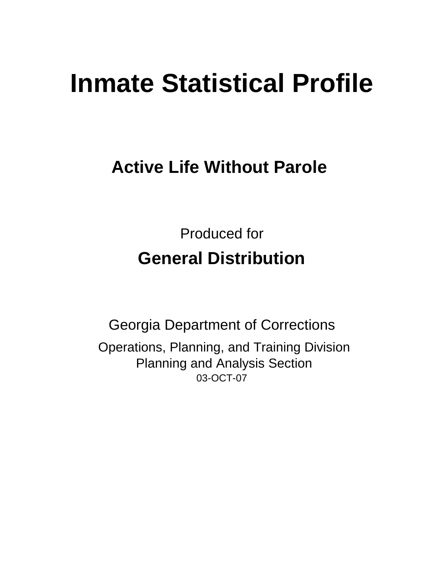# **Inmate Statistical Profile**

## **Active Life Without Parole**

Produced for **General Distribution**

03-OCT-07 Georgia Department of Corrections Operations, Planning, and Training Division Planning and Analysis Section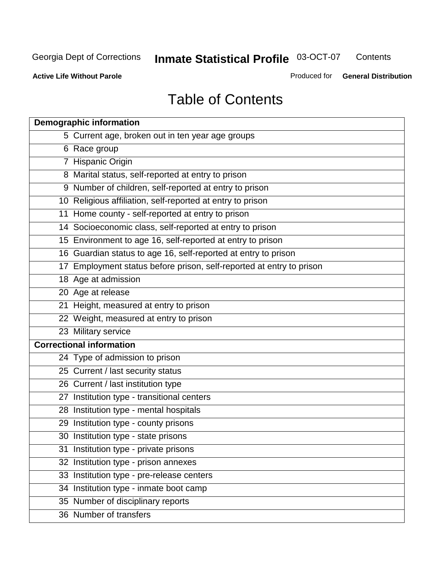**Contents** 

**Active Life Without Parole** 

Produced for **General Distribution**

## Table of Contents

| <b>Demographic information</b>                                       |
|----------------------------------------------------------------------|
| 5 Current age, broken out in ten year age groups                     |
| 6 Race group                                                         |
| 7 Hispanic Origin                                                    |
| 8 Marital status, self-reported at entry to prison                   |
| 9 Number of children, self-reported at entry to prison               |
| 10 Religious affiliation, self-reported at entry to prison           |
| 11 Home county - self-reported at entry to prison                    |
| 14 Socioeconomic class, self-reported at entry to prison             |
| 15 Environment to age 16, self-reported at entry to prison           |
| 16 Guardian status to age 16, self-reported at entry to prison       |
| 17 Employment status before prison, self-reported at entry to prison |
| 18 Age at admission                                                  |
| 20 Age at release                                                    |
| 21 Height, measured at entry to prison                               |
| 22 Weight, measured at entry to prison                               |
| 23 Military service                                                  |
| <b>Correctional information</b>                                      |
| 24 Type of admission to prison                                       |
| 25 Current / last security status                                    |
| 26 Current / last institution type                                   |
| 27 Institution type - transitional centers                           |
| 28 Institution type - mental hospitals                               |
| 29 Institution type - county prisons                                 |
| 30 Institution type - state prisons                                  |
| 31 Institution type - private prisons                                |
| 32 Institution type - prison annexes                                 |
| 33 Institution type - pre-release centers                            |
| 34 Institution type - inmate boot camp                               |
| 35 Number of disciplinary reports                                    |
| 36 Number of transfers                                               |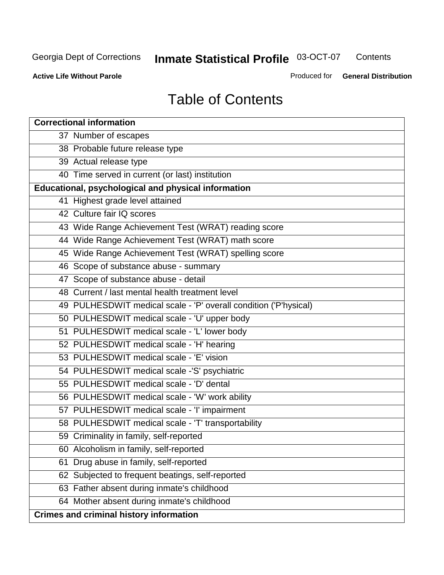**Contents** 

**Active Life Without Parole** 

Produced for **General Distribution**

## Table of Contents

| <b>Correctional information</b>                                  |
|------------------------------------------------------------------|
| 37 Number of escapes                                             |
| 38 Probable future release type                                  |
| 39 Actual release type                                           |
| 40 Time served in current (or last) institution                  |
| Educational, psychological and physical information              |
| 41 Highest grade level attained                                  |
| 42 Culture fair IQ scores                                        |
| 43 Wide Range Achievement Test (WRAT) reading score              |
| 44 Wide Range Achievement Test (WRAT) math score                 |
| 45 Wide Range Achievement Test (WRAT) spelling score             |
| 46 Scope of substance abuse - summary                            |
| 47 Scope of substance abuse - detail                             |
| 48 Current / last mental health treatment level                  |
| 49 PULHESDWIT medical scale - 'P' overall condition ('P'hysical) |
| 50 PULHESDWIT medical scale - 'U' upper body                     |
| 51 PULHESDWIT medical scale - 'L' lower body                     |
| 52 PULHESDWIT medical scale - 'H' hearing                        |
| 53 PULHESDWIT medical scale - 'E' vision                         |
| 54 PULHESDWIT medical scale -'S' psychiatric                     |
| 55 PULHESDWIT medical scale - 'D' dental                         |
| 56 PULHESDWIT medical scale - 'W' work ability                   |
| 57 PULHESDWIT medical scale - 'I' impairment                     |
| 58 PULHESDWIT medical scale - 'T' transportability               |
| 59 Criminality in family, self-reported                          |
| 60 Alcoholism in family, self-reported                           |
| 61 Drug abuse in family, self-reported                           |
| 62 Subjected to frequent beatings, self-reported                 |
| 63 Father absent during inmate's childhood                       |
| 64 Mother absent during inmate's childhood                       |
| <b>Crimes and criminal history information</b>                   |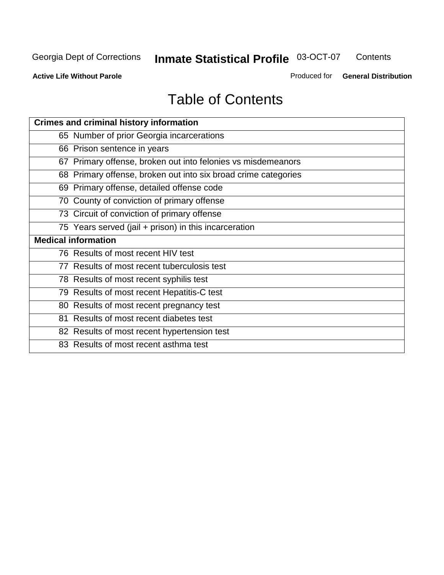**Contents** 

**Active Life Without Parole** 

Produced for **General Distribution**

## Table of Contents

| <b>Crimes and criminal history information</b>                 |
|----------------------------------------------------------------|
| 65 Number of prior Georgia incarcerations                      |
| 66 Prison sentence in years                                    |
| 67 Primary offense, broken out into felonies vs misdemeanors   |
| 68 Primary offense, broken out into six broad crime categories |
| 69 Primary offense, detailed offense code                      |
| 70 County of conviction of primary offense                     |
| 73 Circuit of conviction of primary offense                    |
| 75 Years served (jail + prison) in this incarceration          |
| <b>Medical information</b>                                     |
|                                                                |
| 76 Results of most recent HIV test                             |
| 77 Results of most recent tuberculosis test                    |
| 78 Results of most recent syphilis test                        |
| 79 Results of most recent Hepatitis-C test                     |
| 80 Results of most recent pregnancy test                       |
| 81 Results of most recent diabetes test                        |
| 82 Results of most recent hypertension test                    |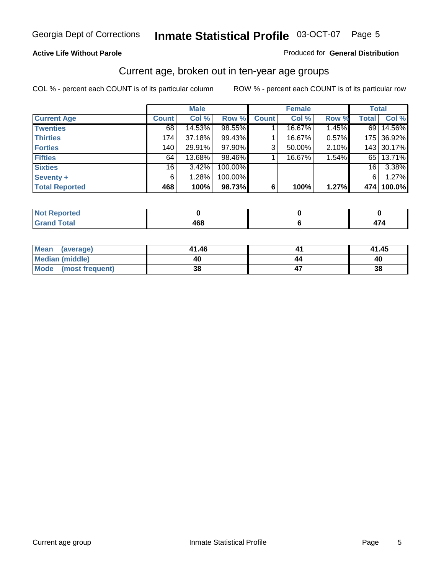#### **Active Life Without Parole**

#### Produced for **General Distribution**

#### Current age, broken out in ten-year age groups

|                       |                 | <b>Male</b> |         |              | <b>Female</b> |       |              | <b>Total</b> |
|-----------------------|-----------------|-------------|---------|--------------|---------------|-------|--------------|--------------|
| <b>Current Age</b>    | <b>Count</b>    | Col %       | Row %   | <b>Count</b> | Col %         | Row % | <b>Total</b> | Col %        |
| <b>Twenties</b>       | 68              | 14.53%      | 98.55%  |              | 16.67%        | 1.45% | 69 L         | 14.56%       |
| <b>Thirties</b>       | 174             | 37.18%      | 99.43%  |              | 16.67%        | 0.57% |              | 175 36.92%   |
| <b>Forties</b>        | 140             | 29.91%      | 97.90%  | 3            | 50.00%        | 2.10% |              | 143 30.17%   |
| <b>Fifties</b>        | 64              | 13.68%      | 98.46%  |              | 16.67%        | 1.54% | 65           | 13.71%       |
| <b>Sixties</b>        | 16 <sub>1</sub> | $3.42\%$    | 100.00% |              |               |       | 16           | 3.38%        |
| <b>Seventy +</b>      | 6               | 1.28%       | 100.00% |              |               |       | 6            | 1.27%        |
| <b>Total Reported</b> | 468             | 100%        | 98.73%  | 6            | 100%          | 1.27% | 474          | 100.0%       |

| ortea<br><b>INV</b><br>$\sim$ |     |   |
|-------------------------------|-----|---|
| $C = 4 - 7$<br>υιαι<br>_____  | "^^ | . |

| Mean<br>(average)    | 41.46 | 41.45 |
|----------------------|-------|-------|
| Median (middle)      | 40    | 40    |
| Mode (most frequent) | 38    | 38    |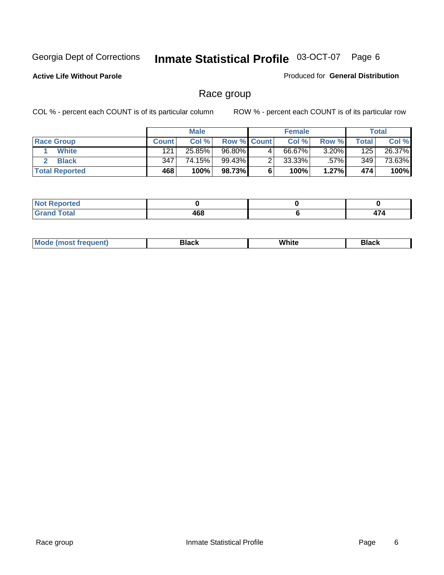**Active Life Without Parole** 

Produced for **General Distribution**

#### Race group

|                       |              | <b>Male</b> |             |   | <b>Female</b> |          |       | <b>Total</b> |
|-----------------------|--------------|-------------|-------------|---|---------------|----------|-------|--------------|
| <b>Race Group</b>     | <b>Count</b> | Col %       | Row % Count |   | Col %         | Row %    | Total | Col %        |
| <b>White</b>          | 121          | 25.85%      | 96.80%      | 4 | 66.67%        | $3.20\%$ | 125   | 26.37%       |
| <b>Black</b>          | 347          | 74.15%      | 99.43%      |   | $33.33\%$     | .57%     | 349   | 73.63%       |
| <b>Total Reported</b> | 468          | 100%        | 98.73%      |   | 100%          | 1.27%    | 474   | 100%         |

| eported<br>.<br>$\sim$       |              |  |
|------------------------------|--------------|--|
| fota'<br><b>. .</b><br>_____ | 1 C O<br>400 |  |

| $^1$ Mo. | Rlack | White | 3lack |
|----------|-------|-------|-------|
| .        |       |       |       |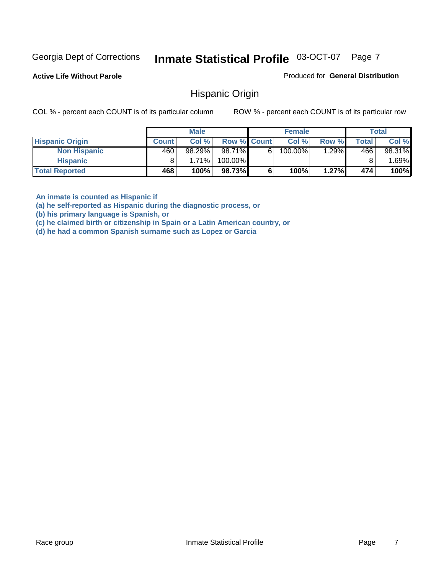**Active Life Without Parole** 

Produced for **General Distribution**

#### Hispanic Origin

COL % - percent each COUNT is of its particular column ROW % - percent each COUNT is of its particular row

|                        |              | <b>Male</b> |                    |    | <b>Female</b> |       |              | <b>Total</b> |
|------------------------|--------------|-------------|--------------------|----|---------------|-------|--------------|--------------|
| <b>Hispanic Origin</b> | <b>Count</b> | Col%        | <b>Row % Count</b> |    | Col %         | Row % | <b>Total</b> | Col %        |
| <b>Non Hispanic</b>    | 460          | $98.29\%$   | 98.71%             | 61 | $100.00\%$    | .29%  | 466          | 98.31%       |
| <b>Hispanic</b>        |              | 1.71%       | 100.00%            |    |               |       |              | .69%         |
| <b>Total Reported</b>  | 468          | 100%        | 98.73%             |    | 100%          | 1.27% | 474          | 100%         |

**An inmate is counted as Hispanic if** 

**(a) he self-reported as Hispanic during the diagnostic process, or** 

**(b) his primary language is Spanish, or** 

**(c) he claimed birth or citizenship in Spain or a Latin American country, or** 

**(d) he had a common Spanish surname such as Lopez or Garcia**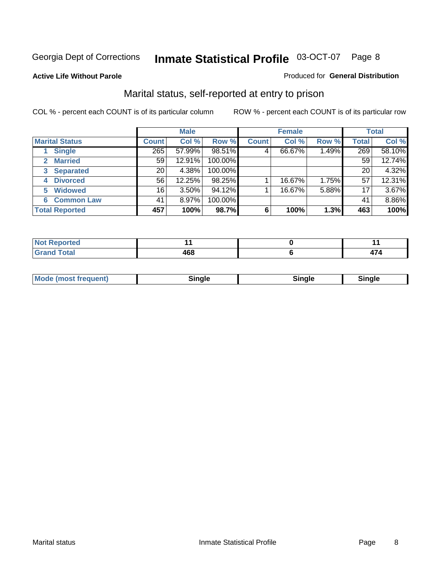#### **Active Life Without Parole**

#### Produced for **General Distribution**

#### Marital status, self-reported at entry to prison

|                        | <b>Male</b>      |          |         | <b>Female</b> |        |       | <b>Total</b> |        |
|------------------------|------------------|----------|---------|---------------|--------|-------|--------------|--------|
| <b>Marital Status</b>  | <b>Count</b>     | Col %    | Row %   | <b>Count</b>  | Col %  | Row % | <b>Total</b> | Col %  |
| <b>Single</b>          | $\overline{265}$ | 57.99%   | 98.51%  | 4             | 66.67% | 1.49% | 269          | 58.10% |
| <b>Married</b><br>2.   | 59               | 12.91%   | 100.00% |               |        |       | 59           | 12.74% |
| <b>Separated</b><br>3  | 20               | 4.38%    | 100.00% |               |        |       | 20           | 4.32%  |
| <b>Divorced</b><br>4   | 56               | 12.25%   | 98.25%  |               | 16.67% | 1.75% | 57           | 12.31% |
| <b>Widowed</b><br>5    | 16               | $3.50\%$ | 94.12%  |               | 16.67% | 5.88% | 17           | 3.67%  |
| <b>Common Law</b><br>6 | 41               | 8.97%    | 100.00% |               |        |       | 41           | 8.86%  |
| <b>Total Reported</b>  | 457              | 100%     | 98.7%   | 6             | 100%   | 1.3%  | 463          | 100%   |

|                | $ -$ |
|----------------|------|
| .<br>.<br>$ -$ | .    |

| <b>Mode (most frequent)</b><br>Sinale<br>™ale |
|-----------------------------------------------|
|-----------------------------------------------|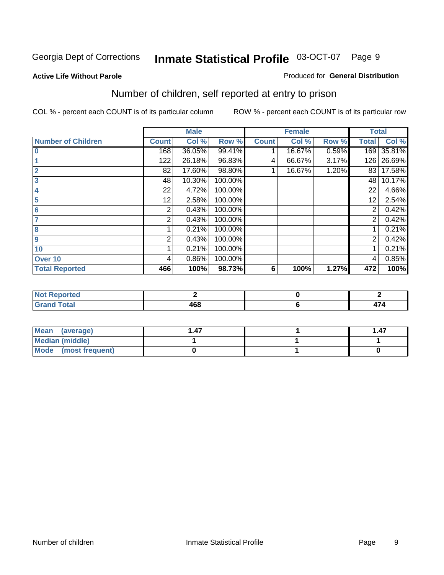#### **Active Life Without Parole**

#### Produced for **General Distribution**

### Number of children, self reported at entry to prison

|                           |              | <b>Male</b> |         |              | <b>Female</b> |       | <b>Total</b>   |        |
|---------------------------|--------------|-------------|---------|--------------|---------------|-------|----------------|--------|
| <b>Number of Children</b> | <b>Count</b> | Col %       | Row %   | <b>Count</b> | Col %         | Row % | <b>Total</b>   | Col %  |
| $\bf{0}$                  | 168          | 36.05%      | 99.41%  |              | 16.67%        | 0.59% | 169            | 35.81% |
|                           | 122          | 26.18%      | 96.83%  | 4            | 66.67%        | 3.17% | 126            | 26.69% |
| $\overline{2}$            | 82           | 17.60%      | 98.80%  |              | 16.67%        | 1.20% | 83             | 17.58% |
| 3                         | 48           | 10.30%      | 100.00% |              |               |       | 48             | 10.17% |
| 4                         | 22           | 4.72%       | 100.00% |              |               |       | 22             | 4.66%  |
| 5                         | 12           | 2.58%       | 100.00% |              |               |       | 12             | 2.54%  |
| $6\phantom{a}$            | 2            | 0.43%       | 100.00% |              |               |       | 2              | 0.42%  |
|                           | 2            | 0.43%       | 100.00% |              |               |       | 2              | 0.42%  |
| 8                         |              | 0.21%       | 100.00% |              |               |       |                | 0.21%  |
| 9                         | 2            | 0.43%       | 100.00% |              |               |       | $\overline{2}$ | 0.42%  |
| 10                        |              | 0.21%       | 100.00% |              |               |       |                | 0.21%  |
| Over 10                   | 4            | 0.86%       | 100.00% |              |               |       | 4              | 0.85%  |
| <b>Total Reported</b>     | 466          | 100%        | 98.73%  | 6            | 100%          | 1.27% | 472            | 100%   |

| ™rteu<br>$\sim$  |      |                          |
|------------------|------|--------------------------|
| <b>otal</b>      | ה הו | $\overline{\phantom{0}}$ |
| $\mathbf{v}$ and | ,uu  | .                        |

| Mean (average)         | . 47 | 1.47 |
|------------------------|------|------|
| <b>Median (middle)</b> |      |      |
| Mode (most frequent)   |      |      |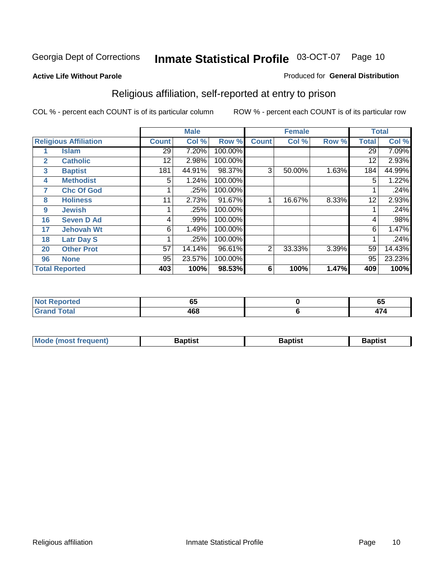#### **Active Life Without Parole**

#### Produced for **General Distribution**

### Religious affiliation, self-reported at entry to prison

|              |                              |              | <b>Male</b> |         |              | <b>Female</b> |       |              | <b>Total</b> |
|--------------|------------------------------|--------------|-------------|---------|--------------|---------------|-------|--------------|--------------|
|              | <b>Religious Affiliation</b> | <b>Count</b> | Col %       | Row %   | <b>Count</b> | Col %         | Row % | <b>Total</b> | Col %        |
|              | <b>Islam</b>                 | 29           | 7.20%       | 100.00% |              |               |       | 29           | 7.09%        |
| $\mathbf{2}$ | <b>Catholic</b>              | 12           | 2.98%       | 100.00% |              |               |       | 12           | 2.93%        |
| 3            | <b>Baptist</b>               | 181          | 44.91%      | 98.37%  | 3            | 50.00%        | 1.63% | 184          | 44.99%       |
| 4            | <b>Methodist</b>             | 5            | 1.24%       | 100.00% |              |               |       | 5            | 1.22%        |
| 7            | <b>Chc Of God</b>            |              | .25%        | 100.00% |              |               |       |              | .24%         |
| 8            | <b>Holiness</b>              | 11           | 2.73%       | 91.67%  |              | 16.67%        | 8.33% | 12           | 2.93%        |
| 9            | <b>Jewish</b>                |              | .25%        | 100.00% |              |               |       |              | .24%         |
| 16           | <b>Seven D Ad</b>            | 4            | .99%        | 100.00% |              |               |       | 4            | .98%         |
| 17           | <b>Jehovah Wt</b>            | 6            | 1.49%       | 100.00% |              |               |       | 6            | 1.47%        |
| 18           | <b>Latr Day S</b>            |              | .25%        | 100.00% |              |               |       |              | .24%         |
| 20           | <b>Other Prot</b>            | 57           | 14.14%      | 96.61%  | 2            | 33.33%        | 3.39% | 59           | 14.43%       |
| 96           | <b>None</b>                  | 95           | 23.57%      | 100.00% |              |               |       | 95           | 23.23%       |
|              | <b>Total Reported</b>        | 403          | 100%        | 98.53%  | 6            | 100%          | 1.47% | 409          | 100%         |

| <b>rted</b> |            | - -                      |
|-------------|------------|--------------------------|
|             | vu         | uj                       |
| 'otal       | "^^<br>40C | $\overline{\phantom{0}}$ |

| <b>Mode (most frequent)</b> | <b>Baptist</b> | <b>Baptist</b> | <b>Baptist</b> |
|-----------------------------|----------------|----------------|----------------|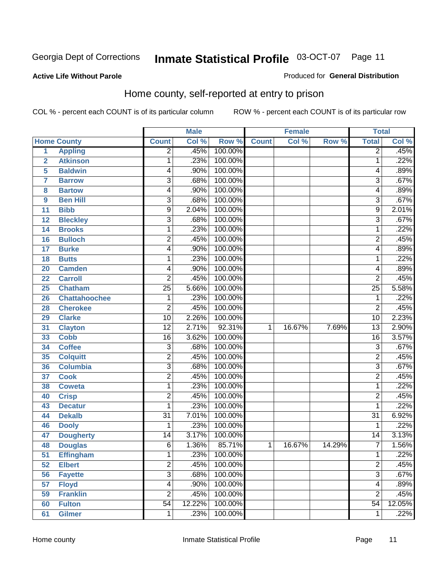#### **Active Life Without Parole**

#### Produced for **General Distribution**

#### Home county, self-reported at entry to prison

|                |                      |                         | <b>Male</b> |         |              | <b>Female</b> |        | <b>Total</b>    |        |
|----------------|----------------------|-------------------------|-------------|---------|--------------|---------------|--------|-----------------|--------|
|                | <b>Home County</b>   | <b>Count</b>            | Col %       | Row %   | <b>Count</b> | Col %         | Row %  | <b>Total</b>    | Col %  |
| 1              | <b>Appling</b>       | $\overline{2}$          | .45%        | 100.00% |              |               |        | $\overline{2}$  | .45%   |
| $\overline{2}$ | <b>Atkinson</b>      | 1                       | .23%        | 100.00% |              |               |        | 1               | .22%   |
| 5              | <b>Baldwin</b>       | 4                       | .90%        | 100.00% |              |               |        | 4               | .89%   |
| 7              | <b>Barrow</b>        | $\overline{3}$          | .68%        | 100.00% |              |               |        | 3               | .67%   |
| 8              | <b>Bartow</b>        | 4                       | .90%        | 100.00% |              |               |        | 4               | .89%   |
| 9              | <b>Ben Hill</b>      | $\overline{3}$          | .68%        | 100.00% |              |               |        | $\overline{3}$  | .67%   |
| 11             | <b>Bibb</b>          | 9                       | 2.04%       | 100.00% |              |               |        | 9               | 2.01%  |
| 12             | <b>Bleckley</b>      | $\overline{3}$          | .68%        | 100.00% |              |               |        | 3               | .67%   |
| 14             | <b>Brooks</b>        | 1                       | .23%        | 100.00% |              |               |        | 1               | .22%   |
| 16             | <b>Bulloch</b>       | $\overline{2}$          | .45%        | 100.00% |              |               |        | $\overline{2}$  | .45%   |
| 17             | <b>Burke</b>         | 4                       | .90%        | 100.00% |              |               |        | 4               | .89%   |
| 18             | <b>Butts</b>         | 1                       | .23%        | 100.00% |              |               |        | 1               | .22%   |
| 20             | <b>Camden</b>        | 4                       | .90%        | 100.00% |              |               |        | 4               | .89%   |
| 22             | <b>Carroll</b>       | $\overline{2}$          | .45%        | 100.00% |              |               |        | $\overline{2}$  | .45%   |
| 25             | <b>Chatham</b>       | $\overline{25}$         | 5.66%       | 100.00% |              |               |        | $\overline{25}$ | 5.58%  |
| 26             | <b>Chattahoochee</b> | 1                       | .23%        | 100.00% |              |               |        | 1               | .22%   |
| 28             | <b>Cherokee</b>      | $\overline{2}$          | .45%        | 100.00% |              |               |        | $\overline{2}$  | .45%   |
| 29             | <b>Clarke</b>        | $\overline{10}$         | 2.26%       | 100.00% |              |               |        | $\overline{10}$ | 2.23%  |
| 31             | <b>Clayton</b>       | $\overline{12}$         | 2.71%       | 92.31%  | 1            | 16.67%        | 7.69%  | $\overline{13}$ | 2.90%  |
| 33             | <b>Cobb</b>          | 16                      | 3.62%       | 100.00% |              |               |        | 16              | 3.57%  |
| 34             | <b>Coffee</b>        | $\overline{3}$          | .68%        | 100.00% |              |               |        | $\overline{3}$  | .67%   |
| 35             | <b>Colquitt</b>      | $\overline{2}$          | .45%        | 100.00% |              |               |        | $\mathbf 2$     | .45%   |
| 36             | <b>Columbia</b>      | $\overline{3}$          | .68%        | 100.00% |              |               |        | $\overline{3}$  | .67%   |
| 37             | <b>Cook</b>          | $\overline{2}$          | .45%        | 100.00% |              |               |        | $\overline{2}$  | .45%   |
| 38             | <b>Coweta</b>        | 1                       | .23%        | 100.00% |              |               |        | 1               | .22%   |
| 40             | <b>Crisp</b>         | $\overline{\mathbf{c}}$ | .45%        | 100.00% |              |               |        | $\overline{2}$  | .45%   |
| 43             | <b>Decatur</b>       | 1                       | .23%        | 100.00% |              |               |        | 1               | .22%   |
| 44             | <b>Dekalb</b>        | $\overline{31}$         | 7.01%       | 100.00% |              |               |        | $\overline{31}$ | 6.92%  |
| 46             | <b>Dooly</b>         | 1                       | .23%        | 100.00% |              |               |        | 1               | .22%   |
| 47             | <b>Dougherty</b>     | 14                      | 3.17%       | 100.00% |              |               |        | $\overline{14}$ | 3.13%  |
| 48             | <b>Douglas</b>       | $\overline{6}$          | 1.36%       | 85.71%  | $\mathbf 1$  | 16.67%        | 14.29% | 7               | 1.56%  |
| 51             | <b>Effingham</b>     | 1                       | .23%        | 100.00% |              |               |        | 1               | .22%   |
| 52             | <b>Elbert</b>        | $\overline{2}$          | .45%        | 100.00% |              |               |        | $\overline{2}$  | .45%   |
| 56             | <b>Fayette</b>       | $\overline{3}$          | .68%        | 100.00% |              |               |        | $\overline{3}$  | .67%   |
| 57             | <b>Floyd</b>         | 4                       | .90%        | 100.00% |              |               |        | 4               | .89%   |
| 59             | <b>Franklin</b>      | $\overline{2}$          | .45%        | 100.00% |              |               |        | $\overline{2}$  | .45%   |
| 60             | <b>Fulton</b>        | $\overline{54}$         | 12.22%      | 100.00% |              |               |        | $\overline{54}$ | 12.05% |
| 61             | <b>Gilmer</b>        | 1                       | .23%        | 100.00% |              |               |        | 1               | .22%   |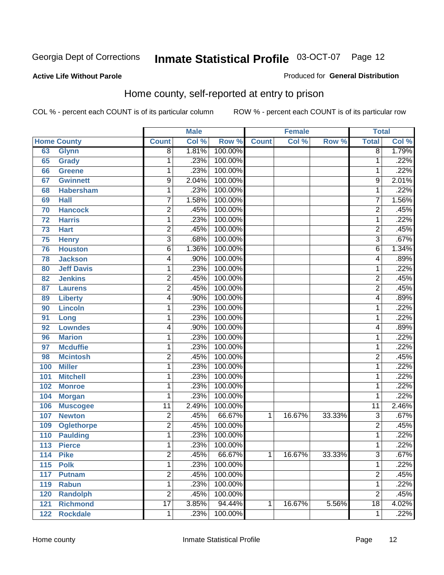#### **Active Life Without Parole**

#### Produced for **General Distribution**

#### Home county, self-reported at entry to prison

|     |                    |                         | <b>Male</b> |         |              | <b>Female</b> |        | <b>Total</b>    |       |
|-----|--------------------|-------------------------|-------------|---------|--------------|---------------|--------|-----------------|-------|
|     | <b>Home County</b> | <b>Count</b>            | Col %       | Row %   | <b>Count</b> | Col %         | Row %  | <b>Total</b>    | Col % |
| 63  | <b>Glynn</b>       | $\overline{8}$          | 1.81%       | 100.00% |              |               |        | $\overline{8}$  | 1.79% |
| 65  | <b>Grady</b>       | 1                       | .23%        | 100.00% |              |               |        | 1               | .22%  |
| 66  | <b>Greene</b>      | $\mathbf 1$             | .23%        | 100.00% |              |               |        | 1               | .22%  |
| 67  | <b>Gwinnett</b>    | 9                       | 2.04%       | 100.00% |              |               |        | 9               | 2.01% |
| 68  | <b>Habersham</b>   | $\mathbf 1$             | .23%        | 100.00% |              |               |        | 1               | .22%  |
| 69  | <b>Hall</b>        | $\overline{7}$          | 1.58%       | 100.00% |              |               |        | 7               | 1.56% |
| 70  | <b>Hancock</b>     | $\overline{2}$          | .45%        | 100.00% |              |               |        | 2               | .45%  |
| 72  | <b>Harris</b>      | 1                       | .23%        | 100.00% |              |               |        | 1               | .22%  |
| 73  | <b>Hart</b>        | $\overline{2}$          | .45%        | 100.00% |              |               |        | 2               | .45%  |
| 75  | <b>Henry</b>       | $\overline{3}$          | .68%        | 100.00% |              |               |        | 3               | .67%  |
| 76  | <b>Houston</b>     | 6                       | 1.36%       | 100.00% |              |               |        | 6               | 1.34% |
| 78  | <b>Jackson</b>     | 4                       | .90%        | 100.00% |              |               |        | 4               | .89%  |
| 80  | <b>Jeff Davis</b>  | 1                       | .23%        | 100.00% |              |               |        | 1               | .22%  |
| 82  | <b>Jenkins</b>     | $\overline{2}$          | .45%        | 100.00% |              |               |        | $\overline{2}$  | .45%  |
| 87  | <b>Laurens</b>     | $\overline{2}$          | .45%        | 100.00% |              |               |        | $\overline{2}$  | .45%  |
| 89  | <b>Liberty</b>     | 4                       | .90%        | 100.00% |              |               |        | 4               | .89%  |
| 90  | <b>Lincoln</b>     | 1                       | .23%        | 100.00% |              |               |        | 1               | .22%  |
| 91  | Long               | 1                       | .23%        | 100.00% |              |               |        | 1               | .22%  |
| 92  | <b>Lowndes</b>     | 4                       | .90%        | 100.00% |              |               |        | 4               | .89%  |
| 96  | <b>Marion</b>      | $\mathbf 1$             | .23%        | 100.00% |              |               |        | 1               | .22%  |
| 97  | <b>Mcduffie</b>    | $\mathbf{1}$            | .23%        | 100.00% |              |               |        | 1               | .22%  |
| 98  | <b>Mcintosh</b>    | $\overline{2}$          | .45%        | 100.00% |              |               |        | $\overline{2}$  | .45%  |
| 100 | <b>Miller</b>      | $\mathbf{1}$            | .23%        | 100.00% |              |               |        | 1               | .22%  |
| 101 | <b>Mitchell</b>    | 1                       | .23%        | 100.00% |              |               |        | 1               | .22%  |
| 102 | <b>Monroe</b>      | 1                       | .23%        | 100.00% |              |               |        | 1               | .22%  |
| 104 | <b>Morgan</b>      | 1                       | .23%        | 100.00% |              |               |        | 1               | .22%  |
| 106 | <b>Muscogee</b>    | $\overline{11}$         | 2.49%       | 100.00% |              |               |        | $\overline{11}$ | 2.46% |
| 107 | <b>Newton</b>      | $\overline{\mathbf{c}}$ | .45%        | 66.67%  | 1            | 16.67%        | 33.33% | $\overline{3}$  | .67%  |
| 109 | <b>Oglethorpe</b>  | $\overline{2}$          | .45%        | 100.00% |              |               |        | $\overline{2}$  | .45%  |
| 110 | <b>Paulding</b>    | 1                       | .23%        | 100.00% |              |               |        | 1               | .22%  |
| 113 | <b>Pierce</b>      | 1                       | .23%        | 100.00% |              |               |        | 1               | .22%  |
| 114 | <b>Pike</b>        | 2                       | .45%        | 66.67%  | 1            | 16.67%        | 33.33% | 3               | .67%  |
| 115 | <b>Polk</b>        | $\mathbf{1}$            | .23%        | 100.00% |              |               |        | 1               | .22%  |
| 117 | <b>Putnam</b>      | $\overline{2}$          | .45%        | 100.00% |              |               |        | 2               | .45%  |
| 119 | <b>Rabun</b>       | $\mathbf 1$             | .23%        | 100.00% |              |               |        | 1               | .22%  |
| 120 | <b>Randolph</b>    | $\overline{2}$          | .45%        | 100.00% |              |               |        | 2               | .45%  |
| 121 | <b>Richmond</b>    | $\overline{17}$         | 3.85%       | 94.44%  | 1            | 16.67%        | 5.56%  | $\overline{18}$ | 4.02% |
| 122 | <b>Rockdale</b>    | $\mathbf{1}$            | .23%        | 100.00% |              |               |        | 1               | .22%  |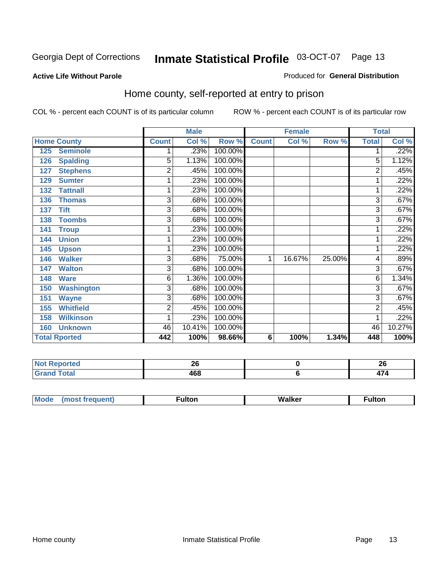#### **Active Life Without Parole**

#### Produced for **General Distribution**

#### Home county, self-reported at entry to prison

|     |                      |                | <b>Male</b> |         |              | <b>Female</b> |        | <b>Total</b>   |        |
|-----|----------------------|----------------|-------------|---------|--------------|---------------|--------|----------------|--------|
|     | <b>Home County</b>   | <b>Count</b>   | Col %       | Row %   | <b>Count</b> | Col %         | Row %  | <b>Total</b>   | Col %  |
| 125 | <b>Seminole</b>      |                | .23%        | 100.00% |              |               |        |                | .22%   |
| 126 | <b>Spalding</b>      | $\overline{5}$ | 1.13%       | 100.00% |              |               |        | 5              | 1.12%  |
| 127 | <b>Stephens</b>      | $\overline{2}$ | .45%        | 100.00% |              |               |        | 2              | .45%   |
| 129 | <b>Sumter</b>        | 1              | .23%        | 100.00% |              |               |        |                | .22%   |
| 132 | <b>Tattnall</b>      | 1              | .23%        | 100.00% |              |               |        | 1              | .22%   |
| 136 | <b>Thomas</b>        | $\overline{3}$ | .68%        | 100.00% |              |               |        | 3              | .67%   |
| 137 | <b>Tift</b>          | 3              | .68%        | 100.00% |              |               |        | 3              | .67%   |
| 138 | <b>Toombs</b>        | 3              | .68%        | 100.00% |              |               |        | $\overline{3}$ | .67%   |
| 141 | <b>Troup</b>         | 1              | .23%        | 100.00% |              |               |        |                | .22%   |
| 144 | <b>Union</b>         | 1              | .23%        | 100.00% |              |               |        |                | .22%   |
| 145 | <b>Upson</b>         | 1              | .23%        | 100.00% |              |               |        |                | .22%   |
| 146 | <b>Walker</b>        | 3              | .68%        | 75.00%  | 1            | 16.67%        | 25.00% | 4              | .89%   |
| 147 | <b>Walton</b>        | 3              | .68%        | 100.00% |              |               |        | 3              | .67%   |
| 148 | <b>Ware</b>          | 6              | 1.36%       | 100.00% |              |               |        | 6              | 1.34%  |
| 150 | <b>Washington</b>    | 3              | .68%        | 100.00% |              |               |        | 3              | .67%   |
| 151 | <b>Wayne</b>         | $\overline{3}$ | .68%        | 100.00% |              |               |        | 3              | .67%   |
| 155 | <b>Whitfield</b>     | $\overline{2}$ | .45%        | 100.00% |              |               |        | 2              | .45%   |
| 158 | <b>Wilkinson</b>     | 1              | .23%        | 100.00% |              |               |        |                | .22%   |
| 160 | <b>Unknown</b>       | 46             | 10.41%      | 100.00% |              |               |        | 46             | 10.27% |
|     | <b>Total Rported</b> | 442            | 100%        | 98.66%  | 6            | 100%          | 1.34%  | 448            | 100%   |

| .<br>Reported | LV.            | ኅር<br>ZV |
|---------------|----------------|----------|
| <b>c</b> otal | <br>l OO<br>__ | .        |

| $^{\circ}$ M <sub>c</sub><br>w | __________ |
|--------------------------------|------------|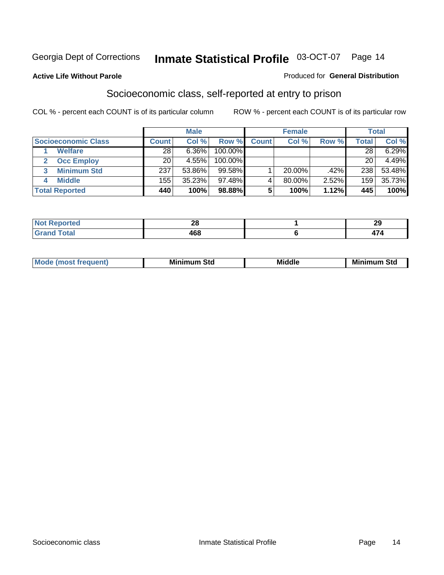#### **Active Life Without Parole**

#### Produced for **General Distribution**

#### Socioeconomic class, self-reported at entry to prison

|                            |              | <b>Male</b> |         |              | <b>Female</b> |       |              | <b>Total</b> |
|----------------------------|--------------|-------------|---------|--------------|---------------|-------|--------------|--------------|
| <b>Socioeconomic Class</b> | <b>Count</b> | Col %       | Row %   | <b>Count</b> | Col %         | Row % | <b>Total</b> | Col %        |
| <b>Welfare</b>             | 28           | 6.36%       | 100.00% |              |               |       | 28           | 6.29%        |
| <b>Occ Employ</b>          | 20           | 4.55%       | 100.00% |              |               |       | 20           | 4.49%        |
| <b>Minimum Std</b>         | 237          | 53.86%      | 99.58%  |              | 20.00%        | .42%  | 238          | 53.48%       |
| <b>Middle</b>              | 155          | 35.23%      | 97.48%I |              | 80.00%        | 2.52% | 159          | 35.73%       |
| <b>Total Reported</b>      | 440          | 100%        | 98.88%  |              | 100%          | 1.12% | 445          | 100%         |

| بمستركب بالتوارد                | nr. | റല  |
|---------------------------------|-----|-----|
| тео                             | Ζu  | ~   |
| $T0+0$<br><b>Oldi</b><br>------ | 468 | . . |

| .<br>___ |
|----------|
|----------|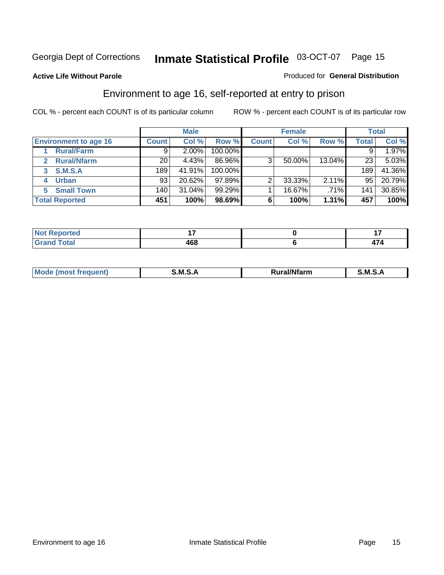#### **Active Life Without Parole**

#### Produced for **General Distribution**

#### Environment to age 16, self-reported at entry to prison

|                                      |              | <b>Male</b> |            |              | <b>Female</b> |        |              | <b>Total</b> |
|--------------------------------------|--------------|-------------|------------|--------------|---------------|--------|--------------|--------------|
| <b>Environment to age 16</b>         | <b>Count</b> | Col %       | Row %      | <b>Count</b> | Col %         | Row %  | <b>Total</b> | Col %        |
| <b>Rural/Farm</b>                    | 9            | $2.00\%$    | 100.00%    |              |               |        |              | 1.97%        |
| <b>Rural/Nfarm</b><br>$\overline{2}$ | 20           | 4.43%       | 86.96%     | 3            | 50.00%        | 13.04% | 23           | 5.03%        |
| <b>S.M.S.A</b><br>3                  | 189          | 41.91%      | $100.00\%$ |              |               |        | 189          | 41.36%       |
| <b>Urban</b>                         | 93           | 20.62%      | $97.89\%$  |              | 33.33%        | 2.11%  | 95           | 20.79%       |
| <b>Small Town</b><br>5.              | 140          | 31.04%      | 99.29%     |              | 16.67%        | .71%   | 141          | 30.85%       |
| <b>Total Reported</b>                | 451          | 100%        | 98.69%     | 6            | 100%          | 1.31%  | 457          | 100%         |

| Reported<br><b>Not</b><br>$\sim$ |     |  |
|----------------------------------|-----|--|
| <b>Grand Total</b>               | 468 |  |

| Mo<br><b>CONTRACTOR</b><br>. M S<br>M<br>---<br>Nfarn<br>.<br>_____<br>______ |  |  |
|-------------------------------------------------------------------------------|--|--|
|                                                                               |  |  |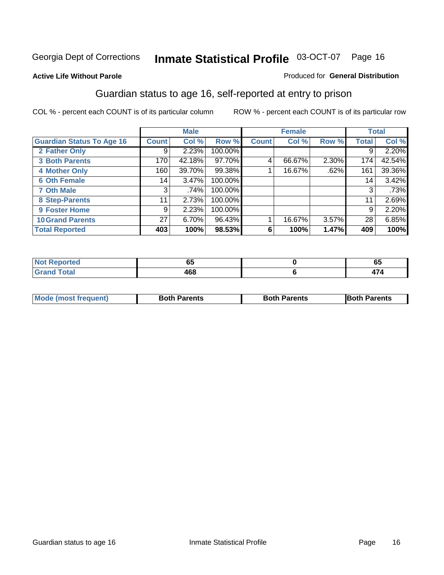#### **Active Life Without Parole**

#### Produced for **General Distribution**

#### Guardian status to age 16, self-reported at entry to prison

|                                  |                 | <b>Male</b> |         |              | <b>Female</b> |       |              | <b>Total</b> |
|----------------------------------|-----------------|-------------|---------|--------------|---------------|-------|--------------|--------------|
| <b>Guardian Status To Age 16</b> | <b>Count</b>    | Col %       | Row %   | <b>Count</b> | Col %         | Row % | <b>Total</b> | Col %        |
| 2 Father Only                    | 9               | 2.23%       | 100.00% |              |               |       | 9            | 2.20%        |
| <b>3 Both Parents</b>            | 170             | 42.18%      | 97.70%  | 4            | 66.67%        | 2.30% | 174          | 42.54%       |
| <b>4 Mother Only</b>             | 160             | 39.70%      | 99.38%  |              | 16.67%        | .62%  | 161          | 39.36%       |
| <b>6 Oth Female</b>              | 14              | $3.47\%$    | 100.00% |              |               |       | 14           | 3.42%        |
| <b>7 Oth Male</b>                | 3               | .74%        | 100.00% |              |               |       | 3            | .73%         |
| 8 Step-Parents                   | 11              | 2.73%       | 100.00% |              |               |       | 11           | 2.69%        |
| 9 Foster Home                    | 9               | 2.23%       | 100.00% |              |               |       | 9            | 2.20%        |
| <b>10 Grand Parents</b>          | 27 <sup>1</sup> | 6.70%       | 96.43%  |              | 16.67%        | 3.57% | 28           | 6.85%        |
| <b>Total Reported</b>            | 403             | 100%        | 98.53%  | 6            | 100%          | 1.47% | 409          | 100%         |

| .             | $-$<br>vu  | ັບວ       |
|---------------|------------|-----------|
| <u>i vlai</u> | ה הו<br>טט | <br>– 1 – |

| Mode (most frequent) | <b>Both Parents</b> | <b>Both Parents</b> | <b>IBoth Parents</b> |
|----------------------|---------------------|---------------------|----------------------|
|                      |                     |                     |                      |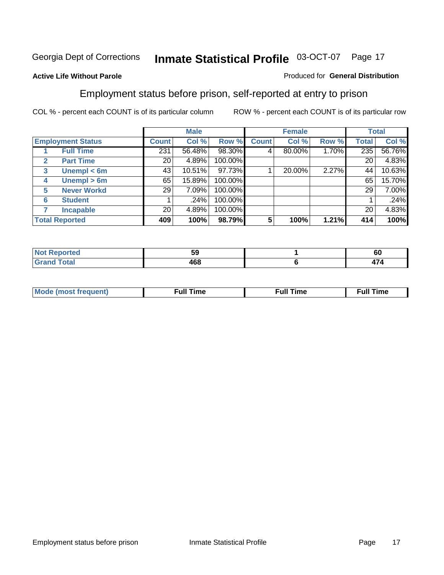#### **Active Life Without Parole**

#### Produced for **General Distribution**

#### Employment status before prison, self-reported at entry to prison

|              |                          |              | <b>Male</b> |         |              | <b>Female</b> |       |              | <b>Total</b> |
|--------------|--------------------------|--------------|-------------|---------|--------------|---------------|-------|--------------|--------------|
|              | <b>Employment Status</b> | <b>Count</b> | Col %       | Row %   | <b>Count</b> | Col %         | Row % | <b>Total</b> | Col %        |
|              | <b>Full Time</b>         | 231          | 56.48%      | 98.30%  | 4            | 80.00%        | 1.70% | 235          | 56.76%       |
| $\mathbf{2}$ | <b>Part Time</b>         | 20           | 4.89%       | 100.00% |              |               |       | 20           | 4.83%        |
| 3            | Unempl $<$ 6m            | 43           | 10.51%      | 97.73%  |              | 20.00%        | 2.27% | 44           | 10.63%       |
| 4            | Unempl $> 6m$            | 65           | 15.89%      | 100.00% |              |               |       | 65           | 15.70%       |
| 5            | <b>Never Workd</b>       | 29           | 7.09%       | 100.00% |              |               |       | 29           | 7.00%        |
| 6            | <b>Student</b>           |              | .24%        | 100.00% |              |               |       |              | .24%         |
|              | <b>Incapable</b>         | 20           | 4.89%       | 100.00% |              |               |       | 20           | 4.83%        |
|              | <b>Total Reported</b>    | 409          | 100%        | 98.79%  | 5            | 100%          | 1.21% | 414          | 100%         |

| чно                         | יי<br>Ja | c c<br>τoυ     |
|-----------------------------|----------|----------------|
| <b>Total</b><br>$- - - - -$ | 168      | -- -<br>-<br>. |

| <b>M</b> ດ | the contract of the contract of the contract of the contract of the contract of the contract of the contract of | , ull i<br>ıme | ïme<br>uı<br>$\sim$ $\sim$ $\sim$ $\sim$ $\sim$ |
|------------|-----------------------------------------------------------------------------------------------------------------|----------------|-------------------------------------------------|
|            |                                                                                                                 |                |                                                 |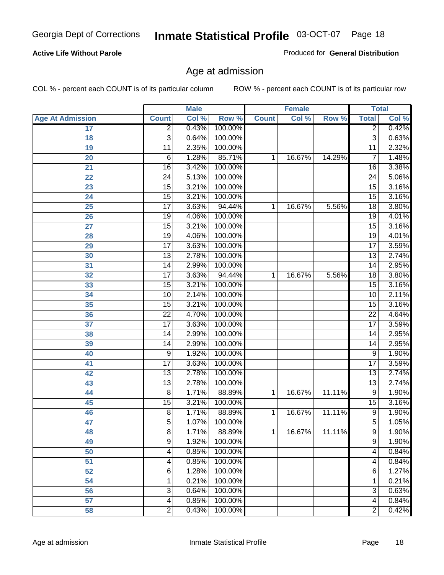#### **Active Life Without Parole**

Produced for **General Distribution**

#### Age at admission

|                         |                 | <b>Male</b> |         |              | <b>Female</b> |        |                 | <b>Total</b> |
|-------------------------|-----------------|-------------|---------|--------------|---------------|--------|-----------------|--------------|
| <b>Age At Admission</b> | <b>Count</b>    | Col %       | Row %   | <b>Count</b> | Col %         | Row %  | <b>Total</b>    | Col %        |
| 17                      | $\overline{2}$  | 0.43%       | 100.00% |              |               |        | $\overline{2}$  | 0.42%        |
| 18                      | 3               | 0.64%       | 100.00% |              |               |        | $\overline{3}$  | 0.63%        |
| 19                      | $\overline{11}$ | 2.35%       | 100.00% |              |               |        | 11              | 2.32%        |
| 20                      | 6               | 1.28%       | 85.71%  | 1            | 16.67%        | 14.29% | 7               | 1.48%        |
| 21                      | $\overline{16}$ | 3.42%       | 100.00% |              |               |        | 16              | 3.38%        |
| 22                      | $\overline{24}$ | 5.13%       | 100.00% |              |               |        | 24              | 5.06%        |
| 23                      | $\overline{15}$ | 3.21%       | 100.00% |              |               |        | $\overline{15}$ | 3.16%        |
| 24                      | $\overline{15}$ | 3.21%       | 100.00% |              |               |        | 15              | 3.16%        |
| $\overline{25}$         | $\overline{17}$ | 3.63%       | 94.44%  | 1            | 16.67%        | 5.56%  | 18              | 3.80%        |
| 26                      | 19              | 4.06%       | 100.00% |              |               |        | 19              | 4.01%        |
| 27                      | $\overline{15}$ | 3.21%       | 100.00% |              |               |        | $\overline{15}$ | 3.16%        |
| 28                      | 19              | 4.06%       | 100.00% |              |               |        | 19              | 4.01%        |
| 29                      | $\overline{17}$ | 3.63%       | 100.00% |              |               |        | $\overline{17}$ | 3.59%        |
| 30                      | $\overline{13}$ | 2.78%       | 100.00% |              |               |        | 13              | 2.74%        |
| 31                      | $\overline{14}$ | 2.99%       | 100.00% |              |               |        | $\overline{14}$ | 2.95%        |
| 32                      | $\overline{17}$ | 3.63%       | 94.44%  | 1            | 16.67%        | 5.56%  | 18              | 3.80%        |
| 33                      | 15              | 3.21%       | 100.00% |              |               |        | 15              | 3.16%        |
| 34                      | 10              | 2.14%       | 100.00% |              |               |        | 10              | 2.11%        |
| 35                      | $\overline{15}$ | 3.21%       | 100.00% |              |               |        | $\overline{15}$ | 3.16%        |
| 36                      | $\overline{22}$ | 4.70%       | 100.00% |              |               |        | $\overline{22}$ | 4.64%        |
| 37                      | $\overline{17}$ | 3.63%       | 100.00% |              |               |        | $\overline{17}$ | 3.59%        |
| 38                      | $\overline{14}$ | 2.99%       | 100.00% |              |               |        | 14              | 2.95%        |
| 39                      | $\overline{14}$ | 2.99%       | 100.00% |              |               |        | 14              | 2.95%        |
| 40                      | 9               | 1.92%       | 100.00% |              |               |        | 9               | 1.90%        |
| 41                      | $\overline{17}$ | 3.63%       | 100.00% |              |               |        | $\overline{17}$ | 3.59%        |
| 42                      | $\overline{13}$ | 2.78%       | 100.00% |              |               |        | 13              | 2.74%        |
| 43                      | $\overline{13}$ | 2.78%       | 100.00% |              |               |        | $\overline{13}$ | 2.74%        |
| 44                      | $\overline{8}$  | 1.71%       | 88.89%  | 1            | 16.67%        | 11.11% | 9               | 1.90%        |
| 45                      | $\overline{15}$ | 3.21%       | 100.00% |              |               |        | $\overline{15}$ | 3.16%        |
| 46                      | $\overline{8}$  | 1.71%       | 88.89%  | 1            | 16.67%        | 11.11% | $\overline{9}$  | 1.90%        |
| 47                      | $\overline{5}$  | 1.07%       | 100.00% |              |               |        | $\overline{5}$  | 1.05%        |
| 48                      | 8               | 1.71%       | 88.89%  | 1            | 16.67%        | 11.11% | 9               | 1.90%        |
| 49                      | $\overline{9}$  | 1.92%       | 100.00% |              |               |        | $\overline{9}$  | 1.90%        |
| 50                      | 4               | 0.85%       | 100.00% |              |               |        | 4               | 0.84%        |
| 51                      | 4               | 0.85%       | 100.00% |              |               |        | $\overline{4}$  | 0.84%        |
| 52                      | 6               | 1.28%       | 100.00% |              |               |        | 6               | 1.27%        |
| 54                      | 1               | 0.21%       | 100.00% |              |               |        | 1               | 0.21%        |
| 56                      | 3               | 0.64%       | 100.00% |              |               |        | $\overline{3}$  | 0.63%        |
| 57                      | 4               | 0.85%       | 100.00% |              |               |        | $\overline{4}$  | 0.84%        |
| 58                      | $\overline{2}$  | 0.43%       | 100.00% |              |               |        | $\overline{2}$  | 0.42%        |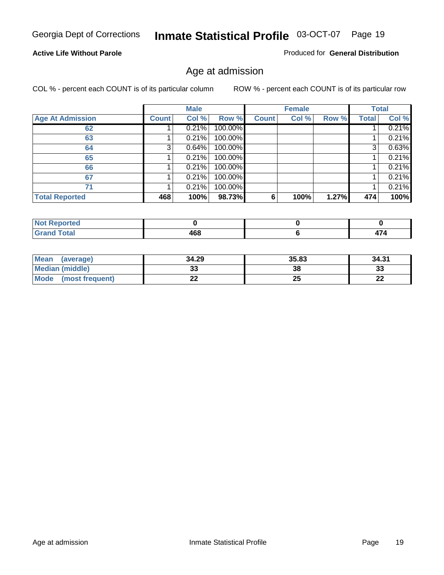#### **Active Life Without Parole**

Produced for **General Distribution**

#### Age at admission

|                         |              | <b>Male</b> |         |              | <b>Female</b> |       |              | <b>Total</b> |
|-------------------------|--------------|-------------|---------|--------------|---------------|-------|--------------|--------------|
| <b>Age At Admission</b> | <b>Count</b> | Col %       | Row %   | <b>Count</b> | Col %         | Row % | <b>Total</b> | Col %        |
| 62                      |              | 0.21%       | 100.00% |              |               |       |              | 0.21%        |
| 63                      |              | 0.21%       | 100.00% |              |               |       |              | 0.21%        |
| 64                      | 3            | 0.64%       | 100.00% |              |               |       | 3            | 0.63%        |
| 65                      |              | 0.21%       | 100.00% |              |               |       |              | 0.21%        |
| 66                      |              | 0.21%       | 100.00% |              |               |       |              | 0.21%        |
| 67                      |              | 0.21%       | 100.00% |              |               |       |              | 0.21%        |
| 71                      |              | 0.21%       | 100.00% |              |               |       |              | 0.21%        |
| <b>Total Reported</b>   | 468          | 100%        | 98.73%  | 6            | 100%          | 1.27% | 474          | 100%         |

| ____ | 468<br>- - | $-$<br>−<br>. |
|------|------------|---------------|

| <b>Mean</b><br>(average)       | 34.29 | 35.83 | 34.31     |
|--------------------------------|-------|-------|-----------|
| Median (middle)                | აა    | 38    | 33        |
| <b>Mode</b><br>(most frequent) | LL    | 25    | nn.<br>LL |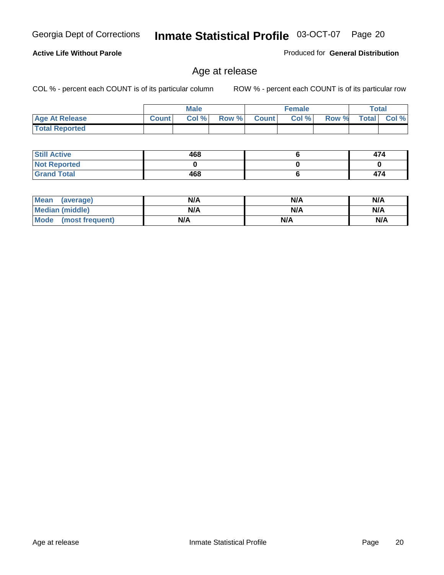#### **Active Life Without Parole**

Produced for **General Distribution**

#### Age at release

|                       |              | <b>Male</b> |       |              | <b>Female</b> |       | <b>Total</b> |          |
|-----------------------|--------------|-------------|-------|--------------|---------------|-------|--------------|----------|
| <b>Age At Release</b> | <b>Count</b> | Col%        | Row % | <b>Count</b> | Col %         | Row % | <b>Total</b> | $CoI \%$ |
| <b>Total Reported</b> |              |             |       |              |               |       |              |          |

| <b>Still Active</b> | 468 | 474 |
|---------------------|-----|-----|
| <b>Not Reported</b> |     |     |
| <b>Grand Total</b>  | 468 | 474 |

| <b>Mean</b><br>(average) | N/A | N/A | N/A |
|--------------------------|-----|-----|-----|
| Median (middle)          | N/A | N/A | N/A |
| Mode<br>(most frequent)  | N/A | N/A | N/A |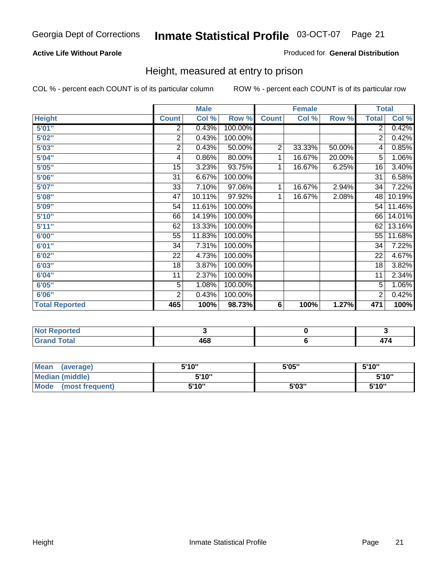#### **Active Life Without Parole**

#### Produced for **General Distribution**

#### Height, measured at entry to prison

|                       |                 | <b>Male</b> |         |                | <b>Female</b> |        | <b>Total</b>    |        |
|-----------------------|-----------------|-------------|---------|----------------|---------------|--------|-----------------|--------|
| <b>Height</b>         | <b>Count</b>    | Col %       | Row %   | <b>Count</b>   | Col %         | Row %  | <b>Total</b>    | Col %  |
| 5'01''                | 2               | 0.43%       | 100.00% |                |               |        | 2               | 0.42%  |
| 5'02"                 | $\overline{c}$  | 0.43%       | 100.00% |                |               |        | 2               | 0.42%  |
| 5'03"                 | 2               | 0.43%       | 50.00%  | $\overline{c}$ | 33.33%        | 50.00% | 4               | 0.85%  |
| 5'04"                 | 4               | 0.86%       | 80.00%  | 1              | 16.67%        | 20.00% | 5               | 1.06%  |
| 5'05"                 | 15              | 3.23%       | 93.75%  | 1              | 16.67%        | 6.25%  | 16              | 3.40%  |
| 5'06"                 | 31              | 6.67%       | 100.00% |                |               |        | $\overline{31}$ | 6.58%  |
| 5'07''                | 33              | 7.10%       | 97.06%  | 1              | 16.67%        | 2.94%  | 34              | 7.22%  |
| 5'08"                 | $\overline{47}$ | 10.11%      | 97.92%  | 1              | 16.67%        | 2.08%  | 48              | 10.19% |
| 5'09"                 | 54              | 11.61%      | 100.00% |                |               |        | 54              | 11.46% |
| 5'10''                | 66              | 14.19%      | 100.00% |                |               |        | 66              | 14.01% |
| 5'11''                | 62              | 13.33%      | 100.00% |                |               |        | 62              | 13.16% |
| 6'00"                 | 55              | 11.83%      | 100.00% |                |               |        | 55              | 11.68% |
| 6'01"                 | 34              | 7.31%       | 100.00% |                |               |        | 34              | 7.22%  |
| 6'02''                | 22              | 4.73%       | 100.00% |                |               |        | 22              | 4.67%  |
| 6'03"                 | 18              | 3.87%       | 100.00% |                |               |        | 18              | 3.82%  |
| 6'04"                 | 11              | 2.37%       | 100.00% |                |               |        | 11              | 2.34%  |
| 6'05"                 | $\overline{5}$  | 1.08%       | 100.00% |                |               |        | 5               | 1.06%  |
| 6'06"                 | $\overline{2}$  | 0.43%       | 100.00% |                |               |        | 2               | 0.42%  |
| <b>Total Reported</b> | 465             | 100%        | 98.73%  | 6              | 100%          | 1.27%  | 471             | 100%   |

| oorted<br>NG<br>$\cdots$         |     |  |
|----------------------------------|-----|--|
| $int^{\bullet}$<br>---<br>______ | 468 |  |

| Mean<br>(average)              | 5'10" | 5'05" | 5'10" |
|--------------------------------|-------|-------|-------|
| Median (middle)                | 5'10" |       | 5'10" |
| <b>Mode</b><br>(most frequent) | 5'10" | 5'03" | 5'10" |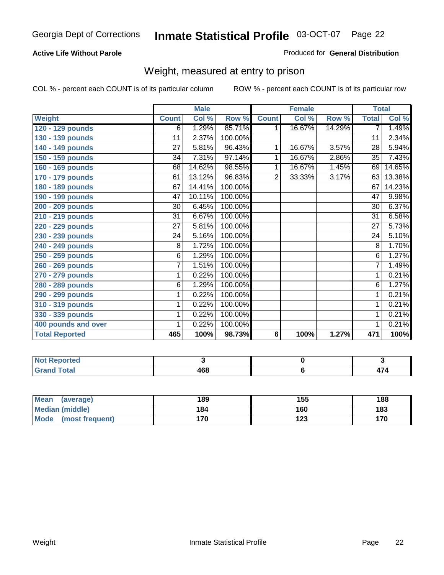#### **Active Life Without Parole**

#### Produced for **General Distribution**

#### Weight, measured at entry to prison

|                       |                 | <b>Male</b> |         |                | <b>Female</b> |        |                 | <b>Total</b> |
|-----------------------|-----------------|-------------|---------|----------------|---------------|--------|-----------------|--------------|
| <b>Weight</b>         | <b>Count</b>    | Col %       | Row %   | <b>Count</b>   | Col %         | Row %  | <b>Total</b>    | Col %        |
| 120 - 129 pounds      | $\overline{6}$  | 1.29%       | 85.71%  | 1              | 16.67%        | 14.29% | 7               | 1.49%        |
| 130 - 139 pounds      | $\overline{11}$ | 2.37%       | 100.00% |                |               |        | 11              | 2.34%        |
| 140 - 149 pounds      | 27              | 5.81%       | 96.43%  | 1              | 16.67%        | 3.57%  | $\overline{28}$ | 5.94%        |
| 150 - 159 pounds      | 34              | 7.31%       | 97.14%  | 1              | 16.67%        | 2.86%  | $\overline{35}$ | 7.43%        |
| 160 - 169 pounds      | 68              | 14.62%      | 98.55%  | 1              | 16.67%        | 1.45%  | 69              | 14.65%       |
| 170 - 179 pounds      | 61              | 13.12%      | 96.83%  | $\overline{2}$ | 33.33%        | 3.17%  | 63              | 13.38%       |
| 180 - 189 pounds      | 67              | 14.41%      | 100.00% |                |               |        | 67              | 14.23%       |
| 190 - 199 pounds      | 47              | 10.11%      | 100.00% |                |               |        | 47              | 9.98%        |
| 200 - 209 pounds      | 30              | 6.45%       | 100.00% |                |               |        | 30              | 6.37%        |
| 210 - 219 pounds      | 31              | 6.67%       | 100.00% |                |               |        | $\overline{31}$ | 6.58%        |
| 220 - 229 pounds      | 27              | 5.81%       | 100.00% |                |               |        | 27              | 5.73%        |
| 230 - 239 pounds      | 24              | 5.16%       | 100.00% |                |               |        | $\overline{24}$ | 5.10%        |
| 240 - 249 pounds      | $\overline{8}$  | 1.72%       | 100.00% |                |               |        | 8               | 1.70%        |
| 250 - 259 pounds      | 6               | 1.29%       | 100.00% |                |               |        | 6               | 1.27%        |
| 260 - 269 pounds      | $\overline{7}$  | 1.51%       | 100.00% |                |               |        | $\overline{7}$  | 1.49%        |
| 270 - 279 pounds      | 1               | 0.22%       | 100.00% |                |               |        | 1               | 0.21%        |
| 280 - 289 pounds      | 6               | 1.29%       | 100.00% |                |               |        | 6               | 1.27%        |
| 290 - 299 pounds      | 1               | 0.22%       | 100.00% |                |               |        | 1               | 0.21%        |
| 310 - 319 pounds      | 1               | 0.22%       | 100.00% |                |               |        | 1               | 0.21%        |
| 330 - 339 pounds      | 1               | 0.22%       | 100.00% |                |               |        | 1               | 0.21%        |
| 400 pounds and over   | 1               | 0.22%       | 100.00% |                |               |        | 1               | 0.21%        |
| <b>Total Reported</b> | 465             | 100%        | 98.73%  | 6              | 100%          | 1.27%  | 471             | 100%         |

| .<br>NO.<br>ported         |                 |      |
|----------------------------|-----------------|------|
| `otal<br>. .<br>_<br>_____ | ,,,<br>юu<br>__ | TI T |

| Mean<br>(average)       | 189 | 155 | 188 |
|-------------------------|-----|-----|-----|
| Median (middle)         | 184 | 160 | 183 |
| Mode<br>(most frequent) | 170 | 123 | 170 |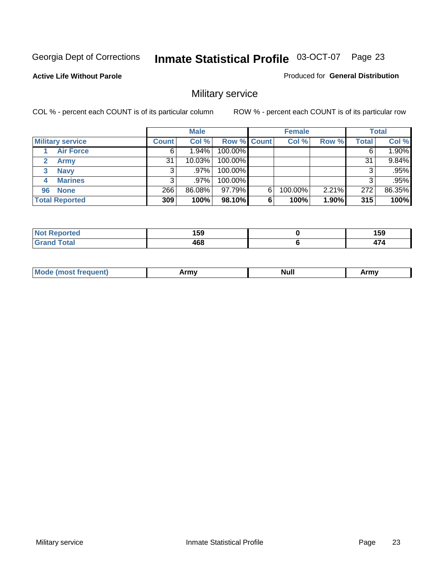**Active Life Without Parole** 

Produced for **General Distribution**

### Military service

|                             |              | <b>Male</b> |             |   | <b>Female</b> |       |       | <b>Total</b> |
|-----------------------------|--------------|-------------|-------------|---|---------------|-------|-------|--------------|
| <b>Military service</b>     | <b>Count</b> | Col %       | Row % Count |   | Col %         | Row % | Total | Col %        |
| <b>Air Force</b>            | 6            | $1.94\%$    | 100.00%     |   |               |       | 6     | 1.90%        |
| <b>Army</b><br>$\mathbf{2}$ | 31           | $10.03\%$   | 100.00%     |   |               |       | 31    | 9.84%        |
| <b>Navy</b><br>3            |              | $.97\%$     | 100.00%     |   |               |       | 3     | .95%         |
| <b>Marines</b><br>4         | 3            | $.97\%$     | 100.00%     |   |               |       | 3     | .95%         |
| 96 None                     | 266          | 86.08%      | 97.79%      | 6 | 100.00%       | 2.21% | 272   | 86.35%       |
| <b>Total Reported</b>       | 309          | 100%        | 98.10%      | 6 | 100%          | 1.90% | 315   | 100%         |

| rted -                | 159<br>__         | 159<br>__                |
|-----------------------|-------------------|--------------------------|
| $f \wedge f \wedge f$ | <b>AGS</b><br>+vo | $\overline{\phantom{a}}$ |

|  | - -<br>M | ------<br>,,,,,, | . .<br>Nul. | $\cdots$<br><b>THEFT</b> |
|--|----------|------------------|-------------|--------------------------|
|--|----------|------------------|-------------|--------------------------|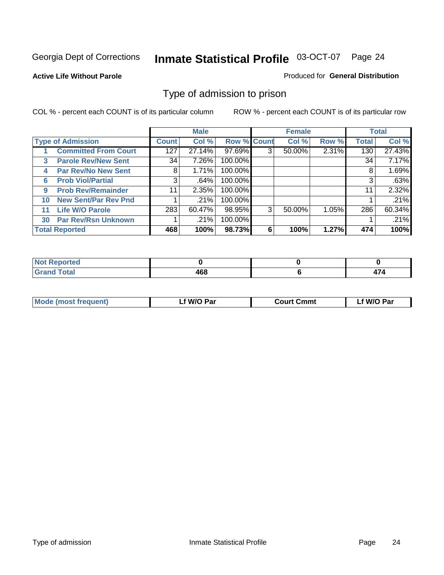#### **Active Life Without Parole**

#### Produced for **General Distribution**

#### Type of admission to prison

|              |                             |              | <b>Male</b> |                    |   | <b>Female</b> |       |              | <b>Total</b> |
|--------------|-----------------------------|--------------|-------------|--------------------|---|---------------|-------|--------------|--------------|
|              | <b>Type of Admission</b>    | <b>Count</b> | Col %       | <b>Row % Count</b> |   | Col %         | Row % | <b>Total</b> | Col %        |
|              | <b>Committed From Court</b> | 127          | 27.14%      | 97.69%             | 3 | 50.00%        | 2.31% | 130          | 27.43%       |
| $\mathbf{3}$ | <b>Parole Rev/New Sent</b>  | 34           | 7.26%       | 100.00%            |   |               |       | 34           | 7.17%        |
| 4            | <b>Par Rev/No New Sent</b>  | 8            | 1.71%       | 100.00%            |   |               |       | 8            | 1.69%        |
| 6            | <b>Prob Viol/Partial</b>    | 3            | .64%        | 100.00%            |   |               |       | 3            | .63%         |
| 9            | <b>Prob Rev/Remainder</b>   | 11           | 2.35%       | 100.00%            |   |               |       | 11           | 2.32%        |
| 10           | <b>New Sent/Par Rev Pnd</b> |              | .21%        | 100.00%            |   |               |       |              | .21%         |
| 11           | <b>Life W/O Parole</b>      | 283          | 60.47%      | 98.95%             | 3 | 50.00%        | 1.05% | 286          | 60.34%       |
| 30           | <b>Par Rev/Rsn Unknown</b>  |              | .21%        | 100.00%            |   |               |       |              | .21%         |
|              | <b>Total Reported</b>       | 468          | 100%        | 98.73%             | 6 | 100%          | 1.27% | 474          | 100%         |

| <b>Reported</b><br>NOT<br>.     |     |  |
|---------------------------------|-----|--|
| <b>Total</b><br>Grs<br>$\sim$ . | ההו |  |

| <b>Mode (most frequent)</b> | <b>W/O Par</b> | <b>Court Cmmt</b> | M/O Par |
|-----------------------------|----------------|-------------------|---------|
|                             |                |                   |         |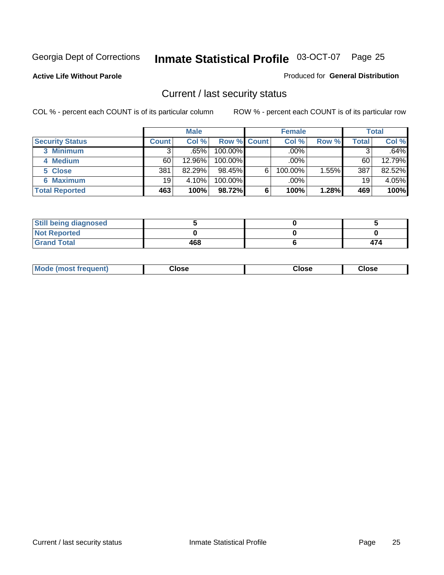**Active Life Without Parole** 

Produced for **General Distribution**

#### Current / last security status

|                        |              | <b>Male</b> |                    |   | <b>Female</b> |       |       | <b>Total</b> |
|------------------------|--------------|-------------|--------------------|---|---------------|-------|-------|--------------|
| <b>Security Status</b> | <b>Count</b> | Col %       | <b>Row % Count</b> |   | Col %         | Row % | Total | Col %        |
| 3 Minimum              | 3            | .65%        | $100.00\%$         |   | .00%          |       |       | .64%         |
| 4 Medium               | 60           | 12.96%      | $100.00\%$         |   | $.00\%$       |       | 60    | 12.79%       |
| 5 Close                | 381          | 82.29%      | $98.45\%$          | 6 | 100.00%       | 1.55% | 387   | 82.52%       |
| <b>6 Maximum</b>       | 19           | 4.10%       | 100.00%            |   | .00%          |       | 19    | 4.05%        |
| <b>Total Reported</b>  | 463          | 100%        | 98.72%             | 6 | 100%          | 1.28% | 469   | 100%         |

| <b>Still being diagnosed</b> |     |     |
|------------------------------|-----|-----|
| <b>Not Reported</b>          |     |     |
| <b>Grand Total</b>           | 468 | 474 |

|  | Mo<br>frequent)<br>ww | Close<br>. | ાose<br>. | <b>OSE</b><br>. |
|--|-----------------------|------------|-----------|-----------------|
|--|-----------------------|------------|-----------|-----------------|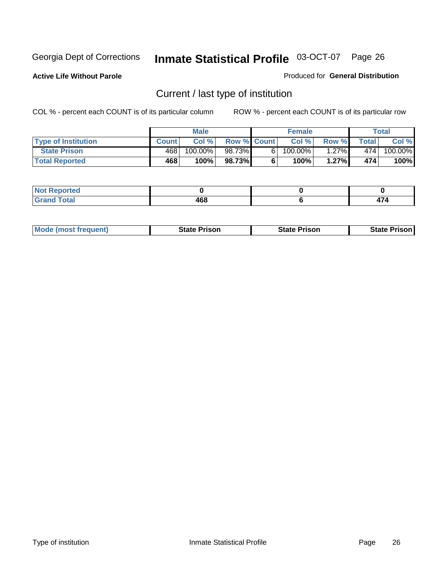**Active Life Without Parole** 

Produced for **General Distribution**

### Current / last type of institution

|                            |              | <b>Male</b> |                    | <b>Female</b> |          |        | Total   |
|----------------------------|--------------|-------------|--------------------|---------------|----------|--------|---------|
| <b>Type of Institution</b> | <b>Count</b> | Col%        | <b>Row % Count</b> | Col %         | Row %I   | Totall | Col %   |
| <b>State Prison</b>        | 468          | 100.00%     | 98.73%             | $100.00\%$    | $1.27\%$ | 474    | 100.00% |
| <b>Total Reported</b>      | 468          | 100%        | 98.73%             | $100\%$       | 1.27%    | 474    | 100%    |

| <b>rted</b><br>. |                  |  |
|------------------|------------------|--|
| $\sim$           | AC<br>.u<br>$ -$ |  |

| <b>Mode (most frequent)</b> | <b>State Prison</b> | <b>State Prison</b> | <b>State Prison I</b> |
|-----------------------------|---------------------|---------------------|-----------------------|
|                             |                     |                     |                       |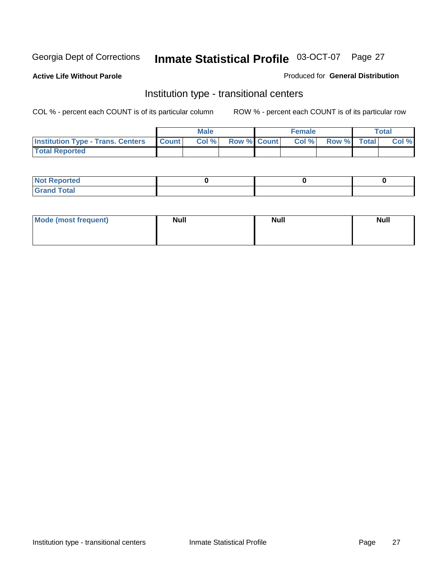**Active Life Without Parole** 

Produced for **General Distribution**

#### Institution type - transitional centers

|                                          |              | <b>Male</b> |                    | <b>Female</b> |             | Total |
|------------------------------------------|--------------|-------------|--------------------|---------------|-------------|-------|
| <b>Institution Type - Trans. Centers</b> | <b>Count</b> | Col%        | <b>Row % Count</b> | Col %         | Row % Total | Col % |
| <b>Total Reported</b>                    |              |             |                    |               |             |       |

| rtea<br>20 NGL 2<br>  |  |  |
|-----------------------|--|--|
| into!<br>---<br>_____ |  |  |

| Mode (most frequent) | <b>Null</b> | <b>Null</b> | <b>Null</b> |
|----------------------|-------------|-------------|-------------|
|                      |             |             |             |
|                      |             |             |             |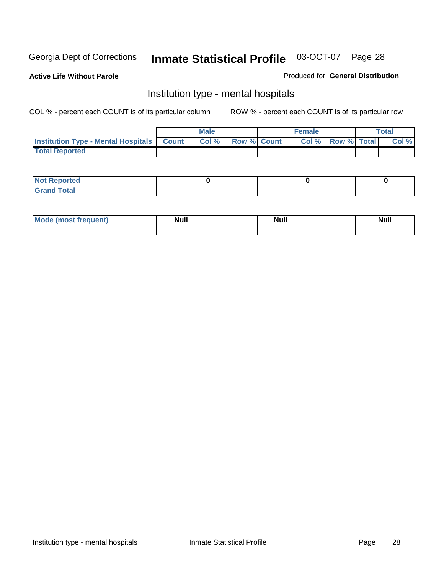**Active Life Without Parole** 

Produced for **General Distribution**

#### Institution type - mental hospitals

|                                                    | Male |                    | <b>Female</b> |                    | <b>Total</b> |
|----------------------------------------------------|------|--------------------|---------------|--------------------|--------------|
| <b>Institution Type - Mental Hospitals Count  </b> | Col% | <b>Row % Count</b> | Col%          | <b>Row % Total</b> | Col %        |
| <b>Total Reported</b>                              |      |                    |               |                    |              |

| <b>Not Reported</b> |  |  |
|---------------------|--|--|
| <b>Total</b><br>Cro |  |  |

| Mode (most frequent) | <b>Null</b> | <b>Null</b> | <b>Null</b> |
|----------------------|-------------|-------------|-------------|
|                      |             |             |             |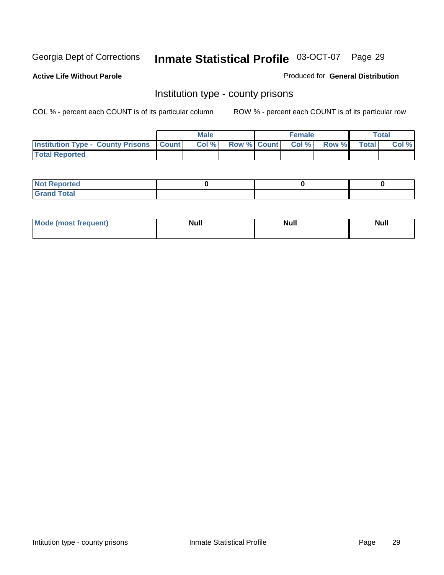**Active Life Without Parole** 

Produced for **General Distribution**

#### Institution type - county prisons

|                                                    | <b>Male</b> |                          | <b>Female</b> |       |              | Total |
|----------------------------------------------------|-------------|--------------------------|---------------|-------|--------------|-------|
| <b>Institution Type - County Prisons   Count  </b> | Col %       | <b>Row % Count Col %</b> |               | Row % | <b>Total</b> | Col % |
| <b>Total Reported</b>                              |             |                          |               |       |              |       |

| <b>Not</b><br><b>Reported</b> |  |  |
|-------------------------------|--|--|
| <b>Grand Total</b>            |  |  |

| Mode (m<br>frequent):<br>nnst | Moll<br>чин.<br>______ | <b>Moll</b> | <b>Null</b> |
|-------------------------------|------------------------|-------------|-------------|
|                               |                        |             |             |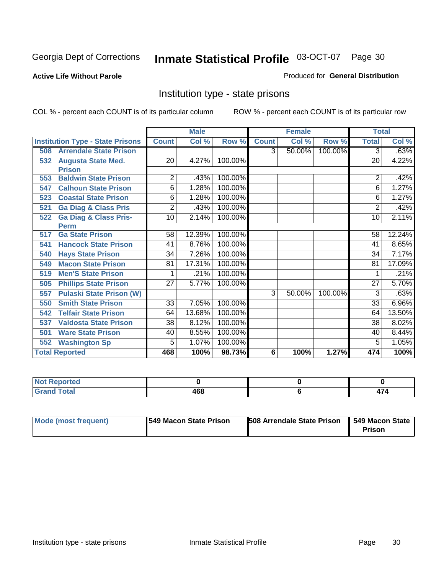#### **Active Life Without Parole**

#### Produced for **General Distribution**

#### Institution type - state prisons

|                                         |                 | <b>Male</b> |         |              | <b>Female</b> |         | <b>Total</b>    |        |
|-----------------------------------------|-----------------|-------------|---------|--------------|---------------|---------|-----------------|--------|
| <b>Institution Type - State Prisons</b> | <b>Count</b>    | Col %       | Row %   | <b>Count</b> | Col %         | Row %   | <b>Total</b>    | Col %  |
| <b>Arrendale State Prison</b><br>508    |                 |             |         | 3            | 50.00%        | 100.00% | 3               | .63%   |
| <b>Augusta State Med.</b><br>532        | 20              | 4.27%       | 100.00% |              |               |         | 20              | 4.22%  |
| <b>Prison</b>                           |                 |             |         |              |               |         |                 |        |
| <b>Baldwin State Prison</b><br>553      | 2               | .43%        | 100.00% |              |               |         | 2               | .42%   |
| <b>Calhoun State Prison</b><br>547      | 6               | 1.28%       | 100.00% |              |               |         | 6               | 1.27%  |
| <b>Coastal State Prison</b><br>523      | 6               | 1.28%       | 100.00% |              |               |         | 6               | 1.27%  |
| <b>Ga Diag &amp; Class Pris</b><br>521  | $\overline{2}$  | .43%        | 100.00% |              |               |         | 2               | .42%   |
| <b>Ga Diag &amp; Class Pris-</b><br>522 | 10              | 2.14%       | 100.00% |              |               |         | 10              | 2.11%  |
| <b>Perm</b>                             |                 |             |         |              |               |         |                 |        |
| <b>Ga State Prison</b><br>517           | 58              | 12.39%      | 100.00% |              |               |         | 58              | 12.24% |
| <b>Hancock State Prison</b><br>541      | 41              | 8.76%       | 100.00% |              |               |         | 41              | 8.65%  |
| <b>Hays State Prison</b><br>540         | 34              | 7.26%       | 100.00% |              |               |         | 34              | 7.17%  |
| <b>Macon State Prison</b><br>549        | 81              | 17.31%      | 100.00% |              |               |         | 81              | 17.09% |
| <b>Men'S State Prison</b><br>519        |                 | .21%        | 100.00% |              |               |         |                 | .21%   |
| <b>Phillips State Prison</b><br>505     | 27              | 5.77%       | 100.00% |              |               |         | 27              | 5.70%  |
| <b>Pulaski State Prison (W)</b><br>557  |                 |             |         | 3            | 50.00%        | 100.00% | $\overline{3}$  | .63%   |
| <b>Smith State Prison</b><br>550        | $\overline{33}$ | 7.05%       | 100.00% |              |               |         | $\overline{33}$ | 6.96%  |
| <b>Telfair State Prison</b><br>542      | 64              | 13.68%      | 100.00% |              |               |         | 64              | 13.50% |
| <b>Valdosta State Prison</b><br>537     | $\overline{38}$ | 8.12%       | 100.00% |              |               |         | 38              | 8.02%  |
| <b>Ware State Prison</b><br>501         | 40              | 8.55%       | 100.00% |              |               |         | 40              | 8.44%  |
| <b>Washington Sp</b><br>552             | 5               | 1.07%       | 100.00% |              |               |         | 5               | 1.05%  |
| <b>Total Reported</b>                   | 468             | 100%        | 98.73%  | 6            | 100%          | 1.27%   | 474             | 100%   |

| a continued and the content<br>N<br>тео |     |        |
|-----------------------------------------|-----|--------|
| $\sim$<br>______                        | 468 | .<br>. |

| Mode (most frequent) | <b>1549 Macon State Prison</b> | 508 Arrendale State Prison | 1549 Macon State<br><b>Prison</b> |
|----------------------|--------------------------------|----------------------------|-----------------------------------|
|----------------------|--------------------------------|----------------------------|-----------------------------------|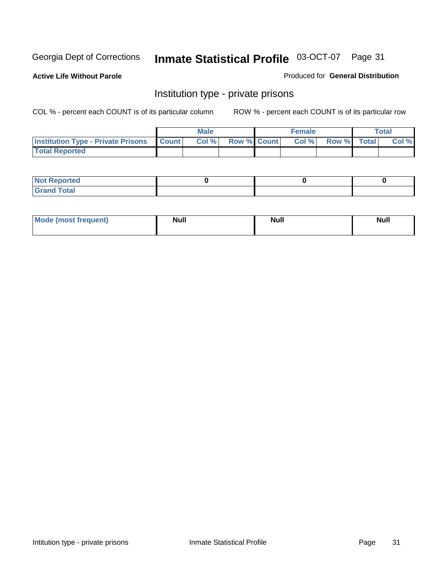**Active Life Without Parole** 

Produced for **General Distribution**

#### Institution type - private prisons

|                                                     | <b>Male</b> |                    | <b>Female</b> |             | <b>Total</b> |
|-----------------------------------------------------|-------------|--------------------|---------------|-------------|--------------|
| <b>Institution Type - Private Prisons   Count  </b> | Col %       | <b>Row % Count</b> | Col%          | Row % Total | Col %        |
| <b>Total Reported</b>                               |             |                    |               |             |              |

| <b>Not Reported</b>        |  |  |
|----------------------------|--|--|
| <b>otal</b><br>. Gror<br>. |  |  |

| Mode (most frequent) | <b>Null</b> | <b>Null</b> | <b>Null</b> |
|----------------------|-------------|-------------|-------------|
|                      |             |             |             |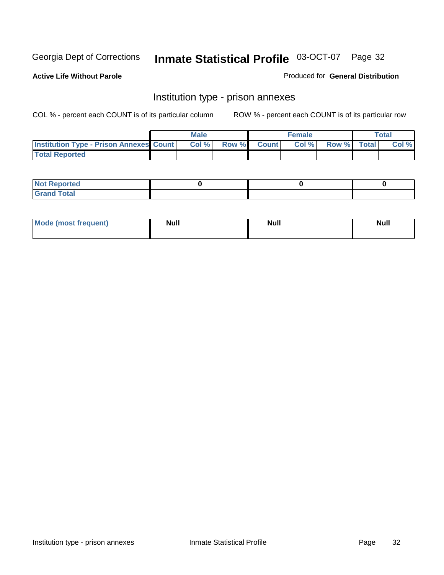**Active Life Without Parole** 

Produced for **General Distribution**

#### Institution type - prison annexes

|                                                | <b>Male</b> |             | <b>Female</b> |             | <b>Total</b> |
|------------------------------------------------|-------------|-------------|---------------|-------------|--------------|
| <b>Institution Type - Prison Annexes Count</b> | Col %       | Row % Count | Col%          | Row % Total | Col %        |
| <b>Total Reported</b>                          |             |             |               |             |              |

| <b>Not Reported</b>            |  |  |
|--------------------------------|--|--|
| <b>Total</b><br>Croi<br>$\sim$ |  |  |

| Mode (most frequent) | <b>Null</b> | <b>Null</b> | <b>Null</b> |
|----------------------|-------------|-------------|-------------|
|                      |             |             |             |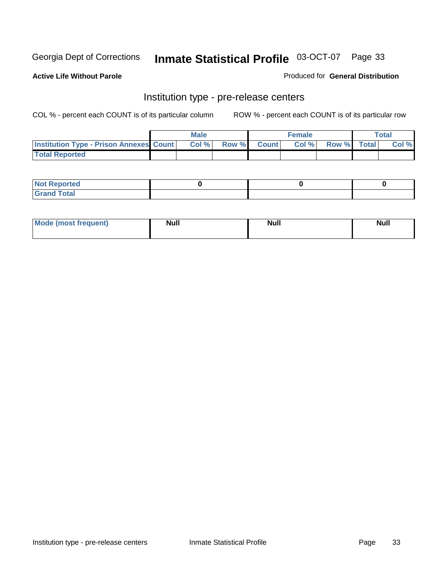**Active Life Without Parole** 

Produced for **General Distribution**

#### Institution type - pre-release centers

|                                                | <b>Male</b> |             | <b>Female</b> |             | <b>Total</b> |
|------------------------------------------------|-------------|-------------|---------------|-------------|--------------|
| <b>Institution Type - Prison Annexes Count</b> | Col %       | Row % Count | Col%          | Row % Total | Col %        |
| <b>Total Reported</b>                          |             |             |               |             |              |

| <b>Not</b><br><b>Reported</b>    |  |  |
|----------------------------------|--|--|
| <b>Total</b><br>Gran<br>$\sim$ . |  |  |

| Mode (most frequent) | <b>Null</b> | <b>Null</b> | <b>Null</b> |
|----------------------|-------------|-------------|-------------|
|                      |             |             |             |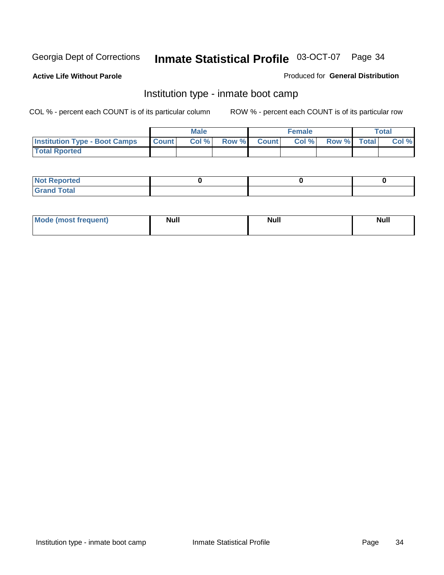**Active Life Without Parole** 

Produced for **General Distribution**

#### Institution type - inmate boot camp

|                                      |              | Male  |             | <b>Female</b> |             | <b>Total</b> |
|--------------------------------------|--------------|-------|-------------|---------------|-------------|--------------|
| <b>Institution Type - Boot Camps</b> | <b>Count</b> | Col % | Row % Count | Col %         | Row % Total | Col %        |
| <b>Total Rported</b>                 |              |       |             |               |             |              |

| <b>Not Reported</b>  |  |  |
|----------------------|--|--|
| <b>Total</b><br>Croy |  |  |

| Mode (most frequent) | <b>Null</b> | <b>Null</b> | <b>Null</b> |
|----------------------|-------------|-------------|-------------|
|                      |             |             |             |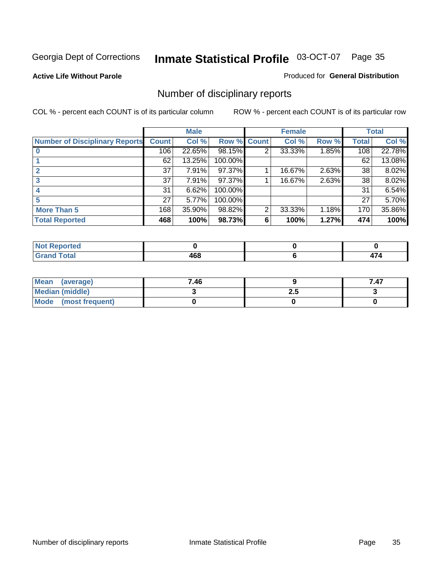**Active Life Without Parole** 

Produced for **General Distribution**

### Number of disciplinary reports

|                                       |              | <b>Male</b> |                    |   | <b>Female</b> |       |       | <b>Total</b> |
|---------------------------------------|--------------|-------------|--------------------|---|---------------|-------|-------|--------------|
| <b>Number of Disciplinary Reports</b> | <b>Count</b> | Col %       | <b>Row % Count</b> |   | Col %         | Row % | Total | Col %        |
|                                       | 106          | 22.65%      | 98.15%             | 2 | 33.33%        | 1.85% | 108   | 22.78%       |
|                                       | 62           | 13.25%      | 100.00%            |   |               |       | 62    | 13.08%       |
|                                       | 37           | 7.91%       | 97.37%             |   | 16.67%        | 2.63% | 38    | 8.02%        |
| 3                                     | 37           | 7.91%       | 97.37%             |   | 16.67%        | 2.63% | 38    | 8.02%        |
|                                       | 31           | 6.62%       | 100.00%            |   |               |       | 31    | 6.54%        |
|                                       | 27           | 5.77%       | 100.00%            |   |               |       | 27    | 5.70%        |
| <b>More Than 5</b>                    | 168          | 35.90%      | 98.82%             | 2 | 33.33%        | 1.18% | 170   | 35.86%       |
| <b>Total Reported</b>                 | 468          | 100%        | 98.73%             | 6 | 100%          | 1.27% | 474   | 100%         |

| .<br>N<br>тес  |               |  |
|----------------|---------------|--|
| T <sub>1</sub> | ,<br>rv<br>__ |  |

| Mean (average)       | 7.46 |     | 7.47 |
|----------------------|------|-----|------|
| Median (middle)      |      | 2.J |      |
| Mode (most frequent) |      |     |      |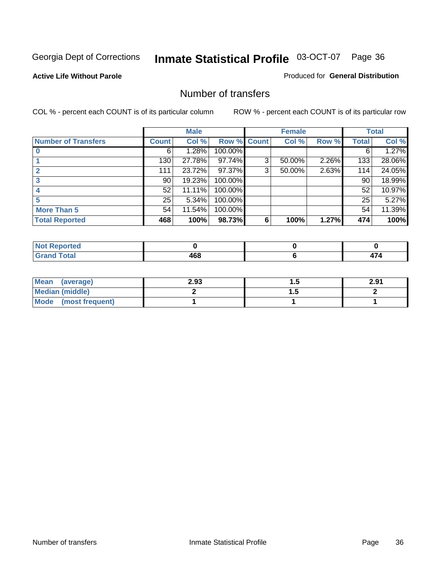#### **Active Life Without Parole**

#### Produced for **General Distribution**

#### Number of transfers

|                            |         | <b>Male</b> |         |              | <b>Female</b> |       |              | <b>Total</b> |
|----------------------------|---------|-------------|---------|--------------|---------------|-------|--------------|--------------|
| <b>Number of Transfers</b> | Count l | Col %       | Row %   | <b>Count</b> | Col %         | Row % | <b>Total</b> | Col %        |
|                            | 6       | 1.28%       | 100.00% |              |               |       | 6            | 1.27%        |
|                            | 130     | 27.78%      | 97.74%  | 3            | 50.00%        | 2.26% | 133          | 28.06%       |
| $\mathbf{c}$               | 111     | 23.72%      | 97.37%  | 3            | 50.00%        | 2.63% | 114          | 24.05%       |
| 3                          | 90      | 19.23%      | 100.00% |              |               |       | 90           | 18.99%       |
|                            | 52      | 11.11%      | 100.00% |              |               |       | 52           | 10.97%       |
|                            | 25      | 5.34%       | 100.00% |              |               |       | 25           | 5.27%        |
| <b>More Than 5</b>         | 54      | 11.54%      | 100.00% |              |               |       | 54           | 11.39%       |
| <b>Total Reported</b>      | 468     | 100%        | 98.73%  | 6            | 100%          | 1.27% | 474          | 100%         |

| .<br>N<br>те о |                     |       |
|----------------|---------------------|-------|
| T <sub>1</sub> | .<br>$\sim$<br>$ -$ | −<br> |

| Mean (average)       | 2.93 |   | 2.91 |
|----------------------|------|---|------|
| Median (middle)      |      | . |      |
| Mode (most frequent) |      |   |      |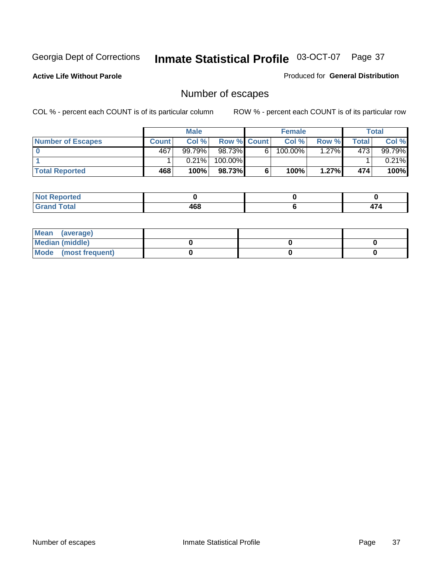**Active Life Without Parole** 

Produced for **General Distribution**

# Number of escapes

|                       |              | <b>Male</b> |                    |    | <b>Female</b> |          |         | <b>Total</b> |
|-----------------------|--------------|-------------|--------------------|----|---------------|----------|---------|--------------|
| Number of Escapes     | <b>Count</b> | Col %       | <b>Row % Count</b> |    | Col %         | Row %    | Total I | Col %        |
|                       | 467          | 99.79%      | 98.73%             | 6' | $100.00\%$    | $1.27\%$ | 473     | 99.79%       |
|                       |              | 0.21%       | 100.00%            |    |               |          |         | 0.21%        |
| <b>Total Reported</b> | 468          | 100%        | 98.73%             |    | 100%          | 1.27%    | 474     | 100%         |

| المتحافظ<br>rteo                |           |     |
|---------------------------------|-----------|-----|
| <b>otal</b><br>$\mathbf{v}$ and | 100<br>rv | 474 |

| Mean (average)       |  |  |
|----------------------|--|--|
| Median (middle)      |  |  |
| Mode (most frequent) |  |  |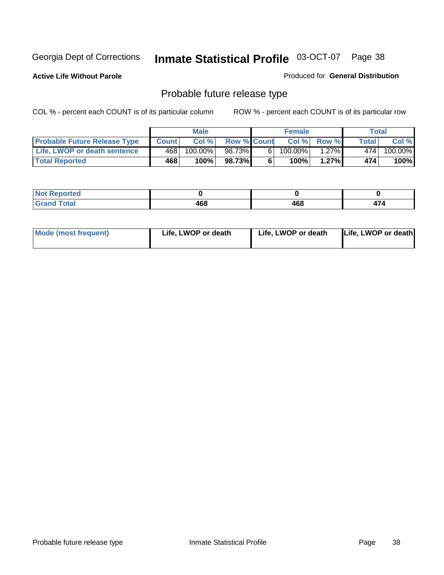**Active Life Without Parole** 

Produced for **General Distribution**

# Probable future release type

|                                     |              | <b>Male</b> |                    |   | <b>Female</b> |          |        | Total   |
|-------------------------------------|--------------|-------------|--------------------|---|---------------|----------|--------|---------|
| <b>Probable Future Release Type</b> | <b>Count</b> | Col%        | <b>Row % Count</b> |   | Col%          | Row %    | Total⊥ | Col %   |
| Life, LWOP or death sentence        | 468          | $100.00\%$  | 98.73%             | 6 | 100.00%       | $1.27\%$ | 474    | 100.00% |
| <b>Total Reported</b>               | 468          | 100%        | 98.73%             | 6 | 100%          | 1.27%    | 474    | 100%    |

| Reported<br>NOT |              |     |                           |
|-----------------|--------------|-----|---------------------------|
| Total<br>$\sim$ | 1 C O<br>400 | 468 | $\rightarrow$<br>.<br>T . |

| <b>Mode (most frequent)</b> | Life, LWOP or death | Life, LWOP or death | Life, LWOP or death |
|-----------------------------|---------------------|---------------------|---------------------|
|-----------------------------|---------------------|---------------------|---------------------|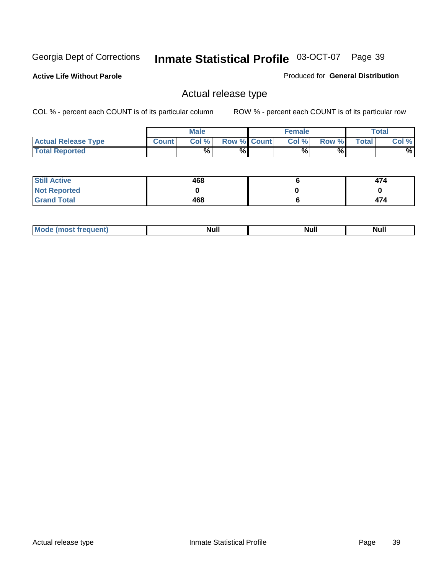**Active Life Without Parole** 

Produced for **General Distribution**

## Actual release type

|                            |              | <b>Male</b> |                    | <b>Female</b> |       |              | Total |
|----------------------------|--------------|-------------|--------------------|---------------|-------|--------------|-------|
| <b>Actual Release Type</b> | <b>Count</b> | Col %       | <b>Row % Count</b> | Col %         | Row % | <b>Total</b> | Col % |
| <b>Total Reported</b>      |              | $\%$        | %                  | %             | %     |              | %     |

| <b>Still Active</b> | 468 | 474 |
|---------------------|-----|-----|
| <b>Not Reported</b> |     |     |
| <b>Grand Total</b>  | 468 | 474 |

| M<br>_____ | .<br>AU 1<br> | an d<br><u></u> | $\cdots$ |
|------------|---------------|-----------------|----------|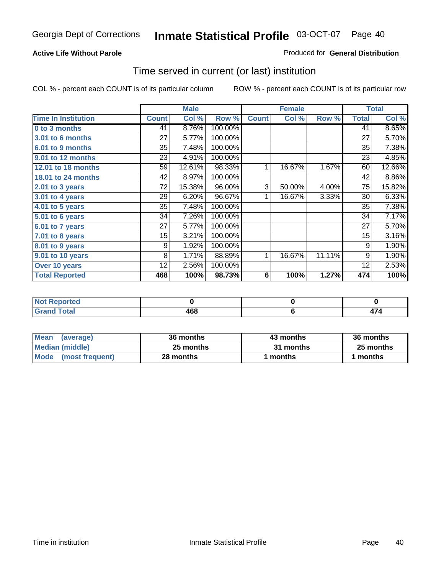## **Active Life Without Parole**

## Produced for **General Distribution**

## Time served in current (or last) institution

|                            |              | <b>Male</b> |         |              | <b>Female</b> |        |              | <b>Total</b> |
|----------------------------|--------------|-------------|---------|--------------|---------------|--------|--------------|--------------|
| <b>Time In Institution</b> | <b>Count</b> | Col %       | Row %   | <b>Count</b> | Col %         | Row %  | <b>Total</b> | Col %        |
| 0 to 3 months              | 41           | 8.76%       | 100.00% |              |               |        | 41           | 8.65%        |
| 3.01 to 6 months           | 27           | 5.77%       | 100.00% |              |               |        | 27           | 5.70%        |
| 6.01 to 9 months           | 35           | 7.48%       | 100.00% |              |               |        | 35           | 7.38%        |
| 9.01 to 12 months          | 23           | 4.91%       | 100.00% |              |               |        | 23           | 4.85%        |
| 12.01 to 18 months         | 59           | 12.61%      | 98.33%  | 1            | 16.67%        | 1.67%  | 60           | 12.66%       |
| 18.01 to 24 months         | 42           | 8.97%       | 100.00% |              |               |        | 42           | 8.86%        |
| 2.01 to 3 years            | 72           | 15.38%      | 96.00%  | 3            | 50.00%        | 4.00%  | 75           | 15.82%       |
| 3.01 to 4 years            | 29           | 6.20%       | 96.67%  | 1            | 16.67%        | 3.33%  | 30           | 6.33%        |
| 4.01 to 5 years            | 35           | 7.48%       | 100.00% |              |               |        | 35           | 7.38%        |
| $5.01$ to 6 years          | 34           | 7.26%       | 100.00% |              |               |        | 34           | 7.17%        |
| 6.01 to 7 years            | 27           | 5.77%       | 100.00% |              |               |        | 27           | 5.70%        |
| $7.01$ to 8 years          | 15           | 3.21%       | 100.00% |              |               |        | 15           | 3.16%        |
| 8.01 to 9 years            | 9            | 1.92%       | 100.00% |              |               |        | 9            | 1.90%        |
| 9.01 to 10 years           | 8            | 1.71%       | 88.89%  | 1            | 16.67%        | 11.11% | 9            | 1.90%        |
| Over 10 years              | 12           | 2.56%       | 100.00% |              |               |        | 12           | 2.53%        |
| <b>Total Reported</b>      | 468          | 100%        | 98.73%  | 6            | 100%          | 1.27%  | 474          | 100%         |

| <b>Not Reported</b> |     |    |
|---------------------|-----|----|
| <b>Total</b>        | 468 | ._ |

| <b>Mean</b><br>(average) | 36 months | 43 months | 36 months |  |
|--------------------------|-----------|-----------|-----------|--|
| Median (middle)          | 25 months | 31 months | 25 months |  |
| Mode (most frequent)     | 28 months | ∣ months  | months    |  |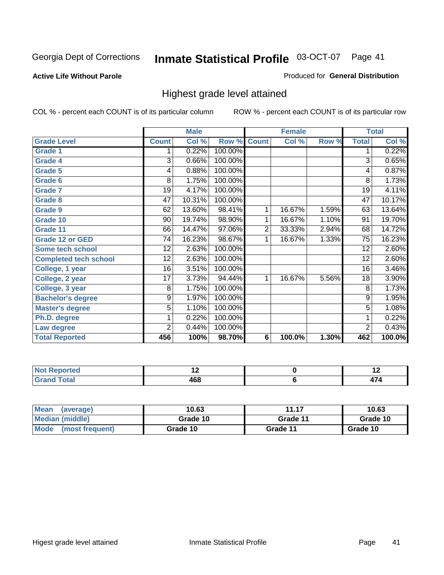#### **Active Life Without Parole**

## Produced for **General Distribution**

## Highest grade level attained

|                              |                 | <b>Male</b> |         |                | <b>Female</b> |       |                 | <b>Total</b> |
|------------------------------|-----------------|-------------|---------|----------------|---------------|-------|-----------------|--------------|
| <b>Grade Level</b>           | <b>Count</b>    | Col %       | Row %   | <b>Count</b>   | Col %         | Row % | <b>Total</b>    | Col %        |
| <b>Grade 1</b>               | 1               | 0.22%       | 100.00% |                |               |       | 1               | 0.22%        |
| <b>Grade 4</b>               | 3               | 0.66%       | 100.00% |                |               |       | $\overline{3}$  | 0.65%        |
| Grade 5                      | 4               | 0.88%       | 100.00% |                |               |       | 4               | 0.87%        |
| Grade 6                      | 8               | 1.75%       | 100.00% |                |               |       | 8               | 1.73%        |
| <b>Grade 7</b>               | 19              | 4.17%       | 100.00% |                |               |       | $\overline{19}$ | 4.11%        |
| <b>Grade 8</b>               | 47              | 10.31%      | 100.00% |                |               |       | 47              | 10.17%       |
| <b>Grade 9</b>               | 62              | 13.60%      | 98.41%  | 1              | 16.67%        | 1.59% | 63              | 13.64%       |
| Grade 10                     | $\overline{90}$ | 19.74%      | 98.90%  | 1              | 16.67%        | 1.10% | 91              | 19.70%       |
| Grade 11                     | 66              | 14.47%      | 97.06%  | $\overline{2}$ | 33.33%        | 2.94% | 68              | 14.72%       |
| <b>Grade 12 or GED</b>       | 74              | 16.23%      | 98.67%  | 1              | 16.67%        | 1.33% | 75              | 16.23%       |
| <b>Some tech school</b>      | 12              | 2.63%       | 100.00% |                |               |       | 12              | 2.60%        |
| <b>Completed tech school</b> | 12              | 2.63%       | 100.00% |                |               |       | 12              | 2.60%        |
| College, 1 year              | 16              | 3.51%       | 100.00% |                |               |       | 16              | 3.46%        |
| College, 2 year              | 17              | 3.73%       | 94.44%  | 1              | 16.67%        | 5.56% | 18              | 3.90%        |
| College, 3 year              | 8               | 1.75%       | 100.00% |                |               |       | 8               | 1.73%        |
| <b>Bachelor's degree</b>     | 9               | 1.97%       | 100.00% |                |               |       | 9               | 1.95%        |
| <b>Master's degree</b>       | 5               | 1.10%       | 100.00% |                |               |       | $\overline{5}$  | 1.08%        |
| Ph.D. degree                 | 1               | 0.22%       | 100.00% |                |               |       | 1               | 0.22%        |
| Law degree                   | $\overline{2}$  | 0.44%       | 100.00% |                |               |       | $\overline{2}$  | 0.43%        |
| <b>Total Reported</b>        | 456             | 100%        | 98.70%  | 6              | 100.0%        | 1.30% | 462             | 100.0%       |

| i Albert<br>4 - - - <b>-</b><br>τeα<br>w<br>. |            |  |
|-----------------------------------------------|------------|--|
| <b>Coto</b> "<br>-                            | 168<br>40C |  |

| <b>Mean</b><br>(average)       | 10.63    | 11.17    | 10.63    |
|--------------------------------|----------|----------|----------|
| Median (middle)                | Grade 10 | Grade 11 | Grade 10 |
| <b>Mode</b><br>(most frequent) | Grade 10 | Grade 11 | Grade 10 |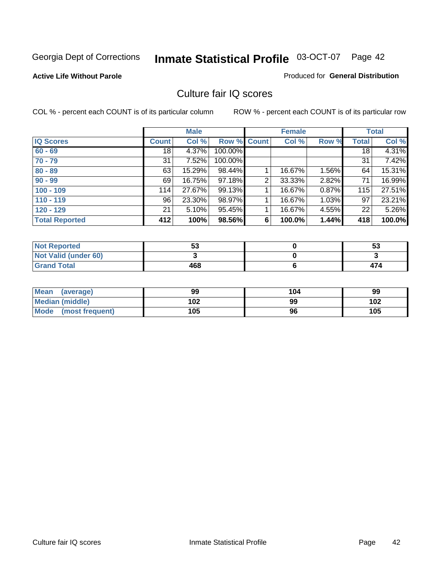#### **Active Life Without Parole**

#### Produced for **General Distribution**

## Culture fair IQ scores

|                       |              | <b>Male</b> |         |                | <b>Female</b> |          |              | <b>Total</b> |
|-----------------------|--------------|-------------|---------|----------------|---------------|----------|--------------|--------------|
| <b>IQ Scores</b>      | <b>Count</b> | Col %       | Row %   | <b>Count</b>   | Col %         | Row %    | <b>Total</b> | Col %        |
| $60 - 69$             | 18           | 4.37%       | 100.00% |                |               |          | 18           | 4.31%        |
| $70 - 79$             | 31           | 7.52%       | 100.00% |                |               |          | 31           | 7.42%        |
| $80 - 89$             | 63           | 15.29%      | 98.44%  |                | 16.67%        | 1.56%    | 64           | 15.31%       |
| $90 - 99$             | 69           | 16.75%      | 97.18%  | $\overline{2}$ | 33.33%        | 2.82%    | 71           | 16.99%       |
| $100 - 109$           | 114          | 27.67%      | 99.13%  |                | 16.67%        | 0.87%    | 115          | 27.51%       |
| $110 - 119$           | 96           | 23.30%      | 98.97%  |                | 16.67%        | $1.03\%$ | 97           | 23.21%       |
| $120 - 129$           | 21           | 5.10%       | 95.45%  |                | 16.67%        | 4.55%    | 22           | 5.26%        |
| <b>Total Reported</b> | 412          | 100%        | 98.56%  | 6              | 100.0%        | 1.44%    | 418          | 100.0%       |

| <b>Not Reported</b>         | гη<br>აა | 53  |
|-----------------------------|----------|-----|
| <b>Not Valid (under 60)</b> |          |     |
| <b>Grand Total</b>          | 468      | 474 |

| <b>Mean</b><br>(average)       | 99  | 104 | 99  |
|--------------------------------|-----|-----|-----|
| <b>Median (middle)</b>         | 102 | 99  | 102 |
| <b>Mode</b><br>(most frequent) | 105 | 96  | 105 |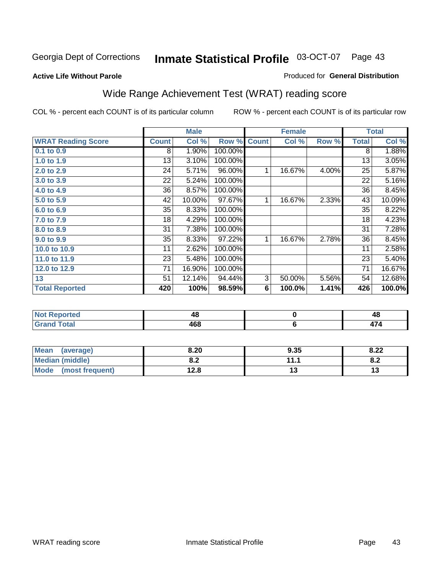### **Active Life Without Parole**

### Produced for **General Distribution**

# Wide Range Achievement Test (WRAT) reading score

|                           |              | <b>Male</b> |         |              | <b>Female</b> |       |              | <b>Total</b> |
|---------------------------|--------------|-------------|---------|--------------|---------------|-------|--------------|--------------|
| <b>WRAT Reading Score</b> | <b>Count</b> | Col %       | Row %   | <b>Count</b> | Col %         | Row % | <b>Total</b> | Col %        |
| $0.1$ to $0.9$            | 8            | 1.90%       | 100.00% |              |               |       | 8            | 1.88%        |
| 1.0 to 1.9                | 13           | 3.10%       | 100.00% |              |               |       | 13           | 3.05%        |
| 2.0 to 2.9                | 24           | 5.71%       | 96.00%  | 1            | 16.67%        | 4.00% | 25           | 5.87%        |
| 3.0 to 3.9                | 22           | 5.24%       | 100.00% |              |               |       | 22           | 5.16%        |
| 4.0 to 4.9                | 36           | 8.57%       | 100.00% |              |               |       | 36           | 8.45%        |
| 5.0 to 5.9                | 42           | 10.00%      | 97.67%  | 1            | 16.67%        | 2.33% | 43           | 10.09%       |
| 6.0 to 6.9                | 35           | 8.33%       | 100.00% |              |               |       | 35           | 8.22%        |
| 7.0 to 7.9                | 18           | 4.29%       | 100.00% |              |               |       | 18           | 4.23%        |
| 8.0 to 8.9                | 31           | 7.38%       | 100.00% |              |               |       | 31           | 7.28%        |
| 9.0 to 9.9                | 35           | 8.33%       | 97.22%  | 1            | 16.67%        | 2.78% | 36           | 8.45%        |
| 10.0 to 10.9              | 11           | 2.62%       | 100.00% |              |               |       | 11           | 2.58%        |
| 11.0 to 11.9              | 23           | 5.48%       | 100.00% |              |               |       | 23           | 5.40%        |
| 12.0 to 12.9              | 71           | 16.90%      | 100.00% |              |               |       | 71           | 16.67%       |
| 13                        | 51           | 12.14%      | 94.44%  | 3            | 50.00%        | 5.56% | 54           | 12.68%       |
| <b>Total Reported</b>     | 420          | 100%        | 98.59%  | 6            | 100.0%        | 1.41% | 426          | 100.0%       |
|                           |              |             |         |              |               |       |              |              |
|                           |              |             |         |              |               |       |              |              |

| nreo.  | 40  | 4c |
|--------|-----|----|
| ------ | 468 |    |

| <b>Mean</b><br>(average) | 8.20        | 9.35     | റാ<br>o.zz                           |
|--------------------------|-------------|----------|--------------------------------------|
| <b>Median (middle)</b>   | י ה<br>o.z  | 111<br>. | о о<br>$\mathbf{0} \cdot \mathbf{L}$ |
| Mode<br>(most frequent)  | 199<br>12.O | ט ו      | ⋯                                    |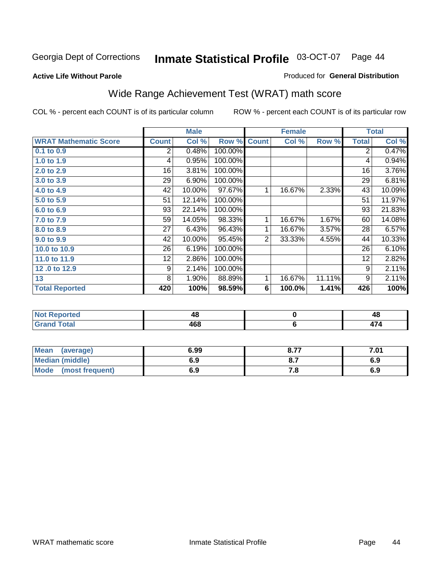#### **Active Life Without Parole**

#### Produced for **General Distribution**

# Wide Range Achievement Test (WRAT) math score

|                              |                 | <b>Male</b> |         |              | <b>Female</b> |        |              | <b>Total</b> |
|------------------------------|-----------------|-------------|---------|--------------|---------------|--------|--------------|--------------|
| <b>WRAT Mathematic Score</b> | <b>Count</b>    | Col %       | Row %   | <b>Count</b> | Col %         | Row %  | <b>Total</b> | Col %        |
| $0.1$ to 0.9                 | 2               | 0.48%       | 100.00% |              |               |        | 2            | 0.47%        |
| 1.0 to 1.9                   | 4               | 0.95%       | 100.00% |              |               |        | 4            | 0.94%        |
| 2.0 to 2.9                   | 16              | 3.81%       | 100.00% |              |               |        | 16           | 3.76%        |
| 3.0 to 3.9                   | 29              | 6.90%       | 100.00% |              |               |        | 29           | 6.81%        |
| 4.0 to 4.9                   | 42              | 10.00%      | 97.67%  | 1            | 16.67%        | 2.33%  | 43           | 10.09%       |
| 5.0 to 5.9                   | 51              | 12.14%      | 100.00% |              |               |        | 51           | 11.97%       |
| 6.0 to 6.9                   | 93              | 22.14%      | 100.00% |              |               |        | 93           | 21.83%       |
| 7.0 to 7.9                   | 59              | 14.05%      | 98.33%  | $\mathbf{1}$ | 16.67%        | 1.67%  | 60           | 14.08%       |
| 8.0 to 8.9                   | 27              | 6.43%       | 96.43%  | $\mathbf 1$  | 16.67%        | 3.57%  | 28           | 6.57%        |
| 9.0 to 9.9                   | 42              | 10.00%      | 95.45%  | 2            | 33.33%        | 4.55%  | 44           | 10.33%       |
| 10.0 to 10.9                 | 26              | 6.19%       | 100.00% |              |               |        | 26           | 6.10%        |
| 11.0 to 11.9                 | 12 <sub>2</sub> | 2.86%       | 100.00% |              |               |        | 12           | 2.82%        |
| 12.0 to 12.9                 | 9               | 2.14%       | 100.00% |              |               |        | 9            | 2.11%        |
| 13                           | 8               | $1.90\%$    | 88.89%  | 1            | 16.67%        | 11.11% | 9            | 2.11%        |
| <b>Total Reported</b>        | 420             | 100%        | 98.59%  | 6            | 100.0%        | 1.41%  | 426          | 100%         |

| <b>Not Reported</b> | 40  | 48 |
|---------------------|-----|----|
| <b>Grand Total</b>  | 468 |    |

| Mean (average)       | 6.99 | 8.77 | 7.01 |
|----------------------|------|------|------|
| Median (middle)      | 6.9  |      | 6.9  |
| Mode (most frequent) | 6.9  | 7. O | 6.9  |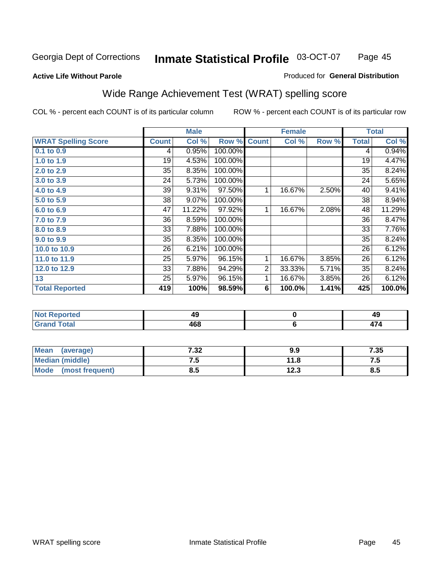#### **Active Life Without Parole**

### Produced for **General Distribution**

# Wide Range Achievement Test (WRAT) spelling score

|                            |              | <b>Male</b> |         |                | <b>Female</b> |       |              | <b>Total</b> |
|----------------------------|--------------|-------------|---------|----------------|---------------|-------|--------------|--------------|
| <b>WRAT Spelling Score</b> | <b>Count</b> | Col %       | Row %   | <b>Count</b>   | Col %         | Row % | <b>Total</b> | Col %        |
| $0.1$ to $0.9$             | 4            | 0.95%       | 100.00% |                |               |       | 4            | 0.94%        |
| 1.0 to 1.9                 | 19           | 4.53%       | 100.00% |                |               |       | 19           | 4.47%        |
| 2.0 to 2.9                 | 35           | 8.35%       | 100.00% |                |               |       | 35           | 8.24%        |
| 3.0 to 3.9                 | 24           | 5.73%       | 100.00% |                |               |       | 24           | 5.65%        |
| 4.0 to 4.9                 | 39           | 9.31%       | 97.50%  | 1              | 16.67%        | 2.50% | 40           | 9.41%        |
| 5.0 to 5.9                 | 38           | 9.07%       | 100.00% |                |               |       | 38           | 8.94%        |
| 6.0 to 6.9                 | 47           | 11.22%      | 97.92%  | 1              | 16.67%        | 2.08% | 48           | 11.29%       |
| 7.0 to 7.9                 | 36           | 8.59%       | 100.00% |                |               |       | 36           | 8.47%        |
| 8.0 to 8.9                 | 33           | 7.88%       | 100.00% |                |               |       | 33           | 7.76%        |
| 9.0 to 9.9                 | 35           | 8.35%       | 100.00% |                |               |       | 35           | 8.24%        |
| 10.0 to 10.9               | 26           | 6.21%       | 100.00% |                |               |       | 26           | 6.12%        |
| 11.0 to 11.9               | 25           | 5.97%       | 96.15%  | 1              | 16.67%        | 3.85% | 26           | 6.12%        |
| 12.0 to 12.9               | 33           | 7.88%       | 94.29%  | $\overline{2}$ | 33.33%        | 5.71% | 35           | 8.24%        |
| 13                         | 25           | 5.97%       | 96.15%  | 1              | 16.67%        | 3.85% | 26           | 6.12%        |
| <b>Total Reported</b>      | 419          | 100%        | 98.59%  | 6              | 100.0%        | 1.41% | 425          | 100.0%       |
|                            |              |             |         |                |               |       |              |              |
| <b>Not Reported</b>        |              | 49          |         |                | $\pmb{0}$     |       |              | 49           |
| <b>Grand Total</b>         |              | 468         |         |                | $\bf 6$       |       |              | 474          |

| <b>Mean</b><br>(average) | 7.32 | 9.9          | 7.35 |
|--------------------------|------|--------------|------|
| <b>Median (middle)</b>   | .    | 11.8         | ن. ا |
| Mode<br>(most frequent)  | ၓ.๖  | 122<br>د.ء ا | 8.5  |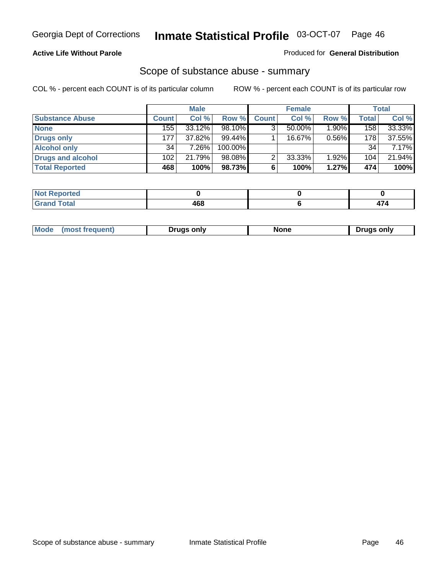## **Active Life Without Parole**

### Produced for **General Distribution**

## Scope of substance abuse - summary

|                        |              | <b>Male</b> |            |              | <b>Female</b> |       |                  | <b>Total</b> |
|------------------------|--------------|-------------|------------|--------------|---------------|-------|------------------|--------------|
| <b>Substance Abuse</b> | <b>Count</b> | Col %       | Row %      | <b>Count</b> | Col %         | Row % | <b>Total</b>     | Col %        |
| <b>None</b>            | 155          | $33.12\%$   | 98.10%     | ◠            | $50.00\%$     | 1.90% | 158              | 33.33%       |
| Drugs only             | 177          | 37.82%      | $99.44\%$  |              | 16.67%        | 0.56% | 178 <sub>1</sub> | 37.55%       |
| <b>Alcohol only</b>    | 34           | 7.26%       | $100.00\%$ |              |               |       | 34               | $7.17\%$     |
| Drugs and alcohol      | 102          | 21.79%      | $98.08\%$  | ◠            | 33.33%        | 1.92% | 104 <sub>1</sub> | 21.94%       |
| <b>Total Reported</b>  | 468          | 100%        | 98.73%     | 6            | 100%          | 1.27% | 474              | 100%         |

| <b>Not</b><br><b>Reported</b> |     |   |
|-------------------------------|-----|---|
| <b>Total</b><br>' Grano       | ARS | . |

|  | Mode<br>ונוצוווי | Druas onlv | None | only<br>Pruas . |
|--|------------------|------------|------|-----------------|
|--|------------------|------------|------|-----------------|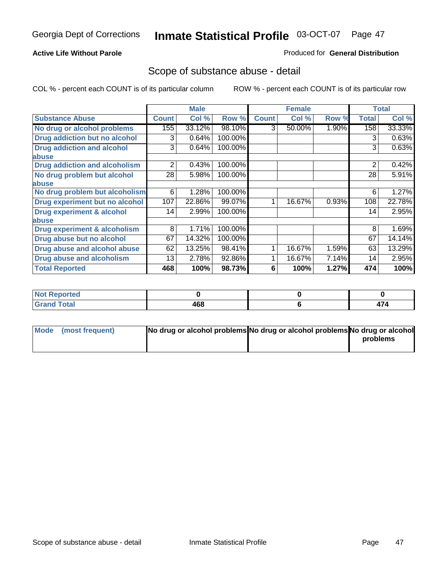## **Active Life Without Parole**

### Produced for **General Distribution**

## Scope of substance abuse - detail

|                                         |              | <b>Male</b> |         |              | <b>Female</b> |       |              | <b>Total</b> |
|-----------------------------------------|--------------|-------------|---------|--------------|---------------|-------|--------------|--------------|
| <b>Substance Abuse</b>                  | <b>Count</b> | Col %       | Row %   | <b>Count</b> | Col %         | Row % | <b>Total</b> | Col %        |
| No drug or alcohol problems             | 155          | 33.12%      | 98.10%  | 3            | 50.00%        | 1.90% | 158          | 33.33%       |
| Drug addiction but no alcohol           | 3            | 0.64%       | 100.00% |              |               |       | 3            | 0.63%        |
| <b>Drug addiction and alcohol</b>       | 3            | 0.64%       | 100.00% |              |               |       | 3            | 0.63%        |
| abuse                                   |              |             |         |              |               |       |              |              |
| <b>Drug addiction and alcoholism</b>    | 2            | 0.43%       | 100.00% |              |               |       | 2            | 0.42%        |
| No drug problem but alcohol             | 28           | 5.98%       | 100.00% |              |               |       | 28           | 5.91%        |
| abuse                                   |              |             |         |              |               |       |              |              |
| No drug problem but alcoholism          | 6            | 1.28%       | 100.00% |              |               |       | 6            | 1.27%        |
| Drug experiment but no alcohol          | 107          | 22.86%      | 99.07%  |              | 16.67%        | 0.93% | 108          | 22.78%       |
| <b>Drug experiment &amp; alcohol</b>    | 14           | 2.99%       | 100.00% |              |               |       | 14           | 2.95%        |
| abuse                                   |              |             |         |              |               |       |              |              |
| <b>Drug experiment &amp; alcoholism</b> | 8            | 1.71%       | 100.00% |              |               |       | 8            | 1.69%        |
| Drug abuse but no alcohol               | 67           | 14.32%      | 100.00% |              |               |       | 67           | 14.14%       |
| Drug abuse and alcohol abuse            | 62           | 13.25%      | 98.41%  |              | 16.67%        | 1.59% | 63           | 13.29%       |
| Drug abuse and alcoholism               | 13           | 2.78%       | 92.86%  |              | 16.67%        | 7.14% | 14           | 2.95%        |
| <b>Total Reported</b>                   | 468          | 100%        | 98.73%  | 6            | 100%          | 1.27% | 474          | 100%         |

| <b>Not Reported</b>         |     |  |
|-----------------------------|-----|--|
| <b>Total</b><br><b>Gran</b> | 468 |  |

| Mode (most frequent) | No drug or alcohol problems No drug or alcohol problems No drug or alcohol |          |
|----------------------|----------------------------------------------------------------------------|----------|
|                      |                                                                            | problems |
|                      |                                                                            |          |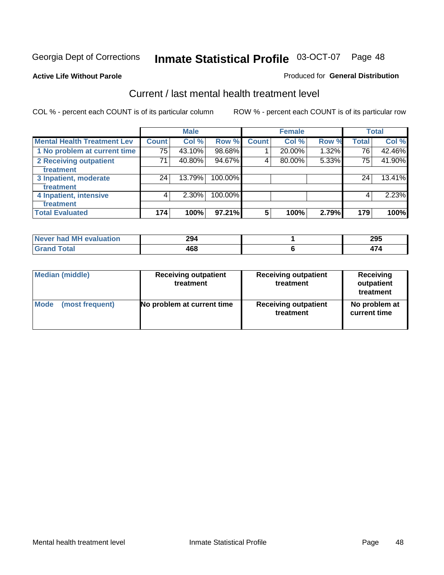### **Active Life Without Parole**

#### Produced for **General Distribution**

## Current / last mental health treatment level

|                                    |              | <b>Male</b> |         |              | <b>Female</b> |       |              | <b>Total</b> |
|------------------------------------|--------------|-------------|---------|--------------|---------------|-------|--------------|--------------|
| <b>Mental Health Treatment Lev</b> | <b>Count</b> | Col %       | Row %   | <b>Count</b> | Col %         | Row % | <b>Total</b> | Col %        |
| 1 No problem at current time       | 75           | 43.10%      | 98.68%  |              | 20.00%        | 1.32% | 76           | 42.46%       |
| 2 Receiving outpatient             | 71           | 40.80%      | 94.67%  | 4            | 80.00%        | 5.33% | 75           | 41.90%       |
| treatment                          |              |             |         |              |               |       |              |              |
| 3 Inpatient, moderate              | 24           | 13.79%      | 100.00% |              |               |       | 24           | 13.41%       |
| treatment                          |              |             |         |              |               |       |              |              |
| 4 Inpatient, intensive             | 4            | 2.30%       | 100.00% |              |               |       | 4            | 2.23%        |
| treatment                          |              |             |         |              |               |       |              |              |
| <b>Total Evaluated</b>             | 174          | 100%        | 97.21%  | 5            | 100%          | 2.79% | 179          | 100%         |

| Never had MH evaluation | 294 | 295 |
|-------------------------|-----|-----|
| Total                   | 468 | . . |

| <b>Median (middle)</b> | <b>Receiving outpatient</b><br>treatment | <b>Receiving outpatient</b><br>treatment | <b>Receiving</b><br>outpatient<br>treatment |
|------------------------|------------------------------------------|------------------------------------------|---------------------------------------------|
| <b>Mode</b>            | No problem at current time               | <b>Receiving outpatient</b>              | No problem at                               |
| (most frequent)        |                                          | treatment                                | current time                                |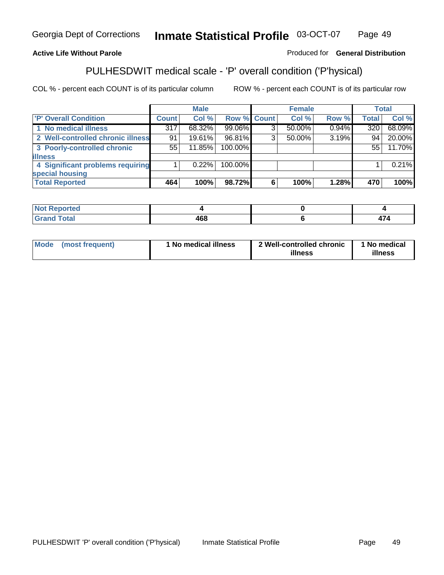## **Active Life Without Parole**

## Produced for **General Distribution**

# PULHESDWIT medical scale - 'P' overall condition ('P'hysical)

|                                   |         | <b>Male</b> |             |   | <b>Female</b> |       |              | <b>Total</b> |
|-----------------------------------|---------|-------------|-------------|---|---------------|-------|--------------|--------------|
| 'P' Overall Condition             | Count l | Col %       | Row % Count |   | Col %         | Row % | <b>Total</b> | Col %        |
| 1 No medical illness              | 317     | 68.32%      | 99.06%      | ົ | 50.00%        | 0.94% | 320          | 68.09%       |
| 2 Well-controlled chronic illness | 91      | 19.61%      | 96.81%      | 3 | $50.00\%$     | 3.19% | 94           | 20.00%       |
| 3 Poorly-controlled chronic       | 55      | 11.85%      | 100.00%     |   |               |       | 55           | 11.70%       |
| <b>illness</b>                    |         |             |             |   |               |       |              |              |
| 4 Significant problems requiring  |         | 0.22%       | 100.00%     |   |               |       |              | 0.21%        |
| special housing                   |         |             |             |   |               |       |              |              |
| <b>Total Reported</b>             | 464     | 100%        | 98.72%      |   | 100%          | 1.28% | 470          | 100%         |

| المنظمات<br>Not Reported |                     |         |
|--------------------------|---------------------|---------|
| $f$ $f \circ f \circ f$  | "^^<br>99 U U<br>__ | --<br>. |

| Mode | (most frequent) | I No medical illness | 2 Well-controlled chronic<br>illness | 1 No medical<br>illness |
|------|-----------------|----------------------|--------------------------------------|-------------------------|
|------|-----------------|----------------------|--------------------------------------|-------------------------|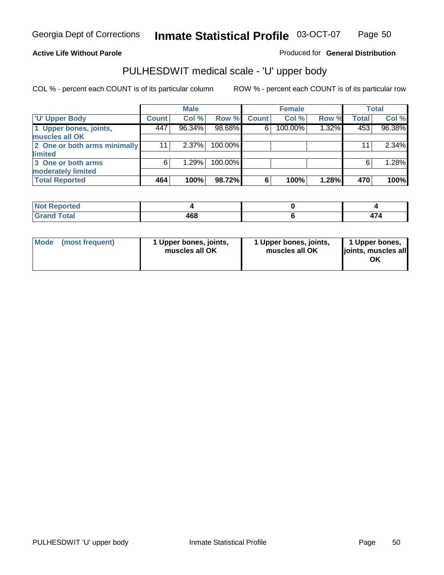## **Active Life Without Parole**

Produced for **General Distribution**

# PULHESDWIT medical scale - 'U' upper body

|                              | <b>Male</b>  |          |         | <b>Female</b> |         |       | <b>Total</b> |          |
|------------------------------|--------------|----------|---------|---------------|---------|-------|--------------|----------|
| <b>TU' Upper Body</b>        | <b>Count</b> | Col %    | Row %   | <b>Count</b>  | Col %   | Row % | <b>Total</b> | Col %    |
| 1 Upper bones, joints,       | 447          | 96.34%   | 98.68%  | 6             | 100.00% | 1.32% | 453          | 96.38%   |
| muscles all OK               |              |          |         |               |         |       |              |          |
| 2 One or both arms minimally | 11           | $2.37\%$ | 100.00% |               |         |       | 11           | $2.34\%$ |
| limited                      |              |          |         |               |         |       |              |          |
| 3 One or both arms           | 6            | 1.29%    | 100.00% |               |         |       | 6            | 1.28%    |
| moderately limited           |              |          |         |               |         |       |              |          |
| <b>Total Reported</b>        | 464          | 100%     | 98.72%  | 6             | 100%    | 1.28% | 470          | 100%     |

| ----<br>Reported<br>N<br>. |             |   |
|----------------------------|-------------|---|
| <b>Cotal</b><br>______     | 468<br>$ -$ | . |

| Mode | (most frequent) | 1 Upper bones, joints,<br>muscles all OK | 1 Upper bones, joints,<br>muscles all OK | 1 Upper bones,<br>joints, muscles all<br>ΟK |
|------|-----------------|------------------------------------------|------------------------------------------|---------------------------------------------|
|------|-----------------|------------------------------------------|------------------------------------------|---------------------------------------------|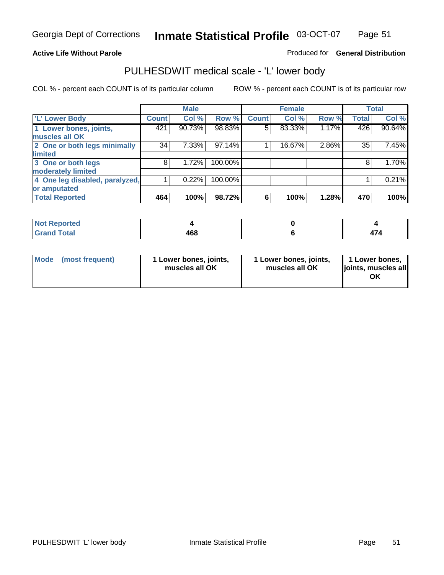#### **Active Life Without Parole**

### Produced for **General Distribution**

## PULHESDWIT medical scale - 'L' lower body

|                                |              | <b>Male</b> |         |              | <b>Female</b> |       |              | <b>Total</b> |
|--------------------------------|--------------|-------------|---------|--------------|---------------|-------|--------------|--------------|
| 'L' Lower Body                 | <b>Count</b> | Col %       | Row %   | <b>Count</b> | Col %         | Row % | <b>Total</b> | Col %        |
| 1 Lower bones, joints,         | 421          | 90.73%      | 98.83%  | 5            | 83.33%        | 1.17% | 426          | 90.64%       |
| muscles all OK                 |              |             |         |              |               |       |              |              |
| 2 One or both legs minimally   | 34           | 7.33%       | 97.14%  |              | 16.67%        | 2.86% | 35           | 7.45%        |
| limited                        |              |             |         |              |               |       |              |              |
| 3 One or both legs             | 8            | 1.72%       | 100.00% |              |               |       | 8            | 1.70%        |
| moderately limited             |              |             |         |              |               |       |              |              |
| 4 One leg disabled, paralyzed, |              | 0.22%       | 100.00% |              |               |       |              | 0.21%        |
| or amputated                   |              |             |         |              |               |       |              |              |
| <b>Total Reported</b>          | 464          | 100%        | 98.72%  | 6            | 100%          | 1.28% | 470          | 100%         |

| <b>Alax</b><br><b>ported</b><br>NOT |     |   |
|-------------------------------------|-----|---|
| <b>Total</b><br>$\sim$<br>------    | 468 | . |

|  | Mode (most frequent) | 1 Lower bones, joints,<br>muscles all OK | 1 Lower bones, joints,<br>muscles all OK | 1 Lower bones,<br>joints, muscles all<br>OK |
|--|----------------------|------------------------------------------|------------------------------------------|---------------------------------------------|
|--|----------------------|------------------------------------------|------------------------------------------|---------------------------------------------|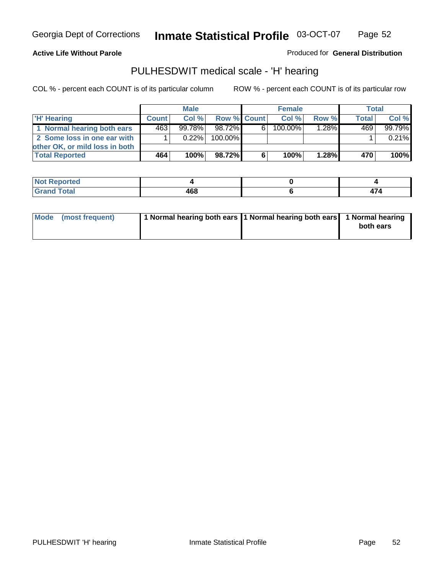### **Active Life Without Parole**

Produced for **General Distribution**

## PULHESDWIT medical scale - 'H' hearing

|                                | <b>Male</b>  |           |             |    | <b>Female</b> | Total |              |         |
|--------------------------------|--------------|-----------|-------------|----|---------------|-------|--------------|---------|
| 'H' Hearing                    | <b>Count</b> | Col%      | Row % Count |    | Col%          | Row % | <b>Total</b> | Col %   |
| 1 Normal hearing both ears     | 463          | $99.78\%$ | 98.72%      | 61 | $100.00\%$    | 1.28% | 469          | 99.79%  |
| 2 Some loss in one ear with    |              | $0.22\%$  | 100.00%     |    |               |       |              | 0.21%   |
| other OK, or mild loss in both |              |           |             |    |               |       |              |         |
| <b>Total Reported</b>          | 464          | 100%      | 98.72%      | 6  | 100%          | 1.28% | 470          | $100\%$ |

| тео        |           |      |
|------------|-----------|------|
| ---        | ^^^       | $-1$ |
| ----- ---- | $\cdot$ . | .    |

| Mode (most frequent) | 1 Normal hearing both ears 11 Normal hearing both ears 1 Normal hearing | both ears |
|----------------------|-------------------------------------------------------------------------|-----------|
|                      |                                                                         |           |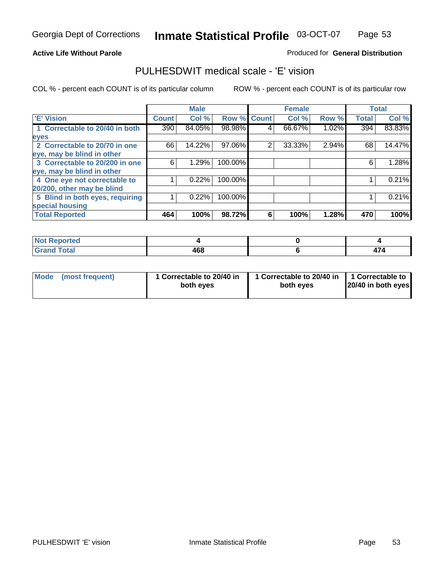#### **Active Life Without Parole**

### Produced for **General Distribution**

## PULHESDWIT medical scale - 'E' vision

|                                 |              | <b>Male</b> |         |             | <b>Female</b> |       |              | <b>Total</b> |
|---------------------------------|--------------|-------------|---------|-------------|---------------|-------|--------------|--------------|
| 'E' Vision                      | <b>Count</b> | Col %       |         | Row % Count | Col %         | Row % | <b>Total</b> | Col %        |
| 1 Correctable to 20/40 in both  | 390          | 84.05%      | 98.98%  | 4           | 66.67%        | 1.02% | 394          | 83.83%       |
| eyes                            |              |             |         |             |               |       |              |              |
| 2 Correctable to 20/70 in one   | 66           | 14.22%      | 97.06%  | 2           | 33.33%        | 2.94% | 68           | 14.47%       |
| eye, may be blind in other      |              |             |         |             |               |       |              |              |
| 3 Correctable to 20/200 in one  | 6            | 1.29%       | 100.00% |             |               |       | 6            | 1.28%        |
| eye, may be blind in other      |              |             |         |             |               |       |              |              |
| 4 One eye not correctable to    |              | 0.22%       | 100.00% |             |               |       |              | 0.21%        |
| 20/200, other may be blind      |              |             |         |             |               |       |              |              |
| 5 Blind in both eyes, requiring |              | 0.22%       | 100.00% |             |               |       |              | 0.21%        |
| special housing                 |              |             |         |             |               |       |              |              |
| <b>Total Reported</b>           | 464          | 100%        | 98.72%  | 6           | 100%          | 1.28% | 470          | 100%         |

| <b>Not Reported</b> |              |  |
|---------------------|--------------|--|
| <b>Total</b><br>Cre | 1 C Q<br>40C |  |

| Mode | (most frequent) | 1 Correctable to 20/40 in<br>both eves | 1 Correctable to 20/40 in   1 Correctable to<br>both eves | 20/40 in both eyes |
|------|-----------------|----------------------------------------|-----------------------------------------------------------|--------------------|
|------|-----------------|----------------------------------------|-----------------------------------------------------------|--------------------|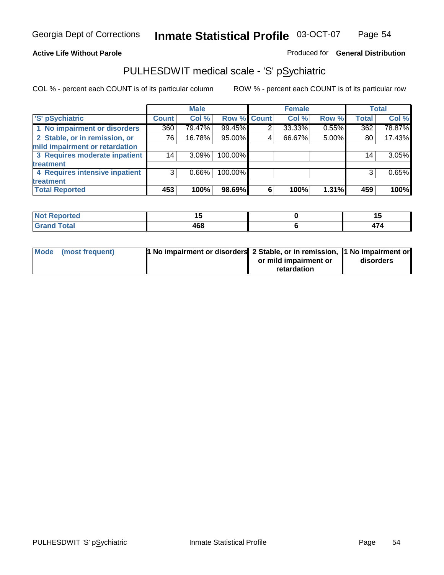## **Active Life Without Parole**

## Produced for **General Distribution**

## PULHESDWIT medical scale - 'S' pSychiatric

|                                |              | <b>Male</b> |             |   | <b>Female</b> |       |                 | <b>Total</b> |
|--------------------------------|--------------|-------------|-------------|---|---------------|-------|-----------------|--------------|
| 'S' pSychiatric                | <b>Count</b> | Col %       | Row % Count |   | Col %         | Row % | <b>Total</b>    | Col %        |
| 1 No impairment or disorders   | 360          | 79.47%      | 99.45%      | 2 | 33.33%        | 0.55% | 362             | 78.87%       |
| 2 Stable, or in remission, or  | 76           | 16.78%      | 95.00%      | 4 | 66.67%        | 5.00% | 80              | 17.43%       |
| mild impairment or retardation |              |             |             |   |               |       |                 |              |
| 3 Requires moderate inpatient  | 14           | $3.09\%$    | 100.00%     |   |               |       | 14 <sub>1</sub> | 3.05%        |
| treatment                      |              |             |             |   |               |       |                 |              |
| 4 Requires intensive inpatient | 3            | $0.66\%$    | 100.00%     |   |               |       | 3               | 0.65%        |
| treatment                      |              |             |             |   |               |       |                 |              |
| <b>Total Reported</b>          | 453          | 100%        | 98.69%      | 6 | 100%          | 1.31% | 459             | 100%         |

| <b>ported</b> |     |            |
|---------------|-----|------------|
| <b>Total</b>  | 468 | . .<br>. . |

| Mode (most frequent) | 1 No impairment or disorders 2 Stable, or in remission, 11 No impairment or |                       |           |
|----------------------|-----------------------------------------------------------------------------|-----------------------|-----------|
|                      |                                                                             | or mild impairment or | disorders |
|                      |                                                                             | retardation           |           |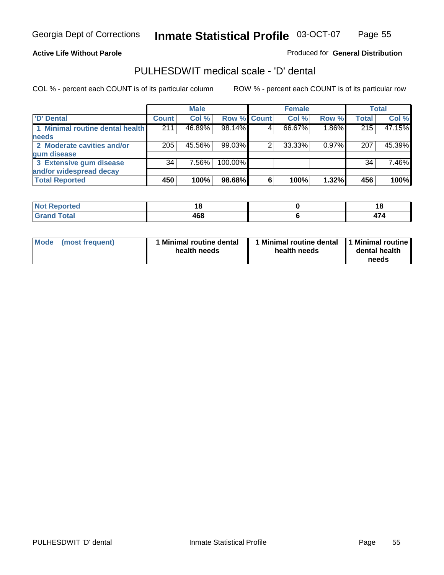### **Active Life Without Parole**

## Produced for **General Distribution**

## PULHESDWIT medical scale - 'D' dental

|                                 |       | <b>Male</b> |             |   | <b>Female</b> |          |              | <b>Total</b> |
|---------------------------------|-------|-------------|-------------|---|---------------|----------|--------------|--------------|
| <b>D'</b> Dental                | Count | Col %       | Row % Count |   | Col %         | Row %    | <b>Total</b> | Col %        |
| 1 Minimal routine dental health | 211   | 46.89%      | 98.14%      |   | 66.67%        | 1.86%    | 215          | 47.15%       |
| <b>needs</b>                    |       |             |             |   |               |          |              |              |
| 2 Moderate cavities and/or      | 205   | 45.56%      | 99.03%      |   | 33.33%        | $0.97\%$ | 207          | 45.39%       |
| gum disease                     |       |             |             |   |               |          |              |              |
| 3 Extensive gum disease         | 34    | 7.56%       | 100.00%     |   |               |          | 34           | 7.46%        |
| and/or widespread decay         |       |             |             |   |               |          |              |              |
| <b>Total Reported</b>           | 450   | 100%        | 98.68%      | 6 | 100%          | 1.32%    | 456          | 100%         |

| . .               | $\sim$       | цÇ, |
|-------------------|--------------|-----|
| $\cdots$ $\cdots$ | 1 C O<br>400 | .   |

| Mode (most frequent) | <b>Minimal routine dental</b><br>health needs | 1 Minimal routine dental<br>health needs | 1 Minimal routine<br>dental health<br>needs |
|----------------------|-----------------------------------------------|------------------------------------------|---------------------------------------------|
|----------------------|-----------------------------------------------|------------------------------------------|---------------------------------------------|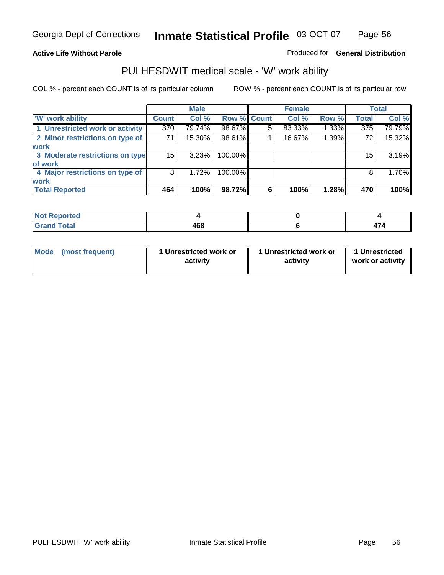### **Active Life Without Parole**

### Produced for **General Distribution**

## PULHESDWIT medical scale - 'W' work ability

|                                 |                 | <b>Male</b> |             |   | <b>Female</b> |       |                  | <b>Total</b> |
|---------------------------------|-----------------|-------------|-------------|---|---------------|-------|------------------|--------------|
| <b>W' work ability</b>          | <b>Count</b>    | Col %       | Row % Count |   | Col %         | Row % | <b>Total</b>     | Col %        |
| 1 Unrestricted work or activity | 370             | 79.74%      | 98.67%      | 5 | 83.33%        | 1.33% | $\overline{375}$ | 79.79%       |
| 2 Minor restrictions on type of | 71              | 15.30%      | 98.61%      |   | 16.67%        | 1.39% | 72               | 15.32%       |
| work                            |                 |             |             |   |               |       |                  |              |
| 3 Moderate restrictions on type | 15 <sup>1</sup> | 3.23%       | 100.00%     |   |               |       | 15               | 3.19%        |
| of work                         |                 |             |             |   |               |       |                  |              |
| 4 Major restrictions on type of | 8               | 1.72%       | 100.00%     |   |               |       | 8                | 1.70%        |
| <b>work</b>                     |                 |             |             |   |               |       |                  |              |
| <b>Total Reported</b>           | 464             | 100%        | 98.72%      | 6 | 100%          | 1.28% | 470              | 100%         |

| المناسب<br>treo .                |            |  |
|----------------------------------|------------|--|
| T <sub>ofol</sub><br><b>Utal</b> | ,,,<br>40C |  |

| Mode | (most frequent) | 1 Unrestricted work or<br>activity | 1 Unrestricted work or<br>activity | 1 Unrestricted<br>work or activity |  |
|------|-----------------|------------------------------------|------------------------------------|------------------------------------|--|
|      |                 |                                    |                                    |                                    |  |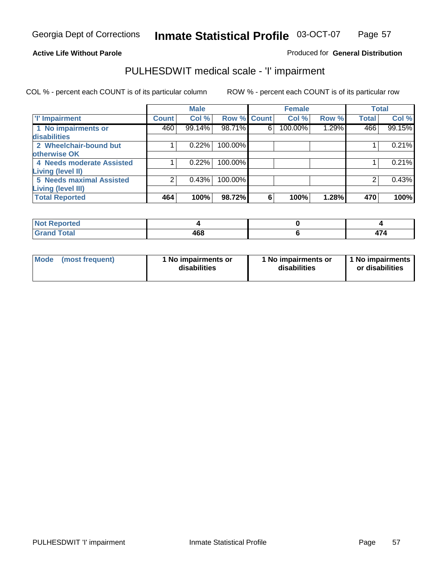# **Active Life Without Parole**

### Produced for **General Distribution**

## PULHESDWIT medical scale - 'I' impairment

|                                            |              | <b>Male</b> |             |   | <b>Female</b> |       |              | <b>Total</b> |
|--------------------------------------------|--------------|-------------|-------------|---|---------------|-------|--------------|--------------|
| <b>T' Impairment</b>                       | <b>Count</b> | Col %       | Row % Count |   | Col %         | Row % | <b>Total</b> | Col %        |
| 1 No impairments or<br><b>disabilities</b> | 460          | 99.14%      | 98.71%      | 6 | 100.00%       | 1.29% | 466          | 99.15%       |
| 2 Wheelchair-bound but                     |              | 0.22%       | 100.00%     |   |               |       |              | 0.21%        |
| otherwise OK                               |              |             |             |   |               |       |              |              |
| 4 Needs moderate Assisted                  |              | 0.22%       | 100.00%     |   |               |       |              | 0.21%        |
| <b>Living (level II)</b>                   |              |             |             |   |               |       |              |              |
| 5 Needs maximal Assisted                   |              | 0.43%       | 100.00%     |   |               |       |              | 0.43%        |
| <b>Living (level III)</b>                  |              |             |             |   |               |       |              |              |
| <b>Total Reported</b>                      | 464          | 100%        | 98.72%      | 6 | 100%          | 1.28% | 470          | 100%         |

| Reported<br>.               |     |     |
|-----------------------------|-----|-----|
| <b>Total</b><br><b>Gran</b> | 468 | TI. |

| <b>Mode</b> | (most frequent) | 1 No impairments or<br>disabilities | 1 No impairments or<br>disabilities | 1 No impairments<br>or disabilities |
|-------------|-----------------|-------------------------------------|-------------------------------------|-------------------------------------|
|-------------|-----------------|-------------------------------------|-------------------------------------|-------------------------------------|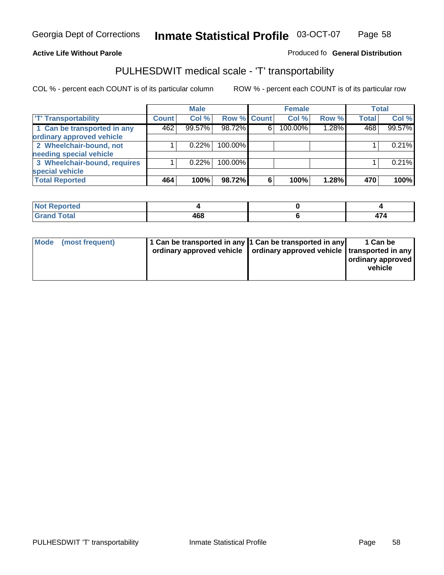#### **Inmate Statistical Profile** 03-OCT-07 Page Page 58

### **Active Life Without Parole Produced fo Seneral Distribution**

## PULHESDWIT medical scale - 'T' transportability

|                              |              | <b>Male</b> |             |   | <b>Female</b> |       |              | <b>Total</b> |
|------------------------------|--------------|-------------|-------------|---|---------------|-------|--------------|--------------|
| <b>T' Transportability</b>   | <b>Count</b> | Col %       | Row % Count |   | Col %         | Row % | <b>Total</b> | Col %        |
| 1 Can be transported in any  | 462          | 99.57%      | 98.72%      | 6 | 100.00%       | 1.28% | 468          | 99.57%       |
| ordinary approved vehicle    |              |             |             |   |               |       |              |              |
| 2 Wheelchair-bound, not      |              | 0.22%       | 100.00%     |   |               |       |              | 0.21%        |
| needing special vehicle      |              |             |             |   |               |       |              |              |
| 3 Wheelchair-bound, requires |              | 0.22%       | 100.00%     |   |               |       |              | 0.21%        |
| special vehicle              |              |             |             |   |               |       |              |              |
| <b>Total Reported</b>        | 464          | 100%        | 98.72%      | 6 | 100%          | 1.28% | 470          | 100%         |

| Not R<br>: Reported |     |         |
|---------------------|-----|---------|
| <b>Total</b>        | 468 | . -<br> |

| Mode (most frequent) | 1 Can be transported in any 1 Can be transported in any | ordinary approved vehicle   ordinary approved vehicle   transported in any | 1 Can be<br>  ordinary approved  <br>vehicle |
|----------------------|---------------------------------------------------------|----------------------------------------------------------------------------|----------------------------------------------|
|----------------------|---------------------------------------------------------|----------------------------------------------------------------------------|----------------------------------------------|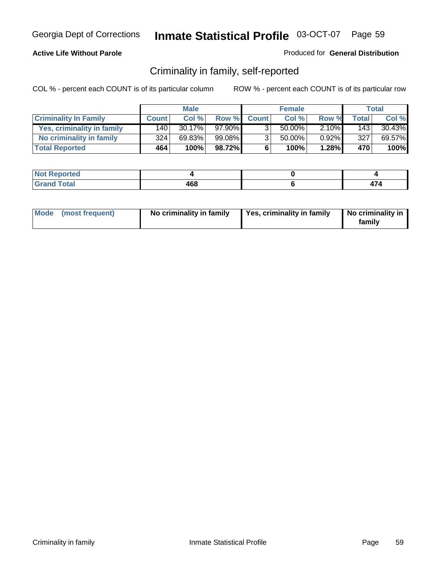## **Active Life Without Parole**

### Produced for **General Distribution**

## Criminality in family, self-reported

|                              | <b>Male</b>  |        | <b>Female</b> |              |        | Total    |              |        |
|------------------------------|--------------|--------|---------------|--------------|--------|----------|--------------|--------|
| <b>Criminality In Family</b> | <b>Count</b> | Col %  | Row %         | <b>Count</b> | Col %  | Row %    | <b>Total</b> | Col %  |
| Yes, criminality in family   | 140          | 30.17% | 97.90%        | 3            | 50.00% | $2.10\%$ | 143          | 30.43% |
| No criminality in family     | 324          | 69.83% | 99.08%        | 3            | 50.00% | $0.92\%$ | 327          | 69.57% |
| <b>Total Reported</b>        | 464          | 100%   | 98.72%        | 6            | 100%   | 1.28%    | 470          | 100%   |

| oorted<br><b>NOT</b><br><b>IJCI</b> |     |    |
|-------------------------------------|-----|----|
| $\sim$<br>Grar<br>---               | 468 | '4 |

| Mode (most frequent) |  | No criminality in family | Yes, criminality in family | No criminality in<br>family |
|----------------------|--|--------------------------|----------------------------|-----------------------------|
|----------------------|--|--------------------------|----------------------------|-----------------------------|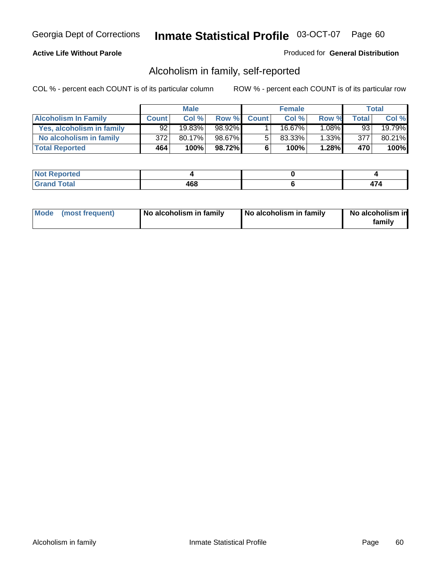## **Active Life Without Parole**

### Produced for **General Distribution**

## Alcoholism in family, self-reported

|                             | <b>Male</b>  |           | <b>Female</b> |              |        | Total    |       |        |
|-----------------------------|--------------|-----------|---------------|--------------|--------|----------|-------|--------|
| <b>Alcoholism In Family</b> | <b>Count</b> | Col %     | Row %         | <b>Count</b> | Col %  | Row %    | Total | Col %  |
| Yes, alcoholism in family   | 92           | 19.83%    | 98.92%        |              | 16.67% | $1.08\%$ | 93    | 19.79% |
| No alcoholism in family     | 372          | $80.17\%$ | 98.67%        |              | 83.33% | $1.33\%$ | 377   | 80.21% |
| <b>Total Reported</b>       | 464          | 100%      | 98.72%        | 6            | 100%   | 1.28%    | 470   | 100%   |

| oorted<br><b>NOT</b><br><b>IVGI</b> |     |  |
|-------------------------------------|-----|--|
| Total<br>Gran<br>---                | 468 |  |

|  | Mode (most frequent) | No alcoholism in family | No alcoholism in family | No alcoholism in<br>familv |
|--|----------------------|-------------------------|-------------------------|----------------------------|
|--|----------------------|-------------------------|-------------------------|----------------------------|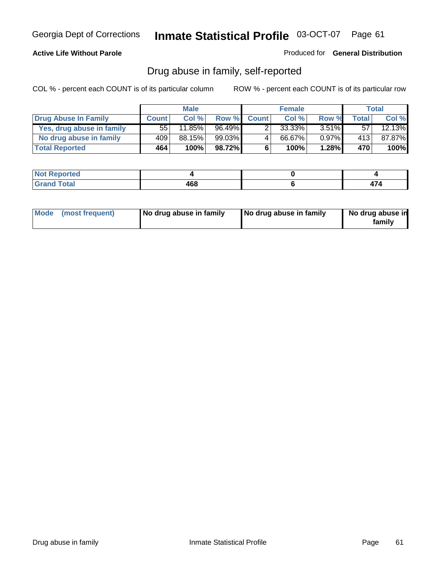## **Active Life Without Parole**

Produced for **General Distribution**

## Drug abuse in family, self-reported

|                           | <b>Male</b>  |           | <b>Female</b> |              |        | <b>Total</b> |       |        |
|---------------------------|--------------|-----------|---------------|--------------|--------|--------------|-------|--------|
| Drug Abuse In Family      | <b>Count</b> | Col %     | Row %         | <b>Count</b> | Col %  | Row %        | Total | Col %  |
| Yes, drug abuse in family | 55           | $11.85\%$ | 96.49%        |              | 33.33% | $3.51\%$     | 57    | 12.13% |
| No drug abuse in family   | 409          | 88.15%    | $99.03\%$     | 4            | 66.67% | $0.97\%$     | 413   | 87.87% |
| <b>Total Reported</b>     | 464          | 100%      | 98.72%        | 6            | 100%   | 1.28%        | 470   | 100%   |

| oorted<br><b>NOT</b><br><b>IVGI</b> |     |  |
|-------------------------------------|-----|--|
| Total<br>Gran<br>---                | 468 |  |

|  | Mode (most frequent) | No drug abuse in family | No drug abuse in family | No drug abuse in<br>familv |
|--|----------------------|-------------------------|-------------------------|----------------------------|
|--|----------------------|-------------------------|-------------------------|----------------------------|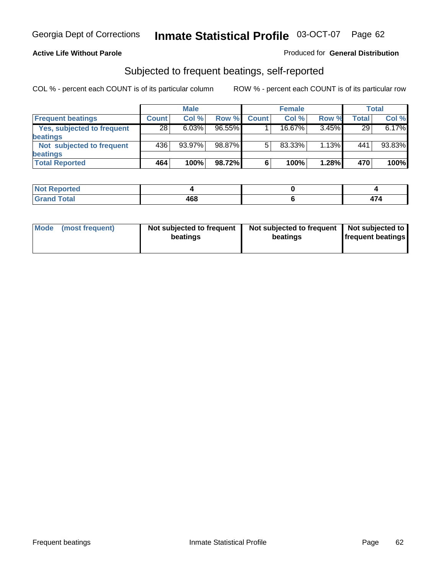### **Active Life Without Parole**

### Produced for **General Distribution**

## Subjected to frequent beatings, self-reported

|                            | <b>Male</b>  |           |           | <b>Female</b> |        |          | <b>Total</b> |        |
|----------------------------|--------------|-----------|-----------|---------------|--------|----------|--------------|--------|
| <b>Frequent beatings</b>   | <b>Count</b> | Col%      | Row %     | <b>Count</b>  | Col%   | Row %    | Total        | Col %  |
| Yes, subjected to frequent | 28           | 6.03%     | $96.55\%$ |               | 16.67% | 3.45%    | 29           | 6.17%  |
| beatings                   |              |           |           |               |        |          |              |        |
| Not subjected to frequent  | 436          | $93.97\%$ | 98.87%    | 5             | 83.33% | $1.13\%$ | 441          | 93.83% |
| beatings                   |              |           |           |               |        |          |              |        |
| <b>Total Reported</b>      | 464          | 100%      | 98.72%    | 6             | 100%   | 1.28%    | 470          | 100%   |

| Not Reported         |     |  |
|----------------------|-----|--|
| <b>Total</b><br>Croy | 468 |  |

| Mode (most frequent) | Not subjected to frequent<br>beatings | Not subjected to frequent<br>beatings | Not subjected to<br><b>frequent beatings</b> |  |
|----------------------|---------------------------------------|---------------------------------------|----------------------------------------------|--|
|                      |                                       |                                       |                                              |  |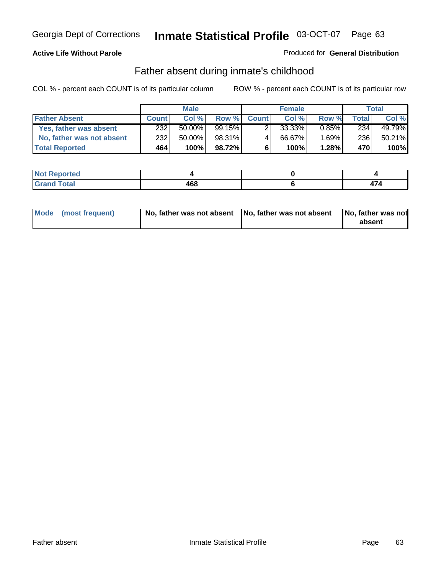## **Active Life Without Parole**

### Produced for **General Distribution**

## Father absent during inmate's childhood

|                           | <b>Male</b>  |           |           | <b>Female</b> |        |          | Total |        |
|---------------------------|--------------|-----------|-----------|---------------|--------|----------|-------|--------|
| <b>Father Absent</b>      | <b>Count</b> | Col %     | Row %     | <b>Count</b>  | Col %  | Row %    | Total | Col %  |
| Yes, father was absent    | 232          | $50.00\%$ | $99.15\%$ |               | 33.33% | $0.85\%$ | 234   | 49.79% |
| No, father was not absent | 232          | 50.00%    | 98.31%    | 4             | 66.67% | $1.69\%$ | 236   | 50.21% |
| <b>Total Reported</b>     | 464          | 100%      | 98.72%I   | 6             | 100%   | 1.28%    | 470   | 100%   |

| <b>Not Reported</b>   |             |  |
|-----------------------|-------------|--|
| <b>Fotal</b><br>Gran. | 468<br>$ -$ |  |

| Mode (most frequent) |  | absent |
|----------------------|--|--------|
|                      |  |        |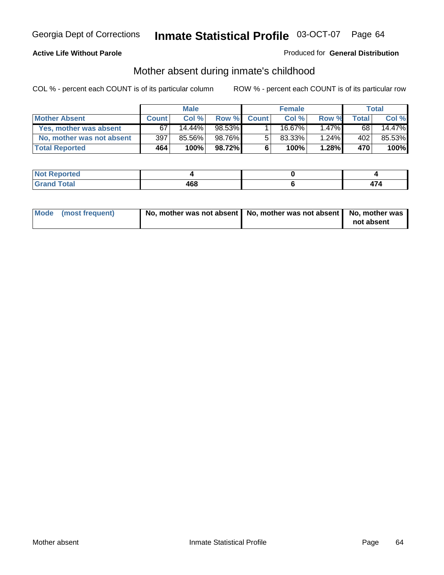## **Active Life Without Parole**

### Produced for **General Distribution**

# Mother absent during inmate's childhood

|                           | <b>Male</b>  |           |        | <b>Female</b> |           |          | Total |        |
|---------------------------|--------------|-----------|--------|---------------|-----------|----------|-------|--------|
| <b>Mother Absent</b>      | <b>Count</b> | Col %     | Row %  | <b>Count</b>  | Col %     | Row %    | Total | Col %  |
| Yes, mother was absent    | 67           | $14.44\%$ | 98.53% |               | 16.67%    | $1.47\%$ | 68    | 14.47% |
| No, mother was not absent | 397          | 85.56%    | 98.76% | 5             | $83.33\%$ | 1.24%    | 402   | 85.53% |
| <b>Total Reported</b>     | 464          | 100%      | 98.72% | 6             | 100%      | $1.28\%$ | 470   | 100%   |

| <b>Not Reported</b>   |     |  |
|-----------------------|-----|--|
| <b>Total</b><br>Grand | 468 |  |

| Mode (most frequent) | No, mother was not absent   No, mother was not absent   No, mother was | not absent |
|----------------------|------------------------------------------------------------------------|------------|
|----------------------|------------------------------------------------------------------------|------------|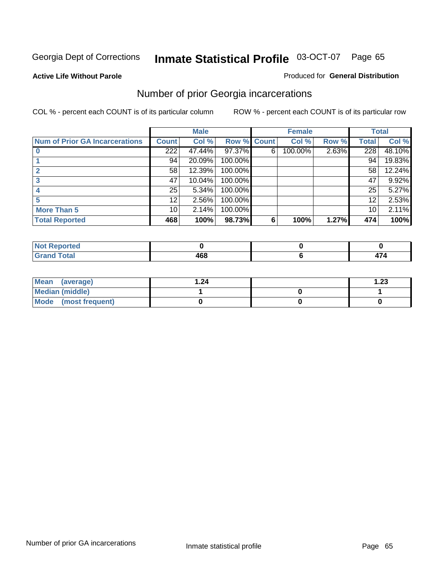#### **Active Life Without Parole**

### Produced for **General Distribution**

## Number of prior Georgia incarcerations

|                                |                 | <b>Male</b> |         |              | <b>Female</b> |       |       | <b>Total</b> |
|--------------------------------|-----------------|-------------|---------|--------------|---------------|-------|-------|--------------|
| Num of Prior GA Incarcerations | <b>Count</b>    | Col %       | Row %   | <b>Count</b> | Col %         | Row % | Total | Col %        |
|                                | 222             | 47.44%      | 97.37%  | 6            | 100.00%       | 2.63% | 228   | 48.10%       |
|                                | 94              | 20.09%      | 100.00% |              |               |       | 94    | 19.83%       |
|                                | 58              | 12.39%      | 100.00% |              |               |       | 58    | 12.24%       |
|                                | 47              | 10.04%      | 100.00% |              |               |       | 47    | 9.92%        |
|                                | 25              | 5.34%       | 100.00% |              |               |       | 25    | 5.27%        |
|                                | 12 <sup>°</sup> | 2.56%       | 100.00% |              |               |       | 12    | 2.53%        |
| <b>More Than 5</b>             | 10 <sup>1</sup> | 2.14%       | 100.00% |              |               |       | 10    | 2.11%        |
| <b>Total Reported</b>          | 468             | 100%        | 98.73%  | 6            | 100%          | 1.27% | 474   | 100%         |

| .<br>теа<br>N |    |   |
|---------------|----|---|
| $\sim$        | .  | - |
|               | __ | . |

| Mean (average)       | 24. ا | $\overline{.23}$ |
|----------------------|-------|------------------|
| Median (middle)      |       |                  |
| Mode (most frequent) |       |                  |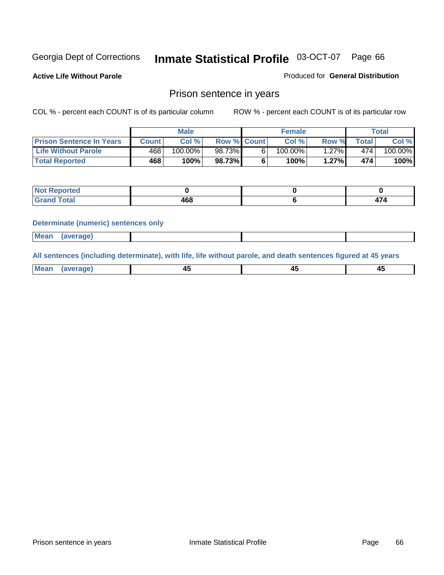**Active Life Without Parole** 

Produced for **General Distribution**

## Prison sentence in years

COL % - percent each COUNT is of its particular column ROW % - percent each COUNT is of its particular row

|                                 |         | Male    |                    | <b>Female</b> |       |             | Total   |
|---------------------------------|---------|---------|--------------------|---------------|-------|-------------|---------|
| <b>Prison Sentence In Years</b> | Count l | Col %   | <b>Row % Count</b> | Col %         | Row % | $\tau$ otal | Col %   |
| <b>Life Without Parole</b>      | 468     | 100.00% | 98.73%             | $100.00\%$    | .27%  | 474         | 100.00% |
| <b>Total Reported</b>           | 468     | 100%    | 98.73%             | 100%          | 1.27% | 474         | 100%    |

| Reported                                   |     |                          |
|--------------------------------------------|-----|--------------------------|
| <b>Total</b><br>"Granu<br>$\mathbf{v}$ and | 468 | $\overline{\phantom{0}}$ |

#### **Determinate (numeric) sentences only**

| <b>Mean</b> | (average) |  |  |
|-------------|-----------|--|--|

**All sentences (including determinate), with life, life without parole, and death sentences figured at 45 years**

| Me:<br>anei<br>.<br>᠇<br>$\sim$ | -- | т.<br>$\sim$ |
|---------------------------------|----|--------------|
|---------------------------------|----|--------------|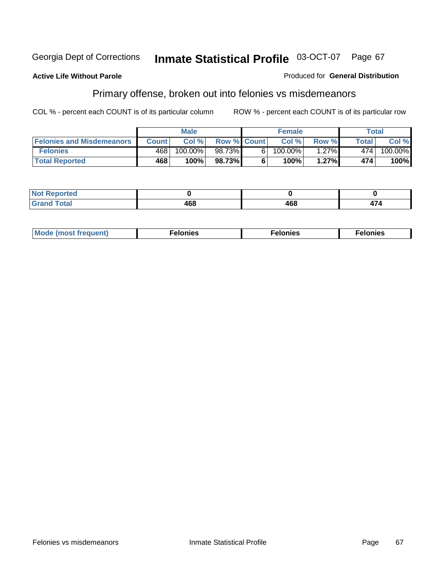#### **Active Life Without Parole**

### Produced for **General Distribution**

# Primary offense, broken out into felonies vs misdemeanors

|                                  |              | <b>Male</b> |                    |    | <b>Female</b> |          |              | Total                 |
|----------------------------------|--------------|-------------|--------------------|----|---------------|----------|--------------|-----------------------|
| <b>Felonies and Misdemeanors</b> | <b>Count</b> | Col%        | <b>Row % Count</b> |    | Col%          | Row %    | <b>Total</b> | Col %                 |
| <b>Felonies</b>                  | 468          | 100.00%     | 98.73%             | 61 | $100.00\%$    | $1.27\%$ | 474          | $100.\overline{00\%}$ |
| <b>Total Reported</b>            | 468          | 100%        | 98.73%             |    | 100%          | 1.27%    | 474          | 100%                  |

| rted<br>NO<br>$\sim$ |     |     |     |
|----------------------|-----|-----|-----|
| --                   | ACO | 468 | 174 |

| M <sub>0</sub><br>. | าเe⊾<br>. | . |
|---------------------|-----------|---|
|---------------------|-----------|---|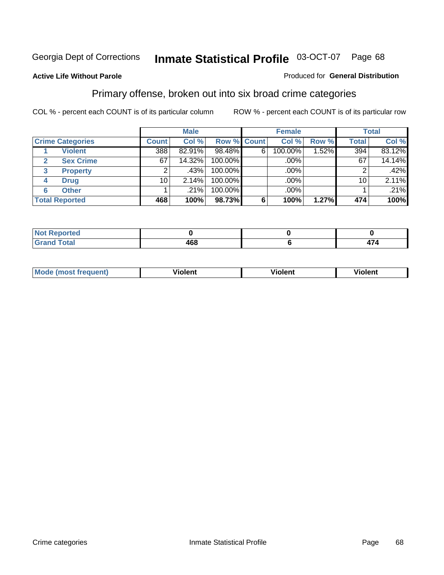#### **Active Life Without Parole**

#### Produced for **General Distribution**

## Primary offense, broken out into six broad crime categories

|                         |              | <b>Male</b> |                    |   | <b>Female</b> |       |              | <b>Total</b> |
|-------------------------|--------------|-------------|--------------------|---|---------------|-------|--------------|--------------|
| <b>Crime Categories</b> | <b>Count</b> | Col %       | <b>Row % Count</b> |   | Col %         | Row % | <b>Total</b> | Col %        |
| <b>Violent</b>          | 388          | 82.91%      | 98.48%             | 6 | 100.00%       | 1.52% | 394          | 83.12%       |
| <b>Sex Crime</b>        | 67           | 14.32%      | 100.00%            |   | .00%          |       | 67           | 14.14%       |
| 3<br><b>Property</b>    | 2            | .43%        | 100.00%            |   | .00%          |       |              | .42%         |
| <b>Drug</b><br>4        | 10           | 2.14%       | 100.00%            |   | .00%          |       | 10           | 2.11%        |
| <b>Other</b><br>6       |              | .21%        | 100.00%            |   | .00%          |       |              | .21%         |
| <b>Total Reported</b>   | 468          | 100%        | 98.73%             | 6 | 100%          | 1.27% | 474          | 100%         |

| Reported<br>' Not<br>,,,,,, |     |          |
|-----------------------------|-----|----------|
| <b>Total</b><br>Grand       | 468 | .<br>474 |

| Mo | n n | winlor" | ılen' |
|----|-----|---------|-------|
|    |     |         |       |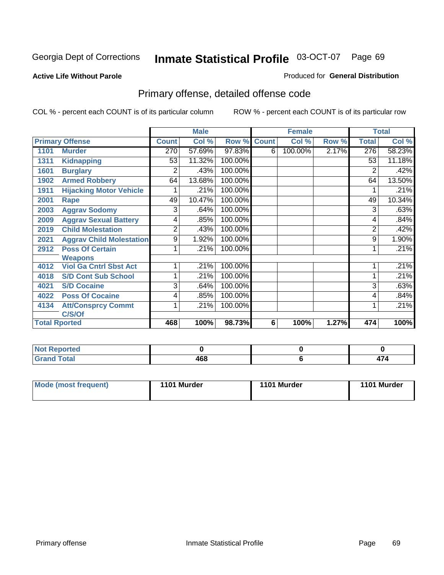#### **Active Life Without Parole**

#### Produced for **General Distribution**

# Primary offense, detailed offense code

|      |                                 |                | <b>Male</b> |                    |   | <b>Female</b> |       |              | <b>Total</b> |
|------|---------------------------------|----------------|-------------|--------------------|---|---------------|-------|--------------|--------------|
|      | <b>Primary Offense</b>          | <b>Count</b>   | Col %       | <b>Row % Count</b> |   | Col %         | Row % | <b>Total</b> | Col %        |
| 1101 | <b>Murder</b>                   | 270            | 57.69%      | 97.83%             | 6 | 100.00%       | 2.17% | 276          | 58.23%       |
| 1311 | <b>Kidnapping</b>               | 53             | 11.32%      | 100.00%            |   |               |       | 53           | 11.18%       |
| 1601 | <b>Burglary</b>                 | 2              | .43%        | 100.00%            |   |               |       | 2            | .42%         |
| 1902 | <b>Armed Robbery</b>            | 64             | 13.68%      | 100.00%            |   |               |       | 64           | 13.50%       |
| 1911 | <b>Hijacking Motor Vehicle</b>  |                | .21%        | 100.00%            |   |               |       |              | .21%         |
| 2001 | Rape                            | 49             | 10.47%      | 100.00%            |   |               |       | 49           | 10.34%       |
| 2003 | <b>Aggrav Sodomy</b>            | 3              | .64%        | 100.00%            |   |               |       | 3            | .63%         |
| 2009 | <b>Aggrav Sexual Battery</b>    | 4              | .85%        | 100.00%            |   |               |       | 4            | .84%         |
| 2019 | <b>Child Molestation</b>        | $\overline{2}$ | .43%        | 100.00%            |   |               |       | 2            | .42%         |
| 2021 | <b>Aggrav Child Molestation</b> | 9              | 1.92%       | 100.00%            |   |               |       | 9            | 1.90%        |
| 2912 | <b>Poss Of Certain</b>          |                | .21%        | 100.00%            |   |               |       |              | .21%         |
|      | <b>Weapons</b>                  |                |             |                    |   |               |       |              |              |
| 4012 | <b>Viol Ga Cntrl Sbst Act</b>   |                | .21%        | 100.00%            |   |               |       |              | .21%         |
| 4018 | <b>S/D Cont Sub School</b>      | 1              | .21%        | 100.00%            |   |               |       |              | .21%         |
| 4021 | <b>S/D Cocaine</b>              | 3              | .64%        | 100.00%            |   |               |       | 3            | .63%         |
| 4022 | <b>Poss Of Cocaine</b>          | 4              | .85%        | 100.00%            |   |               |       | 4            | .84%         |
| 4134 | <b>Att/Consprcy Commt</b>       | 1              | .21%        | 100.00%            |   |               |       |              | .21%         |
|      | C/S/Of                          |                |             |                    |   |               |       |              |              |
|      | <b>Total Rported</b>            | 468            | 100%        | 98.73%             | 6 | 100%          | 1.27% | 474          | 100%         |

| <b>Not Reported</b> |     |  |
|---------------------|-----|--|
| <b>Total</b>        | 468 |  |

| Mode (most frequent) | 1101 Murder | 1101 Murder | 1101 Murder |
|----------------------|-------------|-------------|-------------|
|----------------------|-------------|-------------|-------------|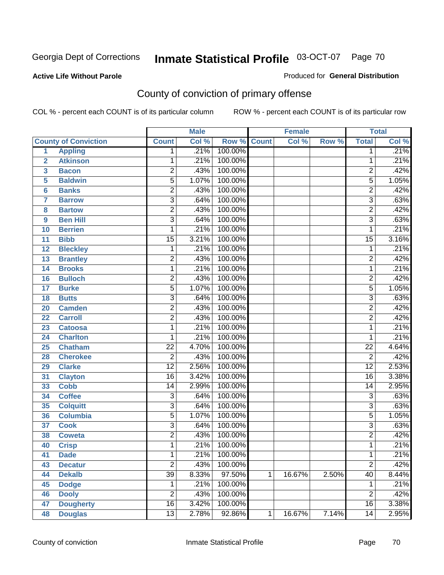### **Active Life Without Parole**

#### Produced for **General Distribution**

# County of conviction of primary offense

|                         |                             |                           | <b>Male</b> |         |              | <b>Female</b> |       |                 | <b>Total</b> |
|-------------------------|-----------------------------|---------------------------|-------------|---------|--------------|---------------|-------|-----------------|--------------|
|                         | <b>County of Conviction</b> | <b>Count</b>              | Col %       | Row %   | <b>Count</b> | Col %         | Row % | <b>Total</b>    | Col %        |
| 1                       | <b>Appling</b>              | 1                         | .21%        | 100.00% |              |               |       | 1               | .21%         |
| $\overline{2}$          | <b>Atkinson</b>             | 1                         | .21%        | 100.00% |              |               |       | 1               | .21%         |
| $\overline{\mathbf{3}}$ | <b>Bacon</b>                | $\overline{2}$            | .43%        | 100.00% |              |               |       | $\overline{2}$  | .42%         |
| 5                       | <b>Baldwin</b>              | $\overline{5}$            | 1.07%       | 100.00% |              |               |       | $\overline{5}$  | 1.05%        |
| 6                       | <b>Banks</b>                | $\overline{2}$            | .43%        | 100.00% |              |               |       | $\overline{c}$  | .42%         |
| $\overline{\mathbf{7}}$ | <b>Barrow</b>               | $\overline{3}$            | .64%        | 100.00% |              |               |       | $\overline{3}$  | .63%         |
| 8                       | <b>Bartow</b>               | $\overline{2}$            | .43%        | 100.00% |              |               |       | $\overline{2}$  | .42%         |
| 9                       | <b>Ben Hill</b>             | $\overline{\overline{3}}$ | .64%        | 100.00% |              |               |       | $\overline{3}$  | .63%         |
| 10                      | <b>Berrien</b>              | 1                         | .21%        | 100.00% |              |               |       | 1               | .21%         |
| 11                      | <b>Bibb</b>                 | $\overline{15}$           | 3.21%       | 100.00% |              |               |       | $\overline{15}$ | 3.16%        |
| 12                      | <b>Bleckley</b>             | 1                         | .21%        | 100.00% |              |               |       | $\mathbf 1$     | .21%         |
| 13                      | <b>Brantley</b>             | $\overline{2}$            | .43%        | 100.00% |              |               |       | $\overline{2}$  | .42%         |
| 14                      | <b>Brooks</b>               | 1                         | .21%        | 100.00% |              |               |       | $\mathbf{1}$    | .21%         |
| 16                      | <b>Bulloch</b>              | $\overline{2}$            | .43%        | 100.00% |              |               |       | $\overline{2}$  | .42%         |
| 17                      | <b>Burke</b>                | $\overline{5}$            | 1.07%       | 100.00% |              |               |       | $\overline{5}$  | 1.05%        |
| 18                      | <b>Butts</b>                | $\overline{3}$            | .64%        | 100.00% |              |               |       | $\overline{3}$  | .63%         |
| 20                      | <b>Camden</b>               | $\overline{2}$            | .43%        | 100.00% |              |               |       | $\overline{2}$  | .42%         |
| 22                      | <b>Carroll</b>              | $\overline{2}$            | .43%        | 100.00% |              |               |       | $\overline{2}$  | .42%         |
| 23                      | <b>Catoosa</b>              | 1                         | .21%        | 100.00% |              |               |       | 1               | .21%         |
| 24                      | <b>Charlton</b>             | 1                         | .21%        | 100.00% |              |               |       | 1               | .21%         |
| 25                      | <b>Chatham</b>              | $\overline{22}$           | 4.70%       | 100.00% |              |               |       | $\overline{22}$ | 4.64%        |
| 28                      | <b>Cherokee</b>             | $\overline{2}$            | .43%        | 100.00% |              |               |       | $\overline{2}$  | .42%         |
| 29                      | <b>Clarke</b>               | $\overline{12}$           | 2.56%       | 100.00% |              |               |       | $\overline{12}$ | 2.53%        |
| 31                      | <b>Clayton</b>              | $\overline{16}$           | 3.42%       | 100.00% |              |               |       | $\overline{16}$ | 3.38%        |
| 33                      | <b>Cobb</b>                 | 14                        | 2.99%       | 100.00% |              |               |       | 14              | 2.95%        |
| 34                      | <b>Coffee</b>               | 3                         | .64%        | 100.00% |              |               |       | $\overline{3}$  | .63%         |
| 35                      | <b>Colquitt</b>             | $\overline{3}$            | .64%        | 100.00% |              |               |       | $\overline{3}$  | .63%         |
| 36                      | <b>Columbia</b>             | $\overline{5}$            | 1.07%       | 100.00% |              |               |       | $\overline{5}$  | 1.05%        |
| 37                      | <b>Cook</b>                 | $\overline{3}$            | .64%        | 100.00% |              |               |       | $\overline{3}$  | .63%         |
| 38                      | <b>Coweta</b>               | $\overline{2}$            | .43%        | 100.00% |              |               |       | $\overline{2}$  | .42%         |
| 40                      | <b>Crisp</b>                | 1                         | .21%        | 100.00% |              |               |       | 1               | .21%         |
| 41                      | <b>Dade</b>                 | 1                         | .21%        | 100.00% |              |               |       | 1               | .21%         |
| 43                      | <b>Decatur</b>              | $\overline{2}$            | .43%        | 100.00% |              |               |       | $\overline{2}$  | .42%         |
| 44                      | <b>Dekalb</b>               | $\overline{39}$           | 8.33%       | 97.50%  | 1            | 16.67%        | 2.50% | $\overline{40}$ | 8.44%        |
| 45                      | <b>Dodge</b>                | 1                         | .21%        | 100.00% |              |               |       | 1               | .21%         |
| 46                      | <b>Dooly</b>                | $\overline{2}$            | .43%        | 100.00% |              |               |       | $\overline{2}$  | .42%         |
| 47                      | <b>Dougherty</b>            | $\overline{16}$           | 3.42%       | 100.00% |              |               |       | 16              | 3.38%        |
| 48                      | <b>Douglas</b>              | $\overline{13}$           | 2.78%       | 92.86%  | 1            | 16.67%        | 7.14% | $\overline{14}$ | 2.95%        |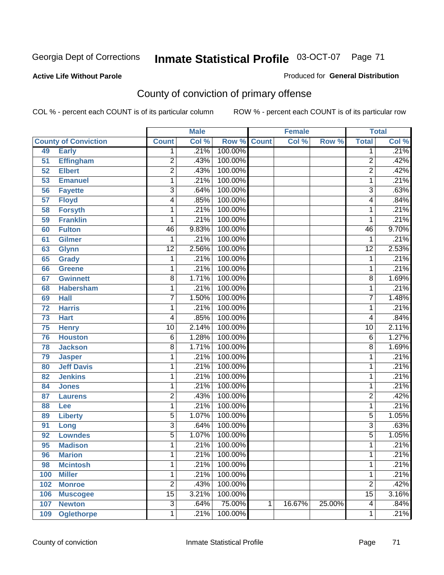#### **Active Life Without Parole**

#### Produced for **General Distribution**

# County of conviction of primary offense

|     |                             |                 | <b>Male</b> |                    |   | <b>Female</b> |        |                 | <b>Total</b> |
|-----|-----------------------------|-----------------|-------------|--------------------|---|---------------|--------|-----------------|--------------|
|     | <b>County of Conviction</b> | <b>Count</b>    | Col %       | <b>Row % Count</b> |   | Col %         | Row %  | <b>Total</b>    | Col %        |
| 49  | <b>Early</b>                | 1               | .21%        | 100.00%            |   |               |        | 1               | .21%         |
| 51  | <b>Effingham</b>            | $\overline{2}$  | .43%        | 100.00%            |   |               |        | $\overline{2}$  | .42%         |
| 52  | <b>Elbert</b>               | $\overline{2}$  | .43%        | 100.00%            |   |               |        | $\overline{2}$  | .42%         |
| 53  | <b>Emanuel</b>              | 1               | .21%        | 100.00%            |   |               |        | $\mathbf{1}$    | .21%         |
| 56  | <b>Fayette</b>              | $\overline{3}$  | .64%        | 100.00%            |   |               |        | $\overline{3}$  | .63%         |
| 57  | <b>Floyd</b>                | 4               | .85%        | 100.00%            |   |               |        | 4               | .84%         |
| 58  | <b>Forsyth</b>              | 1               | .21%        | 100.00%            |   |               |        | 1               | .21%         |
| 59  | <b>Franklin</b>             | 1               | .21%        | 100.00%            |   |               |        | 1               | .21%         |
| 60  | <b>Fulton</b>               | 46              | 9.83%       | 100.00%            |   |               |        | 46              | 9.70%        |
| 61  | <b>Gilmer</b>               | 1               | .21%        | 100.00%            |   |               |        | 1               | .21%         |
| 63  | <b>Glynn</b>                | $\overline{12}$ | 2.56%       | 100.00%            |   |               |        | $\overline{12}$ | 2.53%        |
| 65  | <b>Grady</b>                | 1               | .21%        | 100.00%            |   |               |        | 1               | .21%         |
| 66  | <b>Greene</b>               | 1               | .21%        | 100.00%            |   |               |        | 1               | .21%         |
| 67  | <b>Gwinnett</b>             | $\overline{8}$  | 1.71%       | 100.00%            |   |               |        | 8               | 1.69%        |
| 68  | <b>Habersham</b>            | 1               | .21%        | 100.00%            |   |               |        | 1               | .21%         |
| 69  | <b>Hall</b>                 | $\overline{7}$  | 1.50%       | 100.00%            |   |               |        | $\overline{7}$  | 1.48%        |
| 72  | <b>Harris</b>               | 1               | .21%        | 100.00%            |   |               |        | 1               | .21%         |
| 73  | <b>Hart</b>                 | 4               | .85%        | 100.00%            |   |               |        | 4               | .84%         |
| 75  | <b>Henry</b>                | $\overline{10}$ | 2.14%       | 100.00%            |   |               |        | $\overline{10}$ | 2.11%        |
| 76  | <b>Houston</b>              | $\overline{6}$  | 1.28%       | 100.00%            |   |               |        | 6               | 1.27%        |
| 78  | <b>Jackson</b>              | $\overline{8}$  | 1.71%       | 100.00%            |   |               |        | 8               | 1.69%        |
| 79  | <b>Jasper</b>               | 1               | .21%        | 100.00%            |   |               |        | 1               | .21%         |
| 80  | <b>Jeff Davis</b>           | 1               | .21%        | 100.00%            |   |               |        | 1               | .21%         |
| 82  | <b>Jenkins</b>              | 1               | .21%        | 100.00%            |   |               |        | 1               | .21%         |
| 84  | <b>Jones</b>                | 1               | .21%        | 100.00%            |   |               |        | 1               | .21%         |
| 87  | <b>Laurens</b>              | $\overline{2}$  | .43%        | 100.00%            |   |               |        | $\overline{2}$  | .42%         |
| 88  | Lee                         | 1               | .21%        | 100.00%            |   |               |        | 1               | .21%         |
| 89  | <b>Liberty</b>              | $\overline{5}$  | 1.07%       | 100.00%            |   |               |        | 5               | 1.05%        |
| 91  | Long                        | $\overline{3}$  | .64%        | 100.00%            |   |               |        | $\overline{3}$  | .63%         |
| 92  | <b>Lowndes</b>              | $\overline{5}$  | 1.07%       | 100.00%            |   |               |        | $\overline{5}$  | 1.05%        |
| 95  | <b>Madison</b>              | 1               | .21%        | 100.00%            |   |               |        | 1               | .21%         |
| 96  | <b>Marion</b>               | 1               |             | .21% 100.00%       |   |               |        | 1               | .21%         |
| 98  | <b>Mcintosh</b>             | 1               | .21%        | 100.00%            |   |               |        | 1               | .21%         |
| 100 | <b>Miller</b>               | 1               | .21%        | 100.00%            |   |               |        | 1               | .21%         |
| 102 | <b>Monroe</b>               | $\overline{2}$  | .43%        | 100.00%            |   |               |        | $\overline{2}$  | .42%         |
| 106 | <b>Muscogee</b>             | $\overline{15}$ | 3.21%       | 100.00%            |   |               |        | $\overline{15}$ | 3.16%        |
| 107 | <b>Newton</b>               | $\overline{3}$  | .64%        | 75.00%             | 1 | 16.67%        | 25.00% | 4               | .84%         |
| 109 | <b>Oglethorpe</b>           | 1               | .21%        | 100.00%            |   |               |        | 1               | .21%         |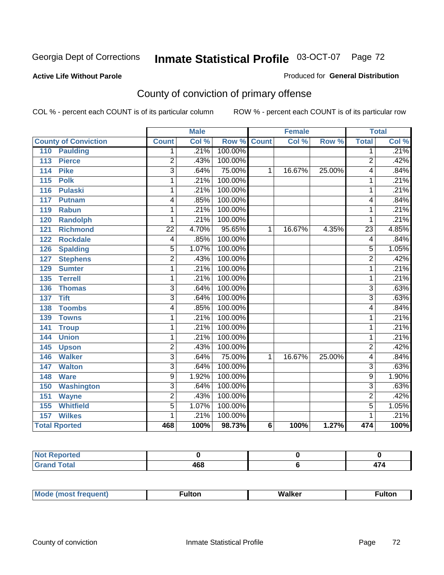## **Active Life Without Parole**

#### Produced for **General Distribution**

# County of conviction of primary offense

|                                     |                         | <b>Male</b> |                    |                | <b>Female</b> |        |                 | <b>Total</b>               |
|-------------------------------------|-------------------------|-------------|--------------------|----------------|---------------|--------|-----------------|----------------------------|
| <b>County of Conviction</b>         | <b>Count</b>            | Col %       | <b>Row % Count</b> |                | Col %         | Row %  | <b>Total</b>    | $\overline{\text{Col }^9}$ |
| 110<br><b>Paulding</b>              | 1                       | .21%        | 100.00%            |                |               |        | 1               | .21%                       |
| 113<br><b>Pierce</b>                | $\overline{2}$          | .43%        | 100.00%            |                |               |        | $\overline{2}$  | .42%                       |
| <b>Pike</b><br>114                  | $\overline{\mathbf{3}}$ | .64%        | 75.00%             | 1              | 16.67%        | 25.00% | 4               | .84%                       |
| 115<br><b>Polk</b>                  | 1                       | .21%        | 100.00%            |                |               |        | 1               | .21%                       |
| $\frac{116}{116}$<br><b>Pulaski</b> | 1                       | .21%        | 100.00%            |                |               |        | 1               | .21%                       |
| 117<br><b>Putnam</b>                | 4                       | .85%        | 100.00%            |                |               |        | 4               | .84%                       |
| <b>Rabun</b><br>119                 | 1                       | .21%        | 100.00%            |                |               |        | 1               | .21%                       |
| 120<br><b>Randolph</b>              | 1                       | .21%        | 100.00%            |                |               |        | 1               | .21%                       |
| <b>Richmond</b><br>121              | $\overline{22}$         | 4.70%       | 95.65%             | 1              | 16.67%        | 4.35%  | $\overline{23}$ | 4.85%                      |
| <b>Rockdale</b><br>122              | $\overline{4}$          | .85%        | 100.00%            |                |               |        | 4               | .84%                       |
| <b>Spalding</b><br>126              | $\overline{5}$          | 1.07%       | 100.00%            |                |               |        | $\overline{5}$  | 1.05%                      |
| <b>Stephens</b><br>127              | $\overline{2}$          | .43%        | 100.00%            |                |               |        | $\overline{2}$  | .42%                       |
| 129<br><b>Sumter</b>                | 1                       | .21%        | 100.00%            |                |               |        | 1               | .21%                       |
| <b>Terrell</b><br>135               | 1                       | .21%        | 100.00%            |                |               |        | 1               | .21%                       |
| 136<br><b>Thomas</b>                | 3                       | .64%        | 100.00%            |                |               |        | 3               | .63%                       |
| <b>Tift</b><br>137                  | $\overline{3}$          | .64%        | 100.00%            |                |               |        | 3               | .63%                       |
| <b>Toombs</b><br>138                | 4                       | .85%        | 100.00%            |                |               |        | 4               | .84%                       |
| 139<br><b>Towns</b>                 | 1                       | .21%        | 100.00%            |                |               |        | 1               | .21%                       |
| 141<br><b>Troup</b>                 | 1                       | .21%        | 100.00%            |                |               |        | 1               | .21%                       |
| 144<br><b>Union</b>                 | 1                       | .21%        | 100.00%            |                |               |        | 1               | .21%                       |
| 145<br><b>Upson</b>                 | $\overline{2}$          | .43%        | 100.00%            |                |               |        | $\overline{2}$  | .42%                       |
| <b>Walker</b><br>146                | $\overline{3}$          | .64%        | 75.00%             | 1              | 16.67%        | 25.00% | 4               | .84%                       |
| 147<br><b>Walton</b>                | $\overline{3}$          | .64%        | 100.00%            |                |               |        | $\overline{3}$  | .63%                       |
| <b>Ware</b><br>148                  | $\overline{9}$          | 1.92%       | 100.00%            |                |               |        | $\overline{9}$  | 1.90%                      |
| <b>Washington</b><br>150            | 3                       | .64%        | 100.00%            |                |               |        | 3               | .63%                       |
| 151<br><b>Wayne</b>                 | $\overline{2}$          | .43%        | 100.00%            |                |               |        | $\overline{2}$  | .42%                       |
| <b>Whitfield</b><br>155             | $\overline{5}$          | 1.07%       | 100.00%            |                |               |        | $\overline{5}$  | 1.05%                      |
| 157<br><b>Wilkes</b>                | 1                       | .21%        | 100.00%            |                |               |        | 1               | .21%                       |
| <b>Total Rported</b>                | 468                     | 100%        | 98.73%             | $6\phantom{1}$ | 100%          | 1.27%  | 474             | 100%                       |

| eported<br>N |     |         |
|--------------|-----|---------|
| int<br>_____ | 468 | --<br>. |

| M. | MI- | 1ltr |
|----|-----|------|
|    |     |      |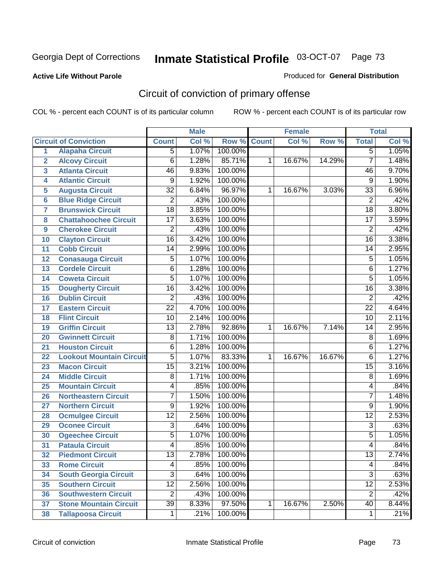#### **Active Life Without Parole**

#### Produced for **General Distribution**

# Circuit of conviction of primary offense

|                 |                                 |                 | <b>Male</b> |         |              | <b>Female</b> |        |                 | <b>Total</b> |
|-----------------|---------------------------------|-----------------|-------------|---------|--------------|---------------|--------|-----------------|--------------|
|                 | <b>Circuit of Conviction</b>    | <b>Count</b>    | Col %       | Row %   | <b>Count</b> | Col %         | Row %  | <b>Total</b>    | Col %        |
| 1               | <b>Alapaha Circuit</b>          | $\overline{5}$  | 1.07%       | 100.00% |              |               |        | 5               | 1.05%        |
| $\overline{2}$  | <b>Alcovy Circuit</b>           | $\overline{6}$  | 1.28%       | 85.71%  | 1            | 16.67%        | 14.29% | $\overline{7}$  | 1.48%        |
| 3               | <b>Atlanta Circuit</b>          | 46              | 9.83%       | 100.00% |              |               |        | 46              | 9.70%        |
| 4               | <b>Atlantic Circuit</b>         | 9               | 1.92%       | 100.00% |              |               |        | 9               | 1.90%        |
| 5               | <b>Augusta Circuit</b>          | $\overline{32}$ | 6.84%       | 96.97%  | 1            | 16.67%        | 3.03%  | 33              | 6.96%        |
| $6\phantom{a}$  | <b>Blue Ridge Circuit</b>       | $\overline{2}$  | .43%        | 100.00% |              |               |        | $\overline{2}$  | .42%         |
| $\overline{7}$  | <b>Brunswick Circuit</b>        | $\overline{18}$ | 3.85%       | 100.00% |              |               |        | $\overline{18}$ | 3.80%        |
| 8               | <b>Chattahoochee Circuit</b>    | $\overline{17}$ | 3.63%       | 100.00% |              |               |        | $\overline{17}$ | 3.59%        |
| 9               | <b>Cherokee Circuit</b>         | $\overline{2}$  | .43%        | 100.00% |              |               |        | $\overline{2}$  | .42%         |
| 10              | <b>Clayton Circuit</b>          | $\overline{16}$ | 3.42%       | 100.00% |              |               |        | $\overline{16}$ | 3.38%        |
| 11              | <b>Cobb Circuit</b>             | 14              | 2.99%       | 100.00% |              |               |        | 14              | 2.95%        |
| 12              | <b>Conasauga Circuit</b>        | $\overline{5}$  | 1.07%       | 100.00% |              |               |        | 5               | 1.05%        |
| 13              | <b>Cordele Circuit</b>          | 6               | 1.28%       | 100.00% |              |               |        | 6               | 1.27%        |
| 14              | <b>Coweta Circuit</b>           | $\overline{5}$  | 1.07%       | 100.00% |              |               |        | $\overline{5}$  | 1.05%        |
| 15              | <b>Dougherty Circuit</b>        | $\overline{16}$ | 3.42%       | 100.00% |              |               |        | $\overline{16}$ | 3.38%        |
| 16              | <b>Dublin Circuit</b>           | $\overline{2}$  | .43%        | 100.00% |              |               |        | $\overline{2}$  | .42%         |
| 17              | <b>Eastern Circuit</b>          | $\overline{22}$ | 4.70%       | 100.00% |              |               |        | $\overline{22}$ | 4.64%        |
| 18              | <b>Flint Circuit</b>            | $\overline{10}$ | 2.14%       | 100.00% |              |               |        | 10              | 2.11%        |
| 19              | <b>Griffin Circuit</b>          | $\overline{13}$ | 2.78%       | 92.86%  | $\mathbf{1}$ | 16.67%        | 7.14%  | 14              | 2.95%        |
| 20              | <b>Gwinnett Circuit</b>         | $\overline{8}$  | 1.71%       | 100.00% |              |               |        | 8               | 1.69%        |
| 21              | <b>Houston Circuit</b>          | 6               | 1.28%       | 100.00% |              |               |        | $\overline{6}$  | 1.27%        |
| 22              | <b>Lookout Mountain Circuit</b> | $\overline{5}$  | 1.07%       | 83.33%  | 1            | 16.67%        | 16.67% | 6               | 1.27%        |
| 23              | <b>Macon Circuit</b>            | $\overline{15}$ | 3.21%       | 100.00% |              |               |        | $\overline{15}$ | 3.16%        |
| 24              | <b>Middle Circuit</b>           | $\overline{8}$  | 1.71%       | 100.00% |              |               |        | 8               | 1.69%        |
| 25              | <b>Mountain Circuit</b>         | 4               | .85%        | 100.00% |              |               |        | 4               | .84%         |
| 26              | <b>Northeastern Circuit</b>     | $\overline{7}$  | 1.50%       | 100.00% |              |               |        | $\overline{7}$  | 1.48%        |
| 27              | <b>Northern Circuit</b>         | 9               | 1.92%       | 100.00% |              |               |        | 9               | 1.90%        |
| 28              | <b>Ocmulgee Circuit</b>         | $\overline{12}$ | 2.56%       | 100.00% |              |               |        | $\overline{12}$ | 2.53%        |
| 29              | <b>Oconee Circuit</b>           | $\overline{3}$  | .64%        | 100.00% |              |               |        | $\overline{3}$  | .63%         |
| 30              | <b>Ogeechee Circuit</b>         | $\overline{5}$  | 1.07%       | 100.00% |              |               |        | 5               | 1.05%        |
| $\overline{31}$ | <b>Pataula Circuit</b>          | 4               | .85%        | 100.00% |              |               |        | 4               | .84%         |
| 32              | <b>Piedmont Circuit</b>         | 13              | 2.78%       | 100.00% |              |               |        | 13              | 2.74%        |
| 33              | <b>Rome Circuit</b>             | 4               | .85%        | 100.00% |              |               |        | 4               | .84%         |
| 34              | <b>South Georgia Circuit</b>    | $\overline{3}$  | .64%        | 100.00% |              |               |        | $\overline{3}$  | .63%         |
| 35              | <b>Southern Circuit</b>         | $\overline{12}$ | 2.56%       | 100.00% |              |               |        | $\overline{12}$ | 2.53%        |
| 36              | <b>Southwestern Circuit</b>     | $\overline{2}$  | .43%        | 100.00% |              |               |        | $\overline{2}$  | .42%         |
| 37              | <b>Stone Mountain Circuit</b>   | $\overline{39}$ | 8.33%       | 97.50%  | 1            | 16.67%        | 2.50%  | 40              | 8.44%        |
| 38              | <b>Tallapoosa Circuit</b>       | $\mathbf{1}$    | .21%        | 100.00% |              |               |        | 1               | .21%         |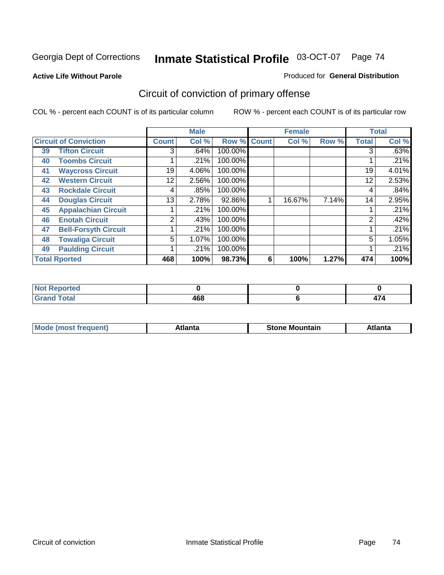#### **Active Life Without Parole**

#### Produced for **General Distribution**

# Circuit of conviction of primary offense

|                              |                             |              | <b>Male</b> |             |   | <b>Female</b> |       |              | <b>Total</b> |
|------------------------------|-----------------------------|--------------|-------------|-------------|---|---------------|-------|--------------|--------------|
| <b>Circuit of Conviction</b> |                             | <b>Count</b> | Col %       | Row % Count |   | Col %         | Row % | <b>Total</b> | Col %        |
| 39                           | <b>Tifton Circuit</b>       | 3            | .64%        | 100.00%     |   |               |       | 3            | .63%         |
| 40                           | <b>Toombs Circuit</b>       |              | .21%        | 100.00%     |   |               |       |              | .21%         |
| 41                           | <b>Waycross Circuit</b>     | 19           | 4.06%       | 100.00%     |   |               |       | 19           | 4.01%        |
| 42                           | <b>Western Circuit</b>      | 12           | 2.56%       | 100.00%     |   |               |       | 12           | 2.53%        |
| 43                           | <b>Rockdale Circuit</b>     | 4            | .85%        | 100.00%     |   |               |       | 4            | .84%         |
| 44                           | <b>Douglas Circuit</b>      | 13           | 2.78%       | 92.86%      |   | 16.67%        | 7.14% | 14           | 2.95%        |
| 45                           | <b>Appalachian Circuit</b>  |              | .21%        | 100.00%     |   |               |       |              | .21%         |
| 46                           | <b>Enotah Circuit</b>       | 2            | .43%        | 100.00%     |   |               |       | 2            | .42%         |
| 47                           | <b>Bell-Forsyth Circuit</b> |              | .21%        | 100.00%     |   |               |       |              | .21%         |
| 48                           | <b>Towaliga Circuit</b>     | 5            | 1.07%       | 100.00%     |   |               |       | 5            | 1.05%        |
| 49                           | <b>Paulding Circuit</b>     |              | .21%        | 100.00%     |   |               |       |              | .21%         |
|                              | <b>Total Rported</b>        | 468          | 100%        | 98.73%      | 6 | 100%          | 1.27% | 474          | 100%         |

| <b>eported</b><br>N     |     |                                 |
|-------------------------|-----|---------------------------------|
| <b>otal</b><br>$\sim$ . | 468 | $\overline{\phantom{0}}$<br>. . |

| īМ<br>----<br>taın<br>----<br>514<br>MOL<br>нс |
|------------------------------------------------|
|------------------------------------------------|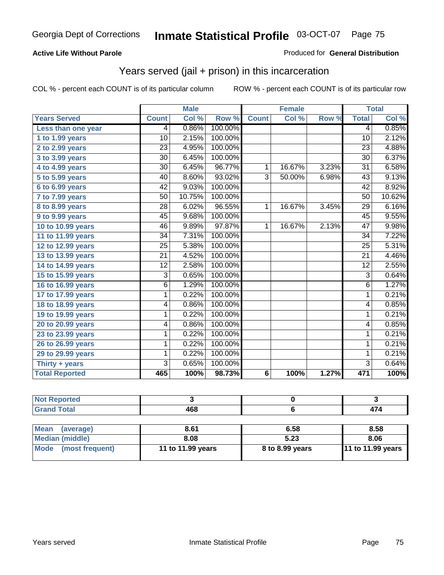### **Active Life Without Parole**

#### Produced for **General Distribution**

## Years served (jail + prison) in this incarceration

|                       |                 | <b>Male</b> |         |                | <b>Female</b> |       |                 | <b>Total</b> |
|-----------------------|-----------------|-------------|---------|----------------|---------------|-------|-----------------|--------------|
| <b>Years Served</b>   | <b>Count</b>    | Col %       | Row %   | <b>Count</b>   | Col %         | Row % | <b>Total</b>    | Col %        |
| Less than one year    | 4               | 0.86%       | 100.00% |                |               |       | 4               | 0.85%        |
| 1 to 1.99 years       | 10              | 2.15%       | 100.00% |                |               |       | 10              | 2.12%        |
| 2 to 2.99 years       | $\overline{23}$ | 4.95%       | 100.00% |                |               |       | $\overline{23}$ | 4.88%        |
| 3 to 3.99 years       | 30              | 6.45%       | 100.00% |                |               |       | 30              | 6.37%        |
| 4 to 4.99 years       | 30              | 6.45%       | 96.77%  | 1              | 16.67%        | 3.23% | $\overline{31}$ | 6.58%        |
| 5 to 5.99 years       | 40              | 8.60%       | 93.02%  | $\overline{3}$ | 50.00%        | 6.98% | $\overline{43}$ | 9.13%        |
| 6 to 6.99 years       | 42              | 9.03%       | 100.00% |                |               |       | 42              | 8.92%        |
| 7 to 7.99 years       | 50              | 10.75%      | 100.00% |                |               |       | 50              | 10.62%       |
| 8 to 8.99 years       | $\overline{28}$ | 6.02%       | 96.55%  | $\mathbf{1}$   | 16.67%        | 3.45% | $\overline{29}$ | 6.16%        |
| 9 to 9.99 years       | 45              | 9.68%       | 100.00% |                |               |       | 45              | 9.55%        |
| 10 to 10.99 years     | 46              | 9.89%       | 97.87%  | 1              | 16.67%        | 2.13% | 47              | 9.98%        |
| 11 to 11.99 years     | $\overline{34}$ | 7.31%       | 100.00% |                |               |       | $\overline{34}$ | 7.22%        |
| 12 to 12.99 years     | 25              | 5.38%       | 100.00% |                |               |       | 25              | 5.31%        |
| 13 to 13.99 years     | $\overline{21}$ | 4.52%       | 100.00% |                |               |       | $\overline{21}$ | 4.46%        |
| 14 to 14.99 years     | $\overline{12}$ | 2.58%       | 100.00% |                |               |       | $\overline{12}$ | 2.55%        |
| 15 to 15.99 years     | 3               | 0.65%       | 100.00% |                |               |       | $\overline{3}$  | 0.64%        |
| 16 to 16.99 years     | 6               | 1.29%       | 100.00% |                |               |       | $\overline{6}$  | 1.27%        |
| 17 to 17.99 years     | 1               | 0.22%       | 100.00% |                |               |       | $\overline{1}$  | 0.21%        |
| 18 to 18.99 years     | 4               | 0.86%       | 100.00% |                |               |       | 4               | 0.85%        |
| 19 to 19.99 years     | 1               | 0.22%       | 100.00% |                |               |       | 1               | 0.21%        |
| 20 to 20.99 years     | 4               | 0.86%       | 100.00% |                |               |       | 4               | 0.85%        |
| 23 to 23.99 years     | 1               | 0.22%       | 100.00% |                |               |       | 1               | 0.21%        |
| 26 to 26.99 years     | 1               | 0.22%       | 100.00% |                |               |       | 1               | 0.21%        |
| 29 to 29.99 years     | 1               | 0.22%       | 100.00% |                |               |       | $\mathbf{1}$    | 0.21%        |
| Thirty + years        | $\overline{3}$  | 0.65%       | 100.00% |                |               |       | $\overline{3}$  | 0.64%        |
| <b>Total Reported</b> | 465             | 100%        | 98.73%  | 6              | 100%          | 1.27% | 471             | 100%         |

| <b>Not Reported</b>            |                   |                 |                   |
|--------------------------------|-------------------|-----------------|-------------------|
| <b>Grand Total</b>             | 468               |                 | 474               |
|                                |                   |                 |                   |
| <b>Mean</b><br>(average)       | 8.61              | 6.58            | 8.58              |
| <b>Median (middle)</b>         | 8.08              | 5.23            | 8.06              |
| <b>Mode</b><br>(most frequent) | 11 to 11.99 years | 8 to 8.99 years | 11 to 11.99 years |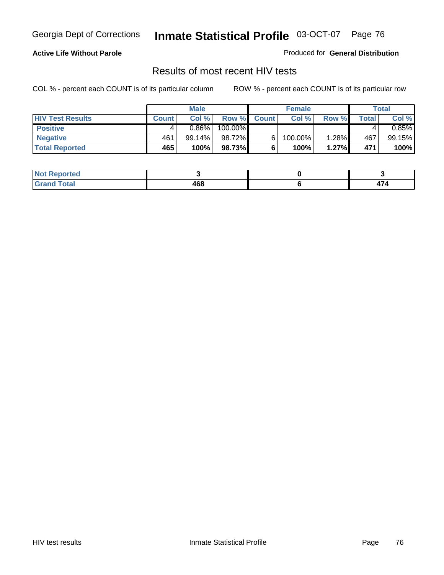### **Active Life Without Parole**

Produced for **General Distribution**

## Results of most recent HIV tests

|                         |              | <b>Male</b> |         |              | <b>Female</b> |       |       | Total    |
|-------------------------|--------------|-------------|---------|--------------|---------------|-------|-------|----------|
| <b>HIV Test Results</b> | <b>Count</b> | Col %       | Row %   | <b>Count</b> | Col %         | Row % | Total | Col %    |
| <b>Positive</b>         |              | $0.86\%$    | 100.00% |              |               |       |       | $0.85\%$ |
| <b>Negative</b>         | 461          | 99.14%      | 98.72%  |              | 100.00%       | 1.28% | 467   | 99.15%   |
| <b>Total Reported</b>   | 465          | 100%        | 98.73%  |              | 100%          | 1.27% | 471   | 100%     |

| <b>Not Reported</b>      |     |     |
|--------------------------|-----|-----|
| <b>Cotal</b><br>Grr<br>. | 468 | - - |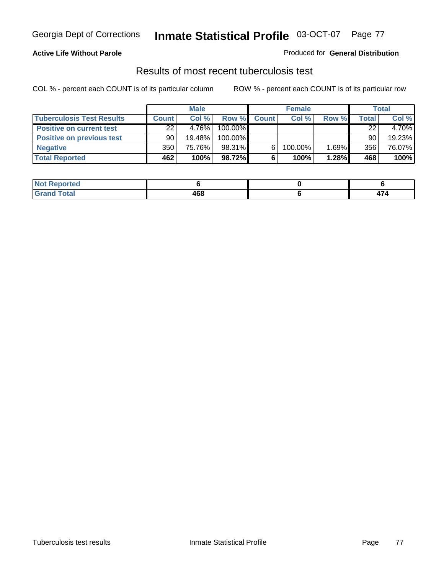### **Active Life Without Parole**

#### Produced for **General Distribution**

## Results of most recent tuberculosis test

|                                  |              | <b>Male</b> |         |              | <b>Female</b> |       |       | Total  |
|----------------------------------|--------------|-------------|---------|--------------|---------------|-------|-------|--------|
| <b>Tuberculosis Test Results</b> | <b>Count</b> | Col%        | Row %   | <b>Count</b> | Col%          | Row % | Total | Col %  |
| <b>Positive on current test</b>  | 22           | 4.76%       | 100.00% |              |               |       | 22    | 4.70%  |
| <b>Positive on previous test</b> | 90           | $19.48\%$   | 100.00% |              |               |       | 90    | 19.23% |
| <b>Negative</b>                  | 350          | 75.76%      | 98.31%  | 6.           | 100.00%       | 1.69% | 356   | 76.07% |
| <b>Total Reported</b>            | 462          | 100%        | 98.72%  | 6            | 100%          | 1.28% | 468   | 100%   |

| <b>Not</b><br>. Reported |     |      |
|--------------------------|-----|------|
| <b>Total</b>             | 468 | 71 T |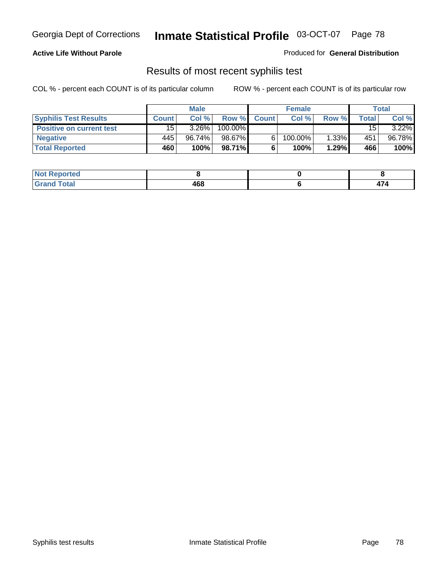### **Active Life Without Parole**

Produced for **General Distribution**

## Results of most recent syphilis test

|                                 |       | <b>Male</b> |         |              | <b>Female</b> |          |       | Total    |
|---------------------------------|-------|-------------|---------|--------------|---------------|----------|-------|----------|
| <b>Syphilis Test Results</b>    | Count | Col%        | Row %   | <b>Count</b> | Col%          | Row %    | Total | Col %    |
| <b>Positive on current test</b> | 15    | $3.26\%$    | 100.00% |              |               |          | 15    | $3.22\%$ |
| <b>Negative</b>                 | 445   | 96.74%      | 98.67%  |              | 100.00%       | $1.33\%$ | 451   | 96.78%   |
| <b>Total Reported</b>           | 460   | 100%        | 98.71%  |              | 100%          | 1.29%    | 466   | 100%     |

| <b>Not Reported</b> |     |  |
|---------------------|-----|--|
| <b>Total</b>        | 468 |  |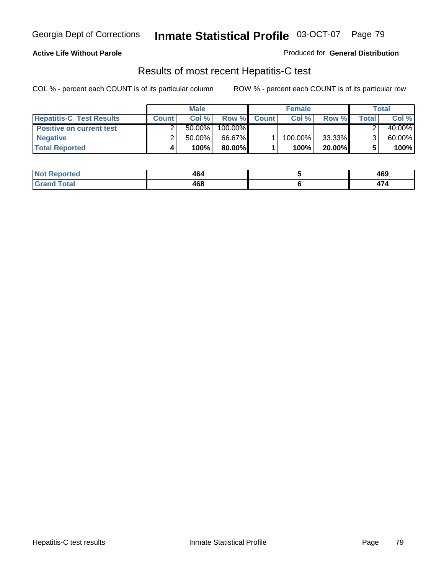### **Active Life Without Parole**

Produced for **General Distribution**

## Results of most recent Hepatitis-C test

|                                 |              | <b>Male</b> |         |              | <b>Female</b> |        |       | Total  |
|---------------------------------|--------------|-------------|---------|--------------|---------------|--------|-------|--------|
| <b>Hepatitis-C Test Results</b> | <b>Count</b> | Col %       | Row %   | <b>Count</b> | Col %         | Row %  | Total | Col %  |
| <b>Positive on current test</b> |              | $50.00\%$   | 100.00% |              |               |        |       | 40.00% |
| <b>Negative</b>                 |              | $50.00\%$   | 66.67%  |              | 100.00%       | 33.33% |       | 60.00% |
| <b>Total Reported</b>           |              | 100%        | 80.00%I |              | 100%          | 20.00% |       | 100%   |

| NO.<br><b>porteg</b> | 464 | 469 |
|----------------------|-----|-----|
| hat<br>_____         | 468 | – ∗ |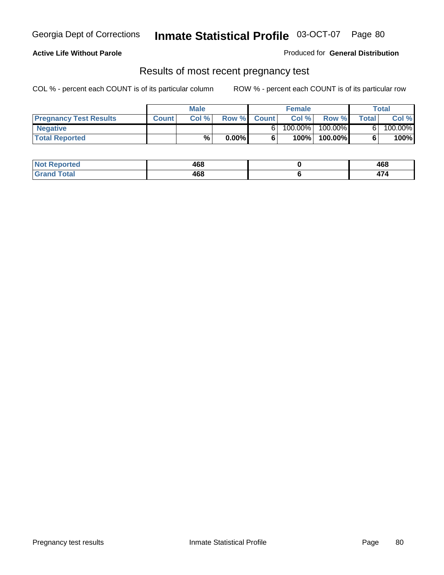### **Active Life Without Parole**

Produced for **General Distribution**

### Results of most recent pregnancy test

|                               | <b>Male</b>  |      | <b>Female</b> |              |         | <b>Total</b> |              |         |
|-------------------------------|--------------|------|---------------|--------------|---------|--------------|--------------|---------|
| <b>Pregnancy Test Results</b> | <b>Count</b> | Col% | Row %         | <b>Count</b> | Col %   | Row %        | <b>Total</b> | Col %   |
| <b>Negative</b>               |              |      |               |              | 100.00% | 100.00%      |              | 100.00% |
| <b>Total Reported</b>         |              | %    | $0.00\%$      |              | 100%    | 100.00%      |              | 100%    |

| Reported<br><b>NOT</b> | 468 | 468 |
|------------------------|-----|-----|
| <b>otal</b><br>.       | 468 | . . |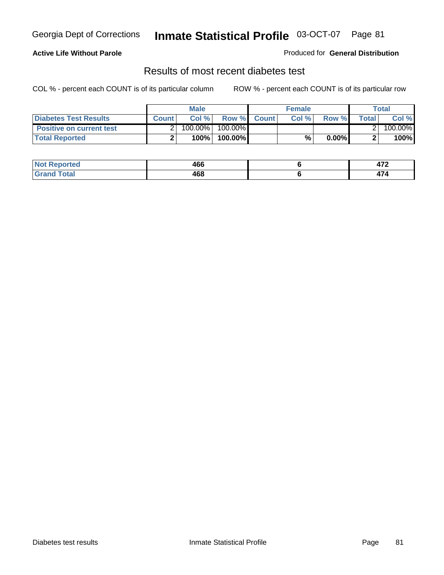### **Active Life Without Parole**

#### Produced for **General Distribution**

### Results of most recent diabetes test

|                                 |              | <b>Male</b> |            |             | <b>Female</b> |          |        | Total   |
|---------------------------------|--------------|-------------|------------|-------------|---------------|----------|--------|---------|
| <b>Diabetes Test Results</b>    | <b>Count</b> | Col %       |            | Row % Count | Col%          | Row %    | Totall | Col %   |
| <b>Positive on current test</b> |              | 100.00%     | $100.00\%$ |             |               |          |        | 100.00% |
| <b>Total Reported</b>           |              | 100%        | 100.00%    |             | %.            | $0.00\%$ |        | 100%    |

| <b>eported</b>       | 466 | יי<br>71 L |
|----------------------|-----|------------|
| <b>otal</b><br>_____ | 468 | . .        |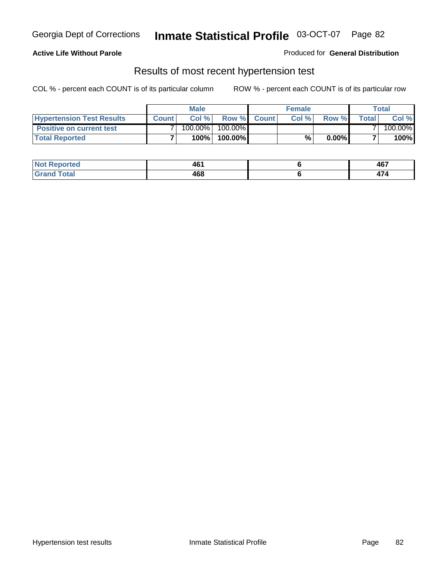### **Active Life Without Parole**

#### Produced for **General Distribution**

### Results of most recent hypertension test

|                                  | <b>Male</b>  |         |            | <b>Female</b> |      |          | <b>Total</b> |         |
|----------------------------------|--------------|---------|------------|---------------|------|----------|--------------|---------|
| <b>Hypertension Test Results</b> | <b>Count</b> | Col %   |            | Row % Count   | Col% | Row %    | Totall       | Col %   |
| <b>Positive on current test</b>  |              | 100.00% | $100.00\%$ |               |      |          |              | 100.00% |
| <b>Total Reported</b>            |              | 100%    | 100.00%    |               | %    | $0.00\%$ |              | 100%    |

| <b>Reported</b>      | 461 | 467 |
|----------------------|-----|-----|
| <b>otal</b><br>_____ | 468 | . . |